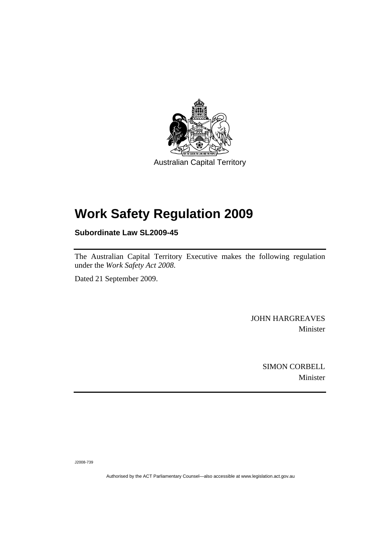

# **[Work Safety Regulation 2009](#page-2-0)**

**Subordinate Law SL2009-45** 

The Australian Capital Territory Executive makes the following regulation under the *[Work Safety Act 2008](#page-2-0)*.

Dated 21 September 2009.

JOHN HARGREAVES Minister

> SIMON CORBELL Minister

J2008-739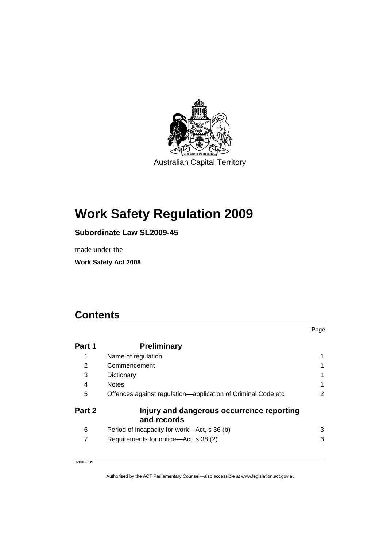<span id="page-2-0"></span>

# **Work Safety Regulation 2009**

# **Subordinate Law SL2009-45**

made under the

**Work Safety Act 2008** 

# **Contents**

| Part 1         | <b>Preliminary</b>                                           |   |
|----------------|--------------------------------------------------------------|---|
| 1              | Name of regulation                                           |   |
| $\overline{2}$ | Commencement                                                 |   |
| 3              | Dictionary                                                   |   |
| 4              | <b>Notes</b>                                                 |   |
| 5              | Offences against regulation-application of Criminal Code etc | 2 |
| Part 2         | Injury and dangerous occurrence reporting<br>and records     |   |
| 6              | Period of incapacity for work—Act, s 36 (b)                  | 3 |
| 7              | Requirements for notice-Act, s 38 (2)                        | 3 |

Page

J2008-739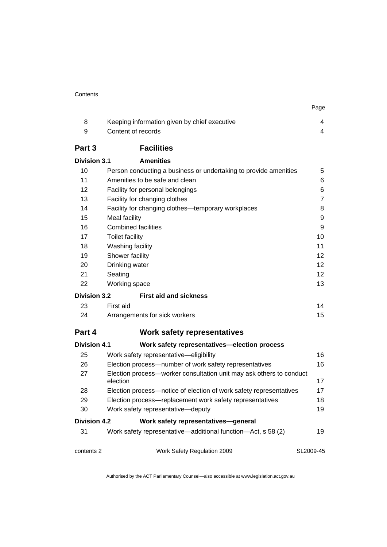| 8<br>9<br>Part 3    | Keeping information given by chief executive<br>Content of records<br><b>Facilities</b><br><b>Amenities</b> | 4<br>4            |
|---------------------|-------------------------------------------------------------------------------------------------------------|-------------------|
|                     |                                                                                                             |                   |
|                     |                                                                                                             |                   |
|                     |                                                                                                             |                   |
|                     |                                                                                                             |                   |
| <b>Division 3.1</b> |                                                                                                             |                   |
| 10                  | Person conducting a business or undertaking to provide amenities                                            | 5                 |
| 11                  | Amenities to be safe and clean                                                                              | 6                 |
| 12                  | Facility for personal belongings                                                                            | 6                 |
| 13                  | Facility for changing clothes                                                                               | 7                 |
| 14                  | Facility for changing clothes-temporary workplaces                                                          | 8                 |
| 15                  | Meal facility                                                                                               | 9                 |
| 16                  | <b>Combined facilities</b>                                                                                  | 9                 |
| 17                  | <b>Toilet facility</b>                                                                                      | 10                |
| 18                  | Washing facility                                                                                            | 11                |
| 19                  | Shower facility                                                                                             | 12                |
| 20                  | Drinking water                                                                                              | $12 \overline{ }$ |
| 21                  | Seating                                                                                                     | 12 <sup>2</sup>   |
| 22                  | Working space                                                                                               | 13                |
| <b>Division 3.2</b> | <b>First aid and sickness</b>                                                                               |                   |
| 23                  | First aid                                                                                                   | 14                |
| 24                  | Arrangements for sick workers                                                                               | 15                |
| Part 4              | <b>Work safety representatives</b>                                                                          |                   |
| <b>Division 4.1</b> | Work safety representatives-election process                                                                |                   |
| 25                  | Work safety representative-eligibility                                                                      | 16                |
| 26                  | Election process—number of work safety representatives                                                      | 16                |
| 27                  | Election process-worker consultation unit may ask others to conduct<br>election                             | 17                |
| 28                  | Election process—notice of election of work safety representatives                                          | 17                |
| 29                  | Election process-replacement work safety representatives                                                    | 18                |
| 30                  | Work safety representative-deputy                                                                           | 19                |
| <b>Division 4.2</b> | Work safety representatives-general                                                                         |                   |
| 31                  | Work safety representative—additional function—Act, s 58 (2)                                                | 19                |

Authorised by the ACT Parliamentary Counsel—also accessible at www.legislation.act.gov.au

SL2009-45

contents 2 Work Safety Regulation 2009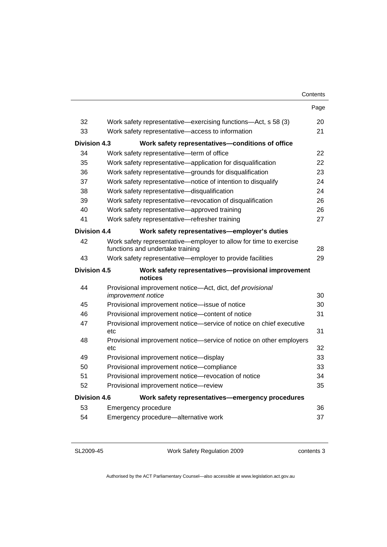|                     |                                                                                                       | Contents |
|---------------------|-------------------------------------------------------------------------------------------------------|----------|
|                     |                                                                                                       | Page     |
| 32                  | Work safety representative—exercising functions—Act, s 58 (3)                                         | 20       |
| 33                  | Work safety representative-access to information                                                      | 21       |
| Division 4.3        | Work safety representatives-conditions of office                                                      |          |
| 34                  | Work safety representative-term of office                                                             | 22       |
| 35                  | Work safety representative—application for disqualification                                           | 22       |
| 36                  | Work safety representative-grounds for disqualification                                               | 23       |
| 37                  | Work safety representative—notice of intention to disqualify                                          | 24       |
| 38                  | Work safety representative-disqualification                                                           | 24       |
| 39                  | Work safety representative—revocation of disqualification                                             | 26       |
| 40                  | Work safety representative-approved training                                                          | 26       |
| 41                  | Work safety representative-refresher training                                                         | 27       |
| <b>Division 4.4</b> | Work safety representatives-employer's duties                                                         |          |
| 42                  | Work safety representative—employer to allow for time to exercise<br>functions and undertake training | 28       |
| 43                  | Work safety representative—employer to provide facilities                                             | 29       |
| <b>Division 4.5</b> | Work safety representatives-provisional improvement<br>notices                                        |          |
| 44                  | Provisional improvement notice-Act, dict, def provisional                                             |          |
|                     | <i>improvement notice</i>                                                                             | 30       |
| 45                  | Provisional improvement notice-issue of notice                                                        | 30       |
| 46                  | Provisional improvement notice-content of notice                                                      | 31       |
| 47                  | Provisional improvement notice-service of notice on chief executive<br>etc                            | 31       |
| 48                  | Provisional improvement notice-service of notice on other employers<br>etc                            | 32       |
| 49                  | Provisional improvement notice-display                                                                | 33       |
| 50                  | Provisional improvement notice-compliance                                                             | 33       |
| 51                  | Provisional improvement notice-revocation of notice                                                   | 34       |
| 52                  | Provisional improvement notice-review                                                                 | 35       |
| Division 4.6        | Work safety representatives-emergency procedures                                                      |          |
| 53                  | Emergency procedure                                                                                   | 36       |
| 54                  | Emergency procedure-alternative work                                                                  | 37       |

SL2009-45

Work Safety Regulation 2009

contents 3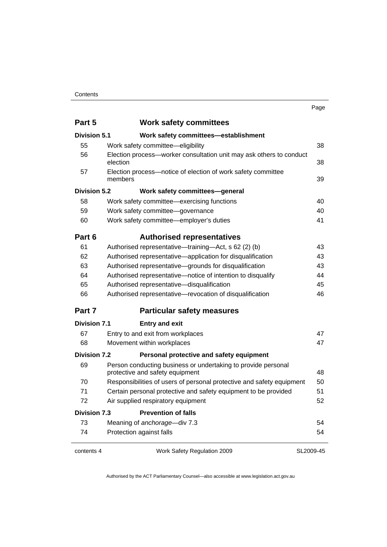#### **Contents**

| I<br>. .<br>٧ |
|---------------|
|---------------|

| Part 5              | <b>Work safety committees</b>                                                   |           |
|---------------------|---------------------------------------------------------------------------------|-----------|
| <b>Division 5.1</b> | Work safety committees-establishment                                            |           |
| 55                  | Work safety committee-eligibility                                               | 38        |
| 56                  | Election process-worker consultation unit may ask others to conduct<br>election | 38        |
| 57                  | Election process-notice of election of work safety committee<br>members         | 39        |
| Division 5.2        | Work safety committees-general                                                  |           |
| 58                  | Work safety committee-exercising functions                                      | 40        |
| 59                  | Work safety committee-governance                                                | 40        |
| 60                  | Work safety committee-employer's duties                                         | 41        |
| Part 6              | <b>Authorised representatives</b>                                               |           |
| 61                  | Authorised representative—training—Act, s 62 (2) (b)                            | 43        |
| 62                  | Authorised representative-application for disqualification                      | 43        |
| 63                  | Authorised representative-grounds for disqualification                          | 43        |
| 64                  | Authorised representative-notice of intention to disqualify                     | 44        |
| 65                  | Authorised representative-disqualification                                      | 45        |
| 66                  | Authorised representative-revocation of disqualification                        | 46        |
| Part 7              | <b>Particular safety measures</b>                                               |           |
| <b>Division 7.1</b> | <b>Entry and exit</b>                                                           |           |
| 67                  | Entry to and exit from workplaces                                               | 47        |
| 68                  | Movement within workplaces                                                      | 47        |
| <b>Division 7.2</b> | Personal protective and safety equipment                                        |           |
| 69                  | Person conducting business or undertaking to provide personal                   |           |
|                     | protective and safety equipment                                                 | 48        |
| 70                  | Responsibilities of users of personal protective and safety equipment           | 50        |
| 71                  | Certain personal protective and safety equipment to be provided                 | 51        |
| 72                  | Air supplied respiratory equipment                                              | 52        |
| <b>Division 7.3</b> | <b>Prevention of falls</b>                                                      |           |
| 73                  | Meaning of anchorage-div 7.3                                                    | 54        |
| 74                  | Protection against falls                                                        | 54        |
| contents 4          | Work Safety Regulation 2009                                                     | SL2009-45 |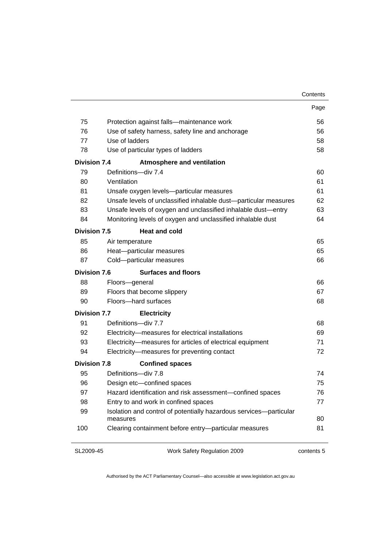| Contents |
|----------|
|----------|

|                     |                                                                                | Page |
|---------------------|--------------------------------------------------------------------------------|------|
| 75                  | Protection against falls-maintenance work                                      | 56   |
| 76                  | Use of safety harness, safety line and anchorage                               | 56   |
| 77                  | Use of ladders                                                                 | 58   |
| 78                  | Use of particular types of ladders                                             | 58   |
| <b>Division 7.4</b> | <b>Atmosphere and ventilation</b>                                              |      |
| 79                  | Definitions-div 7.4                                                            | 60   |
| 80                  | Ventilation                                                                    | 61   |
| 81                  | Unsafe oxygen levels-particular measures                                       | 61   |
| 82                  | Unsafe levels of unclassified inhalable dust-particular measures               | 62   |
| 83                  | Unsafe levels of oxygen and unclassified inhalable dust-entry                  | 63   |
| 84                  | Monitoring levels of oxygen and unclassified inhalable dust                    | 64   |
| <b>Division 7.5</b> | <b>Heat and cold</b>                                                           |      |
| 85                  | Air temperature                                                                | 65   |
| 86                  | Heat-particular measures                                                       | 65   |
| 87                  | Cold-particular measures                                                       | 66   |
| Division 7.6        | <b>Surfaces and floors</b>                                                     |      |
| 88                  | Floors-general                                                                 | 66   |
| 89                  | Floors that become slippery                                                    | 67   |
| 90                  | Floors-hard surfaces                                                           | 68   |
| <b>Division 7.7</b> | <b>Electricity</b>                                                             |      |
| 91                  | Definitions-div 7.7                                                            | 68   |
| 92                  | Electricity-measures for electrical installations                              | 69   |
| 93                  | Electricity-measures for articles of electrical equipment                      | 71   |
| 94                  | Electricity-measures for preventing contact                                    | 72   |
| <b>Division 7.8</b> | <b>Confined spaces</b>                                                         |      |
| 95                  | Definitions-div 7.8                                                            | 74   |
| 96                  | Design etc-confined spaces                                                     | 75   |
| 97                  | Hazard identification and risk assessment-confined spaces                      | 76   |
| 98                  | Entry to and work in confined spaces                                           | 77   |
| 99                  | Isolation and control of potentially hazardous services-particular<br>measures | 80   |
| 100                 | Clearing containment before entry-particular measures                          | 81   |
|                     |                                                                                |      |

SL2009-45

Work Safety Regulation 2009

contents 5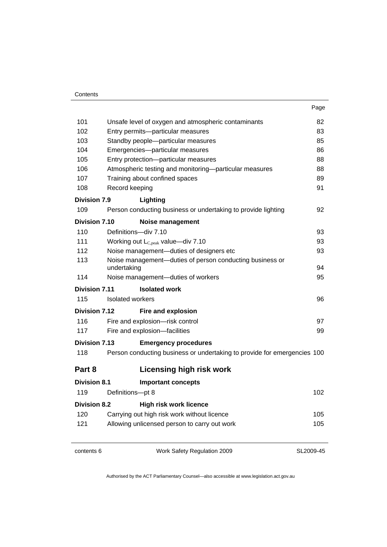| Contents |
|----------|
|----------|

J.

|                      |                                                                          | Page      |
|----------------------|--------------------------------------------------------------------------|-----------|
| 101                  | Unsafe level of oxygen and atmospheric contaminants                      | 82        |
| 102                  | Entry permits-particular measures                                        | 83        |
| 103                  | Standby people-particular measures                                       | 85        |
| 104                  | Emergencies-particular measures                                          | 86        |
| 105                  | Entry protection-particular measures                                     | 88        |
| 106                  | Atmospheric testing and monitoring-particular measures                   | 88        |
| 107                  | Training about confined spaces                                           | 89        |
| 108                  | Record keeping                                                           | 91        |
| <b>Division 7.9</b>  | Lighting                                                                 |           |
| 109                  | Person conducting business or undertaking to provide lighting            | 92        |
| Division 7.10        | <b>Noise management</b>                                                  |           |
| 110                  | Definitions-div 7.10                                                     | 93        |
| 111                  | Working out $L_{C,peak}$ value-div 7.10                                  | 93        |
| 112                  | Noise management-duties of designers etc                                 | 93        |
| 113                  | Noise management-duties of person conducting business or<br>undertaking  | 94        |
| 114                  | Noise management-duties of workers                                       | 95        |
| <b>Division 7.11</b> | <b>Isolated work</b>                                                     |           |
| 115                  | Isolated workers                                                         | 96        |
| Division 7.12        | <b>Fire and explosion</b>                                                |           |
| 116                  | Fire and explosion-risk control                                          | 97        |
| 117                  | Fire and explosion-facilities                                            | 99        |
| Division 7.13        | <b>Emergency procedures</b>                                              |           |
| 118                  | Person conducting business or undertaking to provide for emergencies 100 |           |
| Part 8               | <b>Licensing high risk work</b>                                          |           |
| <b>Division 8.1</b>  | <b>Important concepts</b>                                                |           |
| 119                  | Definitions-pt 8                                                         | 102       |
| <b>Division 8.2</b>  | <b>High risk work licence</b>                                            |           |
| 120                  | Carrying out high risk work without licence                              | 105       |
| 121                  | Allowing unlicensed person to carry out work                             | 105       |
|                      |                                                                          |           |
| contents 6           | Work Safety Regulation 2009                                              | SL2009-45 |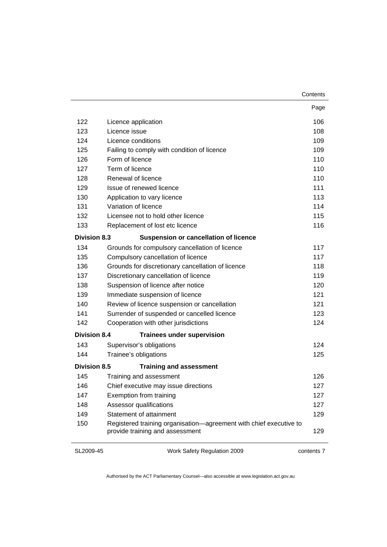|                     |                                                                                                       | Page |
|---------------------|-------------------------------------------------------------------------------------------------------|------|
| 122                 | Licence application                                                                                   | 106  |
| 123                 | Licence issue                                                                                         | 108  |
| 124                 | Licence conditions                                                                                    | 109  |
| 125                 | Failing to comply with condition of licence                                                           | 109  |
| 126                 | Form of licence                                                                                       | 110  |
| 127                 | Term of licence                                                                                       | 110  |
| 128                 | Renewal of licence                                                                                    | 110  |
| 129                 | Issue of renewed licence                                                                              | 111  |
| 130                 | Application to vary licence                                                                           | 113  |
| 131                 | Variation of licence                                                                                  | 114  |
| 132                 | Licensee not to hold other licence                                                                    | 115  |
| 133                 | Replacement of lost etc licence                                                                       | 116  |
| <b>Division 8.3</b> | <b>Suspension or cancellation of licence</b>                                                          |      |
| 134                 | Grounds for compulsory cancellation of licence                                                        | 117  |
| 135                 | Compulsory cancellation of licence                                                                    | 117  |
| 136                 | Grounds for discretionary cancellation of licence                                                     | 118  |
| 137                 | Discretionary cancellation of licence                                                                 | 119  |
| 138                 | Suspension of licence after notice                                                                    | 120  |
| 139                 | Immediate suspension of licence                                                                       | 121  |
| 140                 | Review of licence suspension or cancellation                                                          | 121  |
| 141                 | Surrender of suspended or cancelled licence                                                           | 123  |
| 142                 | Cooperation with other jurisdictions                                                                  | 124  |
| <b>Division 8.4</b> | <b>Trainees under supervision</b>                                                                     |      |
| 143                 | Supervisor's obligations                                                                              | 124  |
| 144                 | Trainee's obligations                                                                                 | 125  |
| <b>Division 8.5</b> | <b>Training and assessment</b>                                                                        |      |
| 145                 | Training and assessment                                                                               | 126  |
| 146                 | Chief executive may issue directions                                                                  | 127  |
| 147                 | Exemption from training                                                                               | 127  |
| 148                 | Assessor qualifications                                                                               | 127  |
| 149                 | Statement of attainment                                                                               | 129  |
| 150                 | Registered training organisation-agreement with chief executive to<br>provide training and assessment | 129  |

#### SL2009-45

Work Safety Regulation 2009

contents 7

**Contents**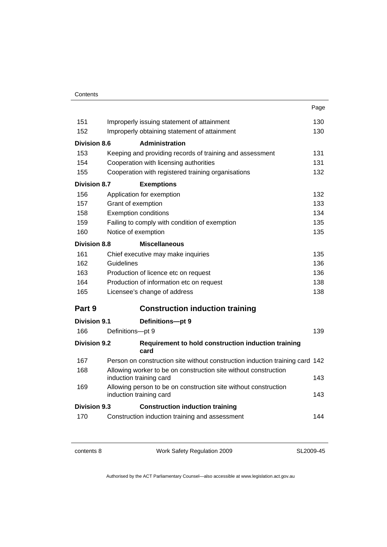| Contents |
|----------|
|----------|

|                     |                                                                                            | Page |
|---------------------|--------------------------------------------------------------------------------------------|------|
| 151                 | Improperly issuing statement of attainment                                                 | 130  |
| 152                 | Improperly obtaining statement of attainment                                               | 130  |
| Division 8.6        | <b>Administration</b>                                                                      |      |
| 153                 | Keeping and providing records of training and assessment                                   | 131  |
| 154                 | Cooperation with licensing authorities                                                     | 131  |
| 155                 | Cooperation with registered training organisations                                         | 132  |
| <b>Division 8.7</b> | <b>Exemptions</b>                                                                          |      |
| 156                 | Application for exemption                                                                  | 132  |
| 157                 | Grant of exemption                                                                         | 133  |
| 158                 | <b>Exemption conditions</b>                                                                | 134  |
| 159                 | Failing to comply with condition of exemption                                              | 135  |
| 160                 | Notice of exemption                                                                        | 135  |
| <b>Division 8.8</b> | <b>Miscellaneous</b>                                                                       |      |
| 161                 | Chief executive may make inquiries                                                         | 135  |
| 162                 | Guidelines                                                                                 | 136  |
| 163                 | Production of licence etc on request                                                       | 136  |
| 164                 | Production of information etc on request                                                   | 138  |
| 165                 | Licensee's change of address                                                               | 138  |
| Part 9              | <b>Construction induction training</b>                                                     |      |
| <b>Division 9.1</b> | Definitions-pt 9                                                                           |      |
| 166                 | Definitions-pt 9                                                                           | 139  |
| <b>Division 9.2</b> | Requirement to hold construction induction training<br>card                                |      |
| 167                 | Person on construction site without construction induction training card 142               |      |
| 168                 | Allowing worker to be on construction site without construction<br>induction training card | 143  |
| 169                 | Allowing person to be on construction site without construction<br>induction training card | 143  |
| <b>Division 9.3</b> | <b>Construction induction training</b>                                                     |      |
| 170                 | Construction induction training and assessment                                             | 144  |
|                     |                                                                                            |      |

contents 8 Work Safety Regulation 2009

SL2009-45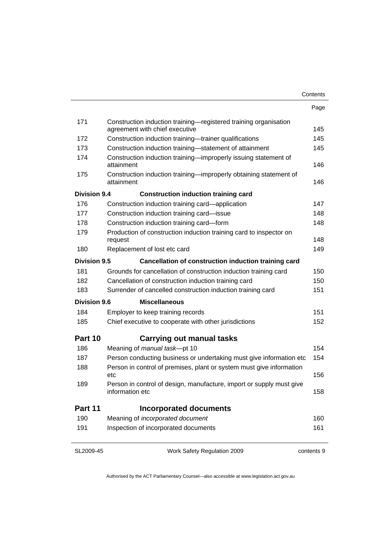|                     |                                                                                                    | Contents   |
|---------------------|----------------------------------------------------------------------------------------------------|------------|
|                     |                                                                                                    | Page       |
| 171                 | Construction induction training-registered training organisation<br>agreement with chief executive | 145        |
| 172                 | Construction induction training-trainer qualifications                                             | 145        |
| 173                 | Construction induction training-statement of attainment                                            | 145        |
| 174                 | Construction induction training-improperly issuing statement of<br>attainment                      | 146        |
| 175                 | Construction induction training-improperly obtaining statement of<br>attainment                    | 146        |
| <b>Division 9.4</b> | <b>Construction induction training card</b>                                                        |            |
| 176                 | Construction induction training card—application                                                   | 147        |
| 177                 | Construction induction training card-issue                                                         | 148        |
| 178                 | Construction induction training card-form                                                          | 148        |
| 179                 | Production of construction induction training card to inspector on                                 |            |
|                     | request                                                                                            | 148        |
| 180                 | Replacement of lost etc card                                                                       | 149        |
| <b>Division 9.5</b> | Cancellation of construction induction training card                                               |            |
| 181                 | Grounds for cancellation of construction induction training card                                   | 150        |
| 182                 | Cancellation of construction induction training card                                               | 150        |
| 183                 | Surrender of cancelled construction induction training card                                        | 151        |
| <b>Division 9.6</b> | <b>Miscellaneous</b>                                                                               |            |
| 184                 | Employer to keep training records                                                                  | 151        |
| 185                 | Chief executive to cooperate with other jurisdictions                                              | 152        |
| Part 10             | <b>Carrying out manual tasks</b>                                                                   |            |
| 186                 | Meaning of manual task-pt 10                                                                       | 154        |
| 187                 | Person conducting business or undertaking must give information etc                                | 154        |
| 188                 | Person in control of premises, plant or system must give information<br>etc                        | 156        |
| 189                 | Person in control of design, manufacture, import or supply must give<br>information etc            | 158        |
| Part 11             | <b>Incorporated documents</b>                                                                      |            |
| 190                 | Meaning of incorporated document                                                                   | 160        |
| 191                 | Inspection of incorporated documents                                                               | 161        |
| SL2009-45           | Work Safety Regulation 2009                                                                        | contents 9 |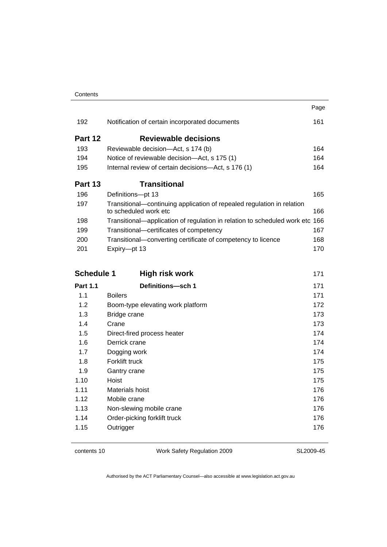|                   |                                                                                                 | Page       |
|-------------------|-------------------------------------------------------------------------------------------------|------------|
| 192               | Notification of certain incorporated documents                                                  | 161        |
| Part 12           | <b>Reviewable decisions</b>                                                                     |            |
| 193               | Reviewable decision-Act, s 174 (b)                                                              | 164        |
| 194               | Notice of reviewable decision-Act, s 175 (1)                                                    | 164        |
| 195               | Internal review of certain decisions-Act, s 176 (1)                                             | 164        |
| Part 13           | <b>Transitional</b>                                                                             |            |
| 196               | Definitions-pt 13                                                                               | 165        |
| 197               | Transitional-continuing application of repealed regulation in relation<br>to scheduled work etc | 166        |
| 198               | Transitional-application of regulation in relation to scheduled work etc 166                    |            |
| 199               | Transitional-certificates of competency                                                         | 167        |
| 200               | Transitional-converting certificate of competency to licence                                    | 168        |
| 201               | Expiry-pt 13                                                                                    | 170        |
|                   |                                                                                                 |            |
|                   |                                                                                                 |            |
| <b>Schedule 1</b> | <b>High risk work</b>                                                                           | 171        |
| <b>Part 1.1</b>   | Definitions-sch 1                                                                               | 171        |
| 1.1               | <b>Boilers</b>                                                                                  | 171        |
| 1.2               | Boom-type elevating work platform                                                               | 172        |
| 1.3               | Bridge crane                                                                                    | 173        |
| 1.4               | Crane                                                                                           | 173        |
| 1.5               | Direct-fired process heater                                                                     | 174        |
| 1.6               | Derrick crane                                                                                   | 174        |
| 1.7               | Dogging work                                                                                    | 174        |
| 1.8               | Forklift truck                                                                                  | 175        |
| 1.9               | Gantry crane                                                                                    | 175        |
| 1.10              | Hoist                                                                                           | 175        |
| 1.11              | Materials hoist                                                                                 | 176        |
| 1.12              | Mobile crane                                                                                    | 176        |
| 1.13              | Non-slewing mobile crane                                                                        | 176        |
| 1.14<br>1.15      | Order-picking forklift truck<br>Outrigger                                                       | 176<br>176 |

contents 10 Work Safety Regulation 2009

SL2009-45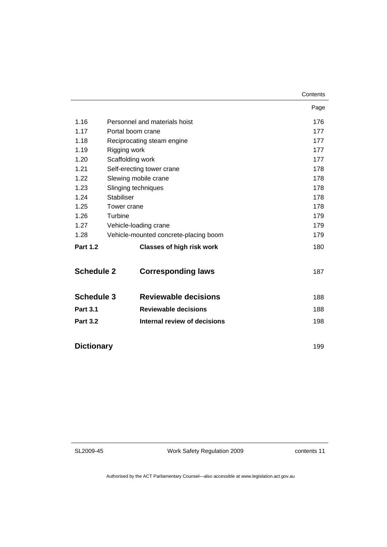|                   |                   |                                       | Contents |
|-------------------|-------------------|---------------------------------------|----------|
|                   |                   |                                       | Page     |
| 1.16              |                   | Personnel and materials hoist         | 176      |
| 1.17              |                   | Portal boom crane                     | 177      |
| 1.18              |                   | Reciprocating steam engine            | 177      |
| 1.19              | Rigging work      |                                       | 177      |
| 1.20              |                   | Scaffolding work                      | 177      |
| 1.21              |                   | Self-erecting tower crane             | 178      |
| 1.22              |                   | Slewing mobile crane                  | 178      |
| 1.23              |                   | Slinging techniques                   | 178      |
| 1.24              | <b>Stabiliser</b> |                                       | 178      |
| 1.25              | Tower crane       |                                       | 178      |
| 1.26              | Turbine           |                                       | 179      |
| 1.27              |                   | Vehicle-loading crane                 | 179      |
| 1.28              |                   | Vehicle-mounted concrete-placing boom | 179      |
| <b>Part 1.2</b>   |                   | <b>Classes of high risk work</b>      | 180      |
| <b>Schedule 2</b> |                   | <b>Corresponding laws</b>             | 187      |
| <b>Schedule 3</b> |                   | <b>Reviewable decisions</b>           | 188      |
| <b>Part 3.1</b>   |                   | <b>Reviewable decisions</b>           | 188      |
| <b>Part 3.2</b>   |                   | Internal review of decisions          | 198      |
| <b>Dictionary</b> |                   |                                       | 199      |

SL2009-45

Work Safety Regulation 2009

contents 11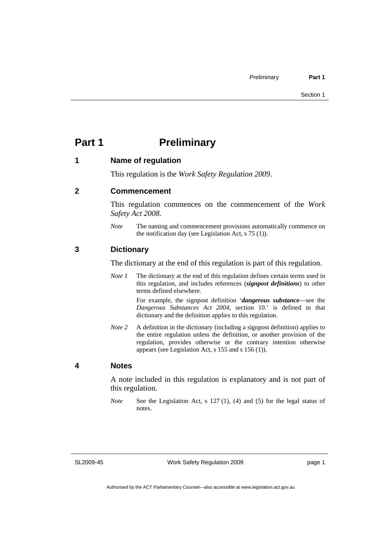# <span id="page-14-0"></span>**Part 1** Preliminary

#### **1 Name of regulation**

This regulation is the *Work Safety Regulation 2009*.

#### **2 Commencement**

This regulation commences on the commencement of the *Work Safety Act 2008*.

*Note* The naming and commencement provisions automatically commence on the notification day (see Legislation Act, s 75 (1)).

#### **3 Dictionary**

The dictionary at the end of this regulation is part of this regulation.

*Note 1* The dictionary at the end of this regulation defines certain terms used in this regulation, and includes references (*signpost definitions*) to other terms defined elsewhere.

> For example, the signpost definition '*dangerous substance*—see the *Dangerous Substances Act 2004*, section 10.' is defined in that dictionary and the definition applies to this regulation.

*Note* 2 A definition in the dictionary (including a signpost definition) applies to the entire regulation unless the definition, or another provision of the regulation, provides otherwise or the contrary intention otherwise appears (see Legislation Act, s 155 and s 156 (1)).

#### **4 Notes**

A note included in this regulation is explanatory and is not part of this regulation.

*Note* See the Legislation Act, s 127 (1), (4) and (5) for the legal status of notes.

SL2009-45

Work Safety Regulation 2009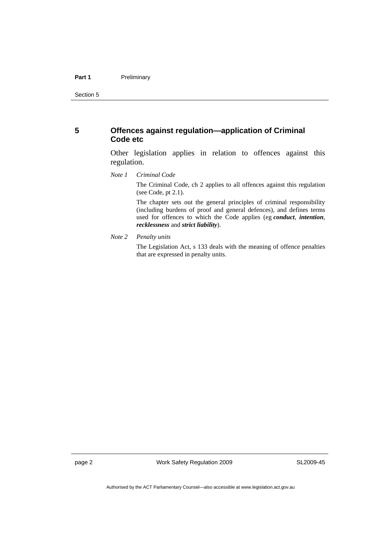## <span id="page-15-0"></span>**5 Offences against regulation—application of Criminal Code etc**

Other legislation applies in relation to offences against this regulation.

*Note 1 Criminal Code*

The Criminal Code, ch 2 applies to all offences against this regulation (see Code, pt 2.1).

The chapter sets out the general principles of criminal responsibility (including burdens of proof and general defences), and defines terms used for offences to which the Code applies (eg *conduct*, *intention*, *recklessness* and *strict liability*).

*Note 2 Penalty units* 

The Legislation Act, s 133 deals with the meaning of offence penalties that are expressed in penalty units.

page 2 Work Safety Regulation 2009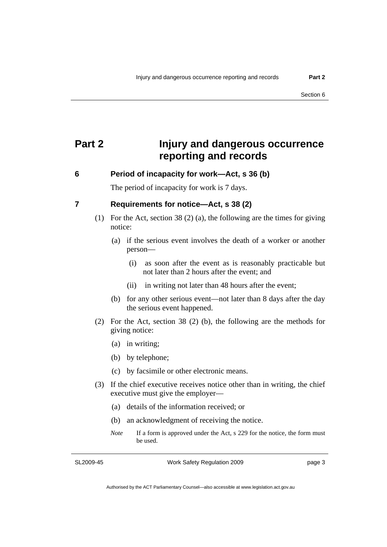# <span id="page-16-0"></span>**Part 2 Injury and dangerous occurrence reporting and records**

### **6 Period of incapacity for work—Act, s 36 (b)**

The period of incapacity for work is 7 days.

# **7 Requirements for notice—Act, s 38 (2)**

- (1) For the Act, section 38 (2) (a), the following are the times for giving notice:
	- (a) if the serious event involves the death of a worker or another person—
		- (i) as soon after the event as is reasonably practicable but not later than 2 hours after the event; and
		- (ii) in writing not later than 48 hours after the event;
	- (b) for any other serious event—not later than 8 days after the day the serious event happened.
- (2) For the Act, section 38 (2) (b), the following are the methods for giving notice:
	- (a) in writing;
	- (b) by telephone;
	- (c) by facsimile or other electronic means.
- (3) If the chief executive receives notice other than in writing, the chief executive must give the employer—
	- (a) details of the information received; or
	- (b) an acknowledgment of receiving the notice.
	- *Note* If a form is approved under the Act, s 229 for the notice, the form must be used.

SL2009-45

Work Safety Regulation 2009

page 3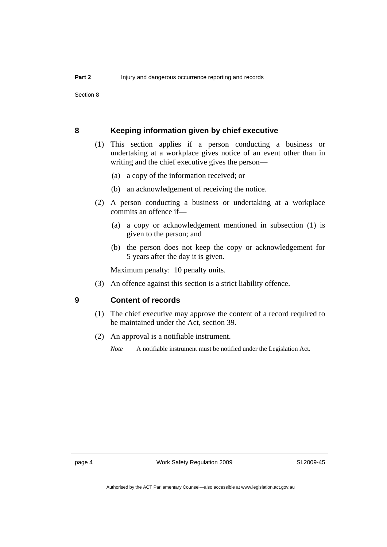<span id="page-17-0"></span>Section 8

#### **8 Keeping information given by chief executive**

- (1) This section applies if a person conducting a business or undertaking at a workplace gives notice of an event other than in writing and the chief executive gives the person—
	- (a) a copy of the information received; or
	- (b) an acknowledgement of receiving the notice.
- (2) A person conducting a business or undertaking at a workplace commits an offence if—
	- (a) a copy or acknowledgement mentioned in subsection (1) is given to the person; and
	- (b) the person does not keep the copy or acknowledgement for 5 years after the day it is given.

Maximum penalty: 10 penalty units.

(3) An offence against this section is a strict liability offence.

#### **9 Content of records**

- (1) The chief executive may approve the content of a record required to be maintained under the Act, section 39.
- (2) An approval is a notifiable instrument.
	- *Note* A notifiable instrument must be notified under the Legislation Act.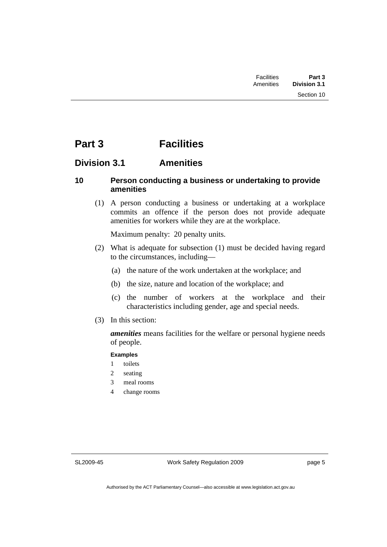# <span id="page-18-0"></span>**Part 3 Facilities**

# **Division 3.1 Amenities**

# **10 Person conducting a business or undertaking to provide amenities**

 (1) A person conducting a business or undertaking at a workplace commits an offence if the person does not provide adequate amenities for workers while they are at the workplace.

Maximum penalty: 20 penalty units.

- (2) What is adequate for subsection (1) must be decided having regard to the circumstances, including—
	- (a) the nature of the work undertaken at the workplace; and
	- (b) the size, nature and location of the workplace; and
	- (c) the number of workers at the workplace and their characteristics including gender, age and special needs.
- (3) In this section:

*amenities* means facilities for the welfare or personal hygiene needs of people.

#### **Examples**

- 1 toilets
- 2 seating
- 3 meal rooms
- 4 change rooms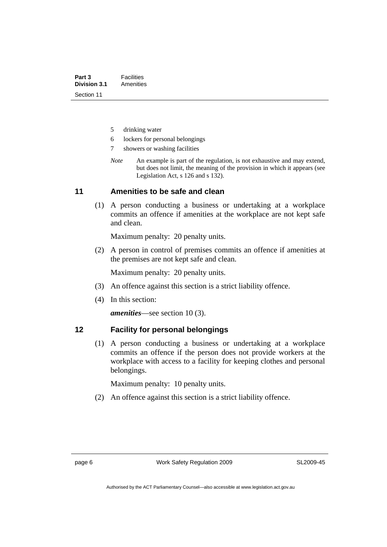- <span id="page-19-0"></span>5 drinking water
- 6 lockers for personal belongings
- 7 showers or washing facilities
- *Note* An example is part of the regulation, is not exhaustive and may extend, but does not limit, the meaning of the provision in which it appears (see Legislation Act, s 126 and s 132).

#### **11 Amenities to be safe and clean**

 (1) A person conducting a business or undertaking at a workplace commits an offence if amenities at the workplace are not kept safe and clean.

Maximum penalty: 20 penalty units.

 (2) A person in control of premises commits an offence if amenities at the premises are not kept safe and clean.

Maximum penalty: 20 penalty units.

- (3) An offence against this section is a strict liability offence.
- (4) In this section:

*amenities*—see section 10 (3).

### **12 Facility for personal belongings**

 (1) A person conducting a business or undertaking at a workplace commits an offence if the person does not provide workers at the workplace with access to a facility for keeping clothes and personal belongings.

Maximum penalty: 10 penalty units.

(2) An offence against this section is a strict liability offence.

page 6 Work Safety Regulation 2009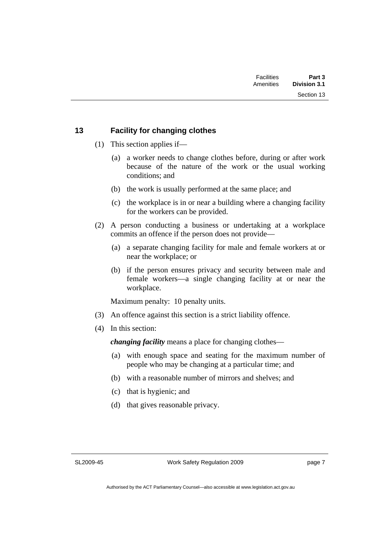Section 13

# <span id="page-20-0"></span>**13 Facility for changing clothes**

- (1) This section applies if—
	- (a) a worker needs to change clothes before, during or after work because of the nature of the work or the usual working conditions; and
	- (b) the work is usually performed at the same place; and
	- (c) the workplace is in or near a building where a changing facility for the workers can be provided.
- (2) A person conducting a business or undertaking at a workplace commits an offence if the person does not provide—
	- (a) a separate changing facility for male and female workers at or near the workplace; or
	- (b) if the person ensures privacy and security between male and female workers—a single changing facility at or near the workplace.

Maximum penalty: 10 penalty units.

- (3) An offence against this section is a strict liability offence.
- (4) In this section:

*changing facility* means a place for changing clothes—

- (a) with enough space and seating for the maximum number of people who may be changing at a particular time; and
- (b) with a reasonable number of mirrors and shelves; and
- (c) that is hygienic; and
- (d) that gives reasonable privacy.

SL2009-45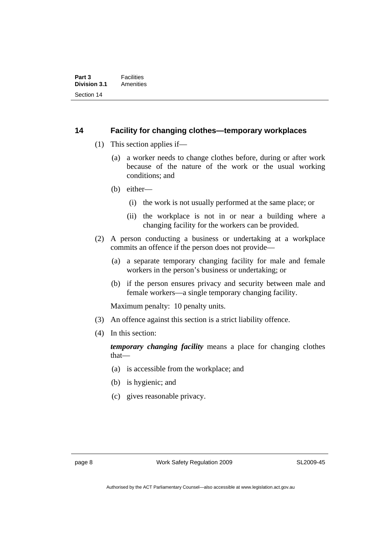#### <span id="page-21-0"></span>**14 Facility for changing clothes—temporary workplaces**

- (1) This section applies if—
	- (a) a worker needs to change clothes before, during or after work because of the nature of the work or the usual working conditions; and
	- (b) either—
		- (i) the work is not usually performed at the same place; or
		- (ii) the workplace is not in or near a building where a changing facility for the workers can be provided.
- (2) A person conducting a business or undertaking at a workplace commits an offence if the person does not provide—
	- (a) a separate temporary changing facility for male and female workers in the person's business or undertaking; or
	- (b) if the person ensures privacy and security between male and female workers—a single temporary changing facility.

Maximum penalty: 10 penalty units.

- (3) An offence against this section is a strict liability offence.
- (4) In this section:

*temporary changing facility* means a place for changing clothes that—

- (a) is accessible from the workplace; and
- (b) is hygienic; and
- (c) gives reasonable privacy.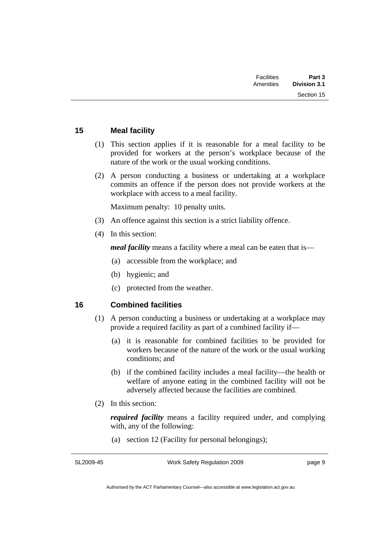<span id="page-22-0"></span>

| Part 3<br><b>Division 3.1</b> | <b>Facilities</b><br>Amenities |  |
|-------------------------------|--------------------------------|--|
| Section 15                    |                                |  |
|                               |                                |  |

# **15 Meal facility**

- (1) This section applies if it is reasonable for a meal facility to be provided for workers at the person's workplace because of the nature of the work or the usual working conditions.
- (2) A person conducting a business or undertaking at a workplace commits an offence if the person does not provide workers at the workplace with access to a meal facility.

Maximum penalty: 10 penalty units.

- (3) An offence against this section is a strict liability offence.
- (4) In this section:

*meal facility* means a facility where a meal can be eaten that is—

- (a) accessible from the workplace; and
- (b) hygienic; and
- (c) protected from the weather.

# **16 Combined facilities**

- (1) A person conducting a business or undertaking at a workplace may provide a required facility as part of a combined facility if—
	- (a) it is reasonable for combined facilities to be provided for workers because of the nature of the work or the usual working conditions; and
	- (b) if the combined facility includes a meal facility—the health or welfare of anyone eating in the combined facility will not be adversely affected because the facilities are combined.
- (2) In this section:

*required facility* means a facility required under, and complying with, any of the following:

(a) section 12 (Facility for personal belongings);

SL2009-45

Work Safety Regulation 2009

page 9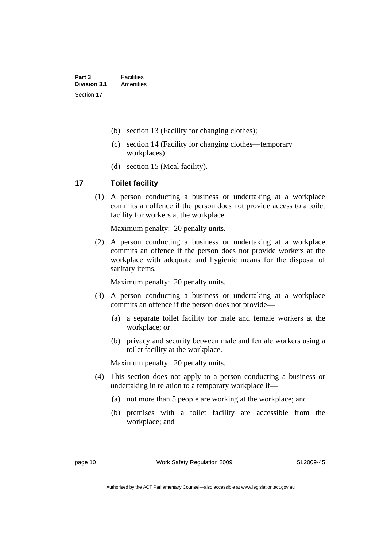- <span id="page-23-0"></span>(b) section 13 (Facility for changing clothes);
- (c) section 14 (Facility for changing clothes—temporary workplaces);
- (d) section 15 (Meal facility).

# **17 Toilet facility**

 (1) A person conducting a business or undertaking at a workplace commits an offence if the person does not provide access to a toilet facility for workers at the workplace.

Maximum penalty: 20 penalty units.

 (2) A person conducting a business or undertaking at a workplace commits an offence if the person does not provide workers at the workplace with adequate and hygienic means for the disposal of sanitary items.

Maximum penalty: 20 penalty units.

- (3) A person conducting a business or undertaking at a workplace commits an offence if the person does not provide—
	- (a) a separate toilet facility for male and female workers at the workplace; or
	- (b) privacy and security between male and female workers using a toilet facility at the workplace.

Maximum penalty: 20 penalty units.

- (4) This section does not apply to a person conducting a business or undertaking in relation to a temporary workplace if—
	- (a) not more than 5 people are working at the workplace; and
	- (b) premises with a toilet facility are accessible from the workplace; and

page 10 Work Safety Regulation 2009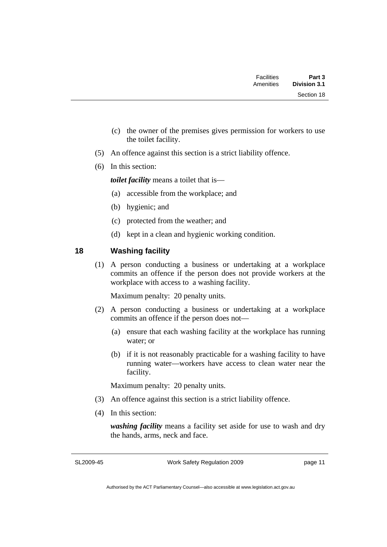<span id="page-24-0"></span>

| Part 3<br><b>Division 3.1</b> | Facilities<br>Amenities |  |
|-------------------------------|-------------------------|--|
| Section 18                    |                         |  |

- (c) the owner of the premises gives permission for workers to use the toilet facility.
- (5) An offence against this section is a strict liability offence.
- (6) In this section:

*toilet facility* means a toilet that is—

- (a) accessible from the workplace; and
- (b) hygienic; and
- (c) protected from the weather; and
- (d) kept in a clean and hygienic working condition.

# **18 Washing facility**

 (1) A person conducting a business or undertaking at a workplace commits an offence if the person does not provide workers at the workplace with access to a washing facility.

Maximum penalty: 20 penalty units.

- (2) A person conducting a business or undertaking at a workplace commits an offence if the person does not—
	- (a) ensure that each washing facility at the workplace has running water; or
	- (b) if it is not reasonably practicable for a washing facility to have running water—workers have access to clean water near the facility.

Maximum penalty: 20 penalty units.

- (3) An offence against this section is a strict liability offence.
- (4) In this section:

*washing facility* means a facility set aside for use to wash and dry the hands, arms, neck and face.

SL2009-45

Work Safety Regulation 2009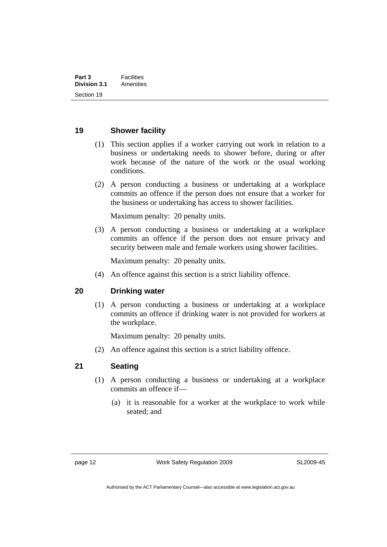## <span id="page-25-0"></span>**19 Shower facility**

- (1) This section applies if a worker carrying out work in relation to a business or undertaking needs to shower before, during or after work because of the nature of the work or the usual working conditions.
- (2) A person conducting a business or undertaking at a workplace commits an offence if the person does not ensure that a worker for the business or undertaking has access to shower facilities.

Maximum penalty: 20 penalty units.

 (3) A person conducting a business or undertaking at a workplace commits an offence if the person does not ensure privacy and security between male and female workers using shower facilities.

Maximum penalty: 20 penalty units.

(4) An offence against this section is a strict liability offence.

### **20 Drinking water**

 (1) A person conducting a business or undertaking at a workplace commits an offence if drinking water is not provided for workers at the workplace.

Maximum penalty: 20 penalty units.

(2) An offence against this section is a strict liability offence.

## **21 Seating**

- (1) A person conducting a business or undertaking at a workplace commits an offence if—
	- (a) it is reasonable for a worker at the workplace to work while seated; and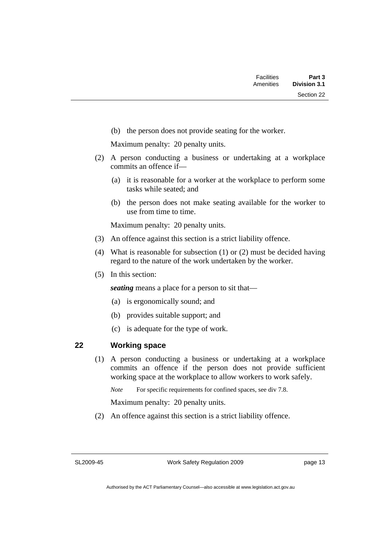<span id="page-26-0"></span>(b) the person does not provide seating for the worker.

Maximum penalty: 20 penalty units.

- (2) A person conducting a business or undertaking at a workplace commits an offence if—
	- (a) it is reasonable for a worker at the workplace to perform some tasks while seated; and
	- (b) the person does not make seating available for the worker to use from time to time.

Maximum penalty: 20 penalty units.

- (3) An offence against this section is a strict liability offence.
- (4) What is reasonable for subsection (1) or (2) must be decided having regard to the nature of the work undertaken by the worker.
- (5) In this section:

*seating* means a place for a person to sit that—

- (a) is ergonomically sound; and
- (b) provides suitable support; and
- (c) is adequate for the type of work.

# **22 Working space**

 (1) A person conducting a business or undertaking at a workplace commits an offence if the person does not provide sufficient working space at the workplace to allow workers to work safely.

*Note* For specific requirements for confined spaces, see div 7.8.

Maximum penalty: 20 penalty units.

(2) An offence against this section is a strict liability offence.

SL2009-45

Work Safety Regulation 2009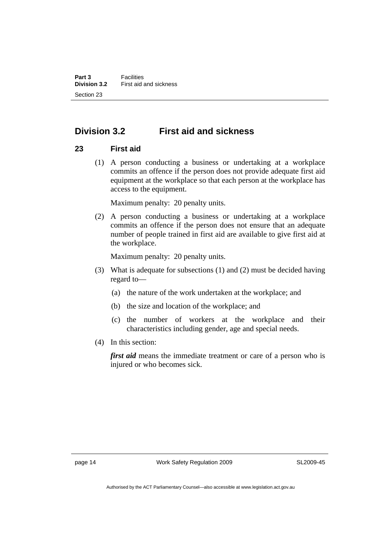# <span id="page-27-0"></span>**Division 3.2 First aid and sickness**

# **23 First aid**

 (1) A person conducting a business or undertaking at a workplace commits an offence if the person does not provide adequate first aid equipment at the workplace so that each person at the workplace has access to the equipment.

Maximum penalty: 20 penalty units.

 (2) A person conducting a business or undertaking at a workplace commits an offence if the person does not ensure that an adequate number of people trained in first aid are available to give first aid at the workplace.

Maximum penalty: 20 penalty units.

- (3) What is adequate for subsections (1) and (2) must be decided having regard to—
	- (a) the nature of the work undertaken at the workplace; and
	- (b) the size and location of the workplace; and
	- (c) the number of workers at the workplace and their characteristics including gender, age and special needs.
- (4) In this section:

*first aid* means the immediate treatment or care of a person who is injured or who becomes sick.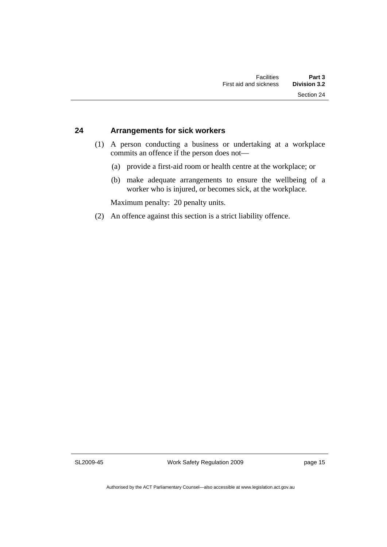# <span id="page-28-0"></span>**24 Arrangements for sick workers**

- (1) A person conducting a business or undertaking at a workplace commits an offence if the person does not—
	- (a) provide a first-aid room or health centre at the workplace; or
	- (b) make adequate arrangements to ensure the wellbeing of a worker who is injured, or becomes sick, at the workplace.

Maximum penalty: 20 penalty units.

(2) An offence against this section is a strict liability offence.

SL2009-45

Work Safety Regulation 2009

page 15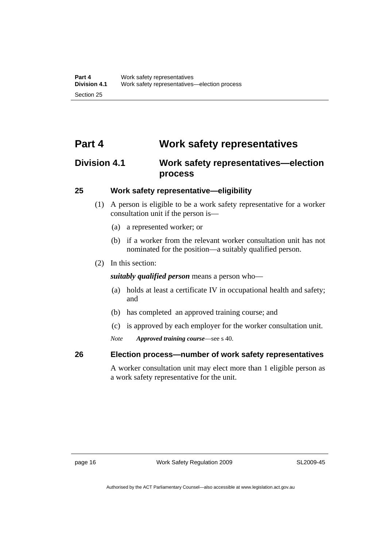# <span id="page-29-0"></span>**Part 4 Work safety representatives**

# **Division 4.1 Work safety representatives—election process**

## **25 Work safety representative—eligibility**

- (1) A person is eligible to be a work safety representative for a worker consultation unit if the person is—
	- (a) a represented worker; or
	- (b) if a worker from the relevant worker consultation unit has not nominated for the position—a suitably qualified person.
- (2) In this section:

*suitably qualified person* means a person who—

- (a) holds at least a certificate IV in occupational health and safety; and
- (b) has completed an approved training course; and
- (c) is approved by each employer for the worker consultation unit.

*Note Approved training course*—see s 40.

**26 Election process—number of work safety representatives** 

A worker consultation unit may elect more than 1 eligible person as a work safety representative for the unit.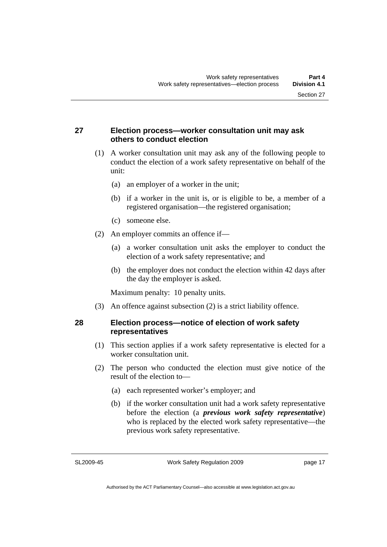# <span id="page-30-0"></span>**27 Election process—worker consultation unit may ask others to conduct election**

- (1) A worker consultation unit may ask any of the following people to conduct the election of a work safety representative on behalf of the unit:
	- (a) an employer of a worker in the unit;
	- (b) if a worker in the unit is, or is eligible to be, a member of a registered organisation—the registered organisation;
	- (c) someone else.
- (2) An employer commits an offence if—
	- (a) a worker consultation unit asks the employer to conduct the election of a work safety representative; and
	- (b) the employer does not conduct the election within 42 days after the day the employer is asked.

Maximum penalty: 10 penalty units.

(3) An offence against subsection (2) is a strict liability offence.

# **28 Election process—notice of election of work safety representatives**

- (1) This section applies if a work safety representative is elected for a worker consultation unit.
- (2) The person who conducted the election must give notice of the result of the election to—
	- (a) each represented worker's employer; and
	- (b) if the worker consultation unit had a work safety representative before the election (a *previous work safety representative*) who is replaced by the elected work safety representative—the previous work safety representative.

SL2009-45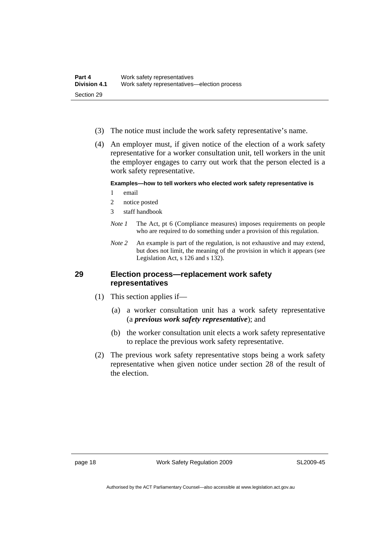- <span id="page-31-0"></span>(3) The notice must include the work safety representative's name.
- (4) An employer must, if given notice of the election of a work safety representative for a worker consultation unit, tell workers in the unit the employer engages to carry out work that the person elected is a work safety representative.

#### **Examples—how to tell workers who elected work safety representative is**

- 1 email
- 2 notice posted
- 3 staff handbook
- *Note 1* The Act, pt 6 (Compliance measures) imposes requirements on people who are required to do something under a provision of this regulation.
- *Note 2* An example is part of the regulation, is not exhaustive and may extend, but does not limit, the meaning of the provision in which it appears (see Legislation Act, s 126 and s 132).

#### **29 Election process—replacement work safety representatives**

- (1) This section applies if—
	- (a) a worker consultation unit has a work safety representative (a *previous work safety representative*); and
	- (b) the worker consultation unit elects a work safety representative to replace the previous work safety representative.
- (2) The previous work safety representative stops being a work safety representative when given notice under section 28 of the result of the election.

page 18 Work Safety Regulation 2009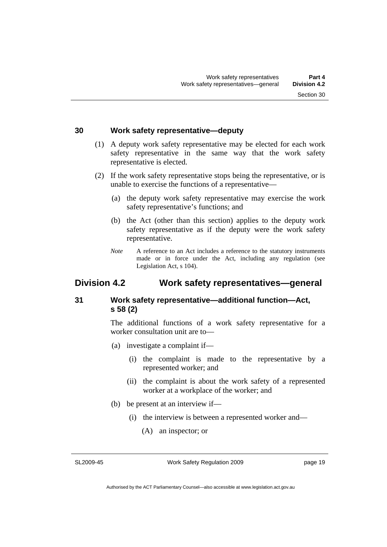### <span id="page-32-0"></span>**30 Work safety representative—deputy**

- (1) A deputy work safety representative may be elected for each work safety representative in the same way that the work safety representative is elected.
- (2) If the work safety representative stops being the representative, or is unable to exercise the functions of a representative—
	- (a) the deputy work safety representative may exercise the work safety representative's functions; and
	- (b) the Act (other than this section) applies to the deputy work safety representative as if the deputy were the work safety representative.
	- *Note* A reference to an Act includes a reference to the statutory instruments made or in force under the Act, including any regulation (see Legislation Act, s 104).

# **Division 4.2 Work safety representatives—general**

# **31 Work safety representative—additional function—Act, s 58 (2)**

The additional functions of a work safety representative for a worker consultation unit are to—

- (a) investigate a complaint if—
	- (i) the complaint is made to the representative by a represented worker; and
	- (ii) the complaint is about the work safety of a represented worker at a workplace of the worker; and
- (b) be present at an interview if—
	- (i) the interview is between a represented worker and—
		- (A) an inspector; or

SL2009-45

Work Safety Regulation 2009

page 19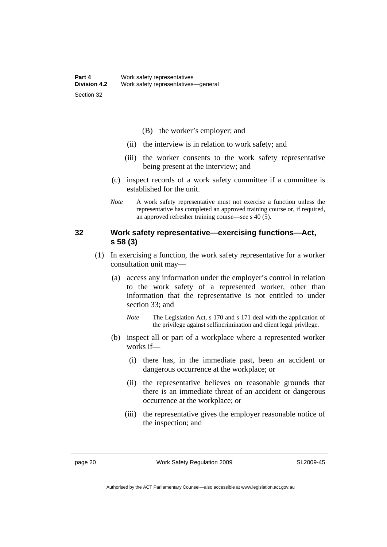- (B) the worker's employer; and
- <span id="page-33-0"></span>(ii) the interview is in relation to work safety; and
- (iii) the worker consents to the work safety representative being present at the interview; and
- (c) inspect records of a work safety committee if a committee is established for the unit.
- *Note* A work safety representative must not exercise a function unless the representative has completed an approved training course or, if required, an approved refresher training course—see s 40 (5).

## **32 Work safety representative—exercising functions—Act, s 58 (3)**

- (1) In exercising a function, the work safety representative for a worker consultation unit may—
	- (a) access any information under the employer's control in relation to the work safety of a represented worker, other than information that the representative is not entitled to under section 33; and
		- *Note* The Legislation Act, s 170 and s 171 deal with the application of the privilege against selfincrimination and client legal privilege.
	- (b) inspect all or part of a workplace where a represented worker works if—
		- (i) there has, in the immediate past, been an accident or dangerous occurrence at the workplace; or
		- (ii) the representative believes on reasonable grounds that there is an immediate threat of an accident or dangerous occurrence at the workplace; or
		- (iii) the representative gives the employer reasonable notice of the inspection; and

page 20 Work Safety Regulation 2009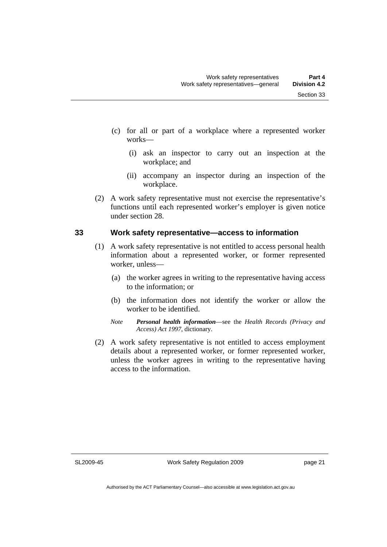- <span id="page-34-0"></span> (c) for all or part of a workplace where a represented worker works—
	- (i) ask an inspector to carry out an inspection at the workplace; and
	- (ii) accompany an inspector during an inspection of the workplace.
- (2) A work safety representative must not exercise the representative's functions until each represented worker's employer is given notice under section 28.

### **33 Work safety representative—access to information**

- (1) A work safety representative is not entitled to access personal health information about a represented worker, or former represented worker, unless—
	- (a) the worker agrees in writing to the representative having access to the information; or
	- (b) the information does not identify the worker or allow the worker to be identified.
	- *Note Personal health information*—see the *Health Records (Privacy and Access) Act 1997*, dictionary.
- (2) A work safety representative is not entitled to access employment details about a represented worker, or former represented worker, unless the worker agrees in writing to the representative having access to the information.

SL2009-45

Work Safety Regulation 2009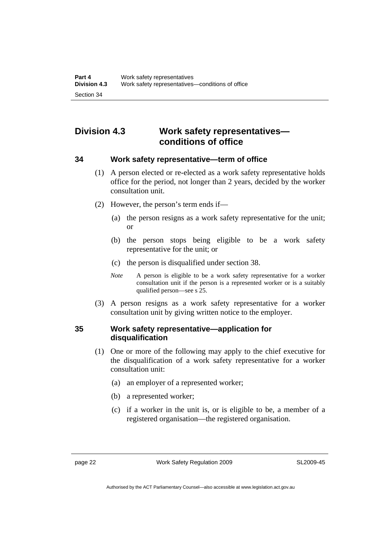# <span id="page-35-0"></span>**Division 4.3 Work safety representatives conditions of office**

### **34 Work safety representative—term of office**

- (1) A person elected or re-elected as a work safety representative holds office for the period, not longer than 2 years, decided by the worker consultation unit.
- (2) However, the person's term ends if—
	- (a) the person resigns as a work safety representative for the unit; or
	- (b) the person stops being eligible to be a work safety representative for the unit; or
	- (c) the person is disqualified under section 38.
	- *Note* A person is eligible to be a work safety representative for a worker consultation unit if the person is a represented worker or is a suitably qualified person—see s 25.
- (3) A person resigns as a work safety representative for a worker consultation unit by giving written notice to the employer.

# **35 Work safety representative—application for disqualification**

- (1) One or more of the following may apply to the chief executive for the disqualification of a work safety representative for a worker consultation unit:
	- (a) an employer of a represented worker;
	- (b) a represented worker;
	- (c) if a worker in the unit is, or is eligible to be, a member of a registered organisation—the registered organisation.

page 22 Work Safety Regulation 2009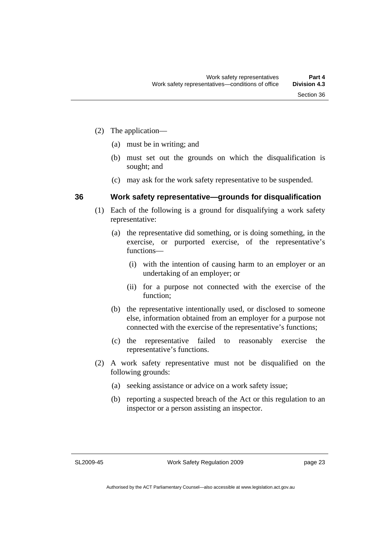- (2) The application—
	- (a) must be in writing; and
	- (b) must set out the grounds on which the disqualification is sought; and
	- (c) may ask for the work safety representative to be suspended.

#### **36 Work safety representative—grounds for disqualification**

- (1) Each of the following is a ground for disqualifying a work safety representative:
	- (a) the representative did something, or is doing something, in the exercise, or purported exercise, of the representative's functions—
		- (i) with the intention of causing harm to an employer or an undertaking of an employer; or
		- (ii) for a purpose not connected with the exercise of the function;
	- (b) the representative intentionally used, or disclosed to someone else, information obtained from an employer for a purpose not connected with the exercise of the representative's functions;
	- (c) the representative failed to reasonably exercise the representative's functions.
- (2) A work safety representative must not be disqualified on the following grounds:
	- (a) seeking assistance or advice on a work safety issue;
	- (b) reporting a suspected breach of the Act or this regulation to an inspector or a person assisting an inspector.

SL2009-45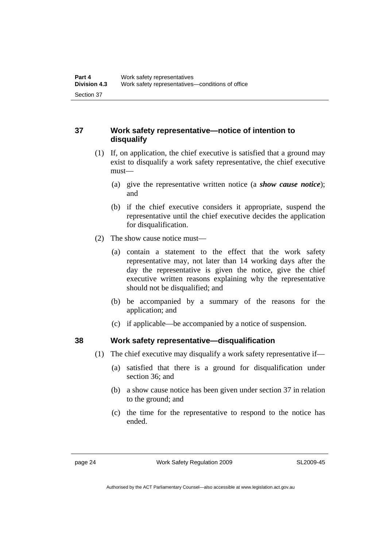## **37 Work safety representative—notice of intention to disqualify**

- (1) If, on application, the chief executive is satisfied that a ground may exist to disqualify a work safety representative, the chief executive must—
	- (a) give the representative written notice (a *show cause notice*); and
	- (b) if the chief executive considers it appropriate, suspend the representative until the chief executive decides the application for disqualification.
- (2) The show cause notice must—
	- (a) contain a statement to the effect that the work safety representative may, not later than 14 working days after the day the representative is given the notice, give the chief executive written reasons explaining why the representative should not be disqualified; and
	- (b) be accompanied by a summary of the reasons for the application; and
	- (c) if applicable—be accompanied by a notice of suspension.

## **38 Work safety representative—disqualification**

- (1) The chief executive may disqualify a work safety representative if—
	- (a) satisfied that there is a ground for disqualification under section 36; and
	- (b) a show cause notice has been given under section 37 in relation to the ground; and
	- (c) the time for the representative to respond to the notice has ended.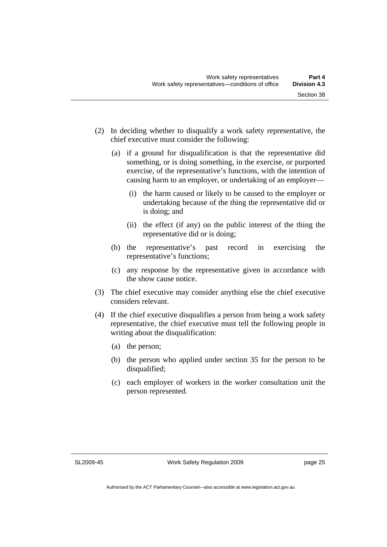- (2) In deciding whether to disqualify a work safety representative, the chief executive must consider the following:
	- (a) if a ground for disqualification is that the representative did something, or is doing something, in the exercise, or purported exercise, of the representative's functions, with the intention of causing harm to an employer, or undertaking of an employer—
		- (i) the harm caused or likely to be caused to the employer or undertaking because of the thing the representative did or is doing; and
		- (ii) the effect (if any) on the public interest of the thing the representative did or is doing;
	- (b) the representative's past record in exercising the representative's functions;
	- (c) any response by the representative given in accordance with the show cause notice.
- (3) The chief executive may consider anything else the chief executive considers relevant.
- (4) If the chief executive disqualifies a person from being a work safety representative, the chief executive must tell the following people in writing about the disqualification:
	- (a) the person;
	- (b) the person who applied under section 35 for the person to be disqualified;
	- (c) each employer of workers in the worker consultation unit the person represented.

SL2009-45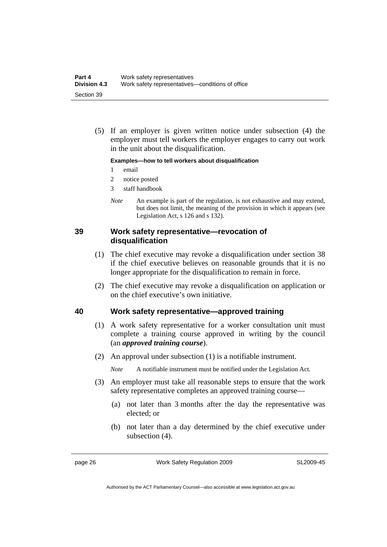(5) If an employer is given written notice under subsection (4) the employer must tell workers the employer engages to carry out work in the unit about the disqualification.

#### **Examples—how to tell workers about disqualification**

- 1 email
- 2 notice posted
- 3 staff handbook
- *Note* An example is part of the regulation, is not exhaustive and may extend, but does not limit, the meaning of the provision in which it appears (see Legislation Act, s 126 and s 132).

#### **39 Work safety representative—revocation of disqualification**

- (1) The chief executive may revoke a disqualification under section 38 if the chief executive believes on reasonable grounds that it is no longer appropriate for the disqualification to remain in force.
- (2) The chief executive may revoke a disqualification on application or on the chief executive's own initiative.

#### **40 Work safety representative—approved training**

- (1) A work safety representative for a worker consultation unit must complete a training course approved in writing by the council (an *approved training course*).
- (2) An approval under subsection (1) is a notifiable instrument.

*Note* A notifiable instrument must be notified under the Legislation Act.

- (3) An employer must take all reasonable steps to ensure that the work safety representative completes an approved training course—
	- (a) not later than 3 months after the day the representative was elected; or
	- (b) not later than a day determined by the chief executive under subsection (4).

page 26 Work Safety Regulation 2009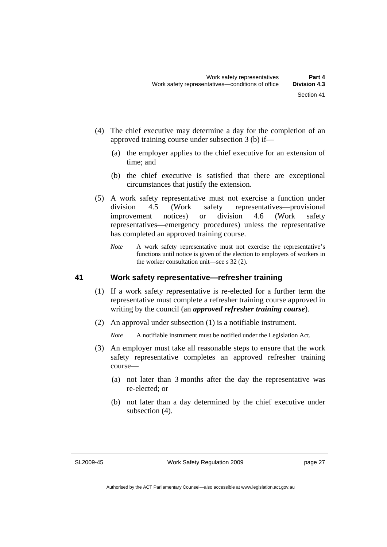- (4) The chief executive may determine a day for the completion of an approved training course under subsection 3 (b) if—
	- (a) the employer applies to the chief executive for an extension of time; and
	- (b) the chief executive is satisfied that there are exceptional circumstances that justify the extension.
- (5) A work safety representative must not exercise a function under division 4.5 (Work safety representatives—provisional improvement notices) or division 4.6 (Work safety representatives—emergency procedures) unless the representative has completed an approved training course.
	- *Note* A work safety representative must not exercise the representative's functions until notice is given of the election to employers of workers in the worker consultation unit—see s 32 (2).

## **41 Work safety representative—refresher training**

- (1) If a work safety representative is re-elected for a further term the representative must complete a refresher training course approved in writing by the council (an *approved refresher training course*).
- (2) An approval under subsection (1) is a notifiable instrument.

*Note* A notifiable instrument must be notified under the Legislation Act.

- (3) An employer must take all reasonable steps to ensure that the work safety representative completes an approved refresher training course—
	- (a) not later than 3 months after the day the representative was re-elected; or
	- (b) not later than a day determined by the chief executive under subsection (4).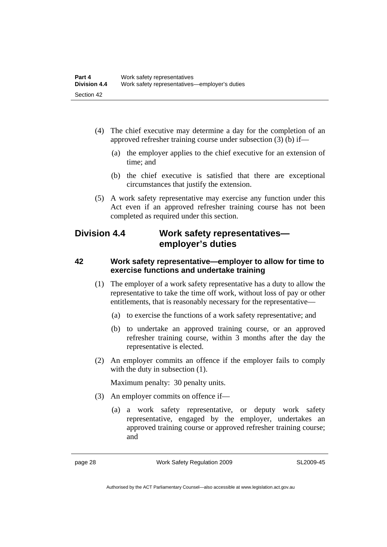- (4) The chief executive may determine a day for the completion of an approved refresher training course under subsection (3) (b) if—
	- (a) the employer applies to the chief executive for an extension of time; and
	- (b) the chief executive is satisfied that there are exceptional circumstances that justify the extension.
- (5) A work safety representative may exercise any function under this Act even if an approved refresher training course has not been completed as required under this section.

# **Division 4.4 Work safety representatives employer's duties**

#### **42 Work safety representative—employer to allow for time to exercise functions and undertake training**

- (1) The employer of a work safety representative has a duty to allow the representative to take the time off work, without loss of pay or other entitlements, that is reasonably necessary for the representative—
	- (a) to exercise the functions of a work safety representative; and
	- (b) to undertake an approved training course, or an approved refresher training course, within 3 months after the day the representative is elected.
- (2) An employer commits an offence if the employer fails to comply with the duty in subsection  $(1)$ .

Maximum penalty: 30 penalty units.

- (3) An employer commits on offence if—
	- (a) a work safety representative, or deputy work safety representative, engaged by the employer, undertakes an approved training course or approved refresher training course; and

page 28 Work Safety Regulation 2009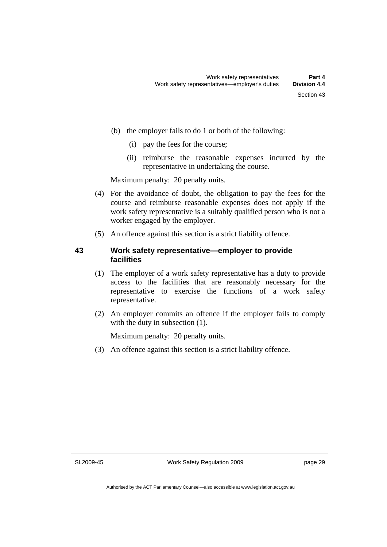- (b) the employer fails to do 1 or both of the following:
	- (i) pay the fees for the course;
	- (ii) reimburse the reasonable expenses incurred by the representative in undertaking the course.

Maximum penalty: 20 penalty units.

- (4) For the avoidance of doubt, the obligation to pay the fees for the course and reimburse reasonable expenses does not apply if the work safety representative is a suitably qualified person who is not a worker engaged by the employer.
- (5) An offence against this section is a strict liability offence.

#### **43 Work safety representative—employer to provide facilities**

- (1) The employer of a work safety representative has a duty to provide access to the facilities that are reasonably necessary for the representative to exercise the functions of a work safety representative.
- (2) An employer commits an offence if the employer fails to comply with the duty in subsection  $(1)$ .

Maximum penalty: 20 penalty units.

(3) An offence against this section is a strict liability offence.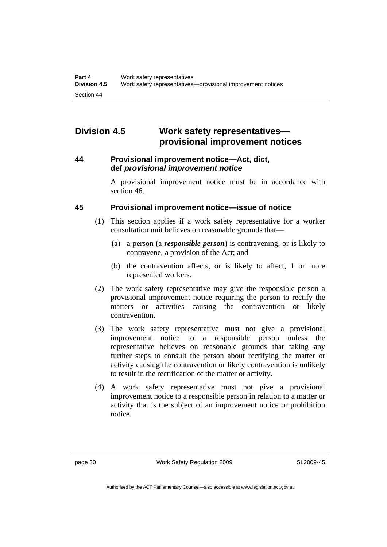# **Division 4.5 Work safety representatives provisional improvement notices**

#### **44 Provisional improvement notice—Act, dict, def** *provisional improvement notice*

A provisional improvement notice must be in accordance with section 46.

## **45 Provisional improvement notice—issue of notice**

- (1) This section applies if a work safety representative for a worker consultation unit believes on reasonable grounds that—
	- (a) a person (a *responsible person*) is contravening, or is likely to contravene, a provision of the Act; and
	- (b) the contravention affects, or is likely to affect, 1 or more represented workers.
- (2) The work safety representative may give the responsible person a provisional improvement notice requiring the person to rectify the matters or activities causing the contravention or likely contravention.
- (3) The work safety representative must not give a provisional improvement notice to a responsible person unless the representative believes on reasonable grounds that taking any further steps to consult the person about rectifying the matter or activity causing the contravention or likely contravention is unlikely to result in the rectification of the matter or activity.
- (4) A work safety representative must not give a provisional improvement notice to a responsible person in relation to a matter or activity that is the subject of an improvement notice or prohibition notice.

page 30 Work Safety Regulation 2009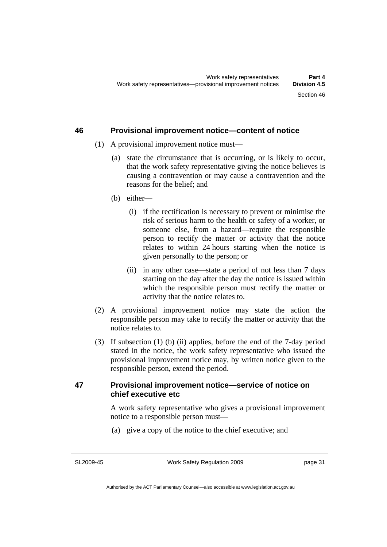#### **46 Provisional improvement notice—content of notice**

- (1) A provisional improvement notice must—
	- (a) state the circumstance that is occurring, or is likely to occur, that the work safety representative giving the notice believes is causing a contravention or may cause a contravention and the reasons for the belief; and
	- (b) either—
		- (i) if the rectification is necessary to prevent or minimise the risk of serious harm to the health or safety of a worker, or someone else, from a hazard—require the responsible person to rectify the matter or activity that the notice relates to within 24 hours starting when the notice is given personally to the person; or
		- (ii) in any other case—state a period of not less than 7 days starting on the day after the day the notice is issued within which the responsible person must rectify the matter or activity that the notice relates to.
- (2) A provisional improvement notice may state the action the responsible person may take to rectify the matter or activity that the notice relates to.
- (3) If subsection (1) (b) (ii) applies, before the end of the 7-day period stated in the notice, the work safety representative who issued the provisional improvement notice may, by written notice given to the responsible person, extend the period.

#### **47 Provisional improvement notice—service of notice on chief executive etc**

A work safety representative who gives a provisional improvement notice to a responsible person must—

(a) give a copy of the notice to the chief executive; and

SL2009-45

page 31

Authorised by the ACT Parliamentary Counsel—also accessible at www.legislation.act.gov.au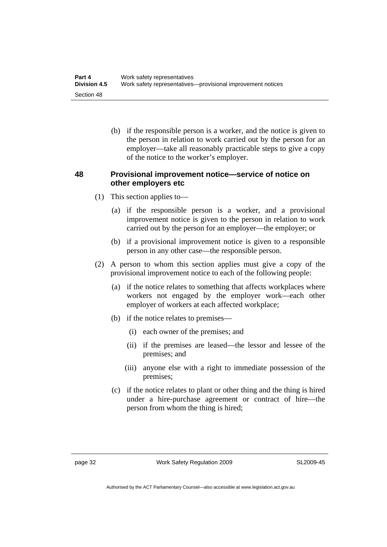(b) if the responsible person is a worker, and the notice is given to the person in relation to work carried out by the person for an employer—take all reasonably practicable steps to give a copy of the notice to the worker's employer.

## **48 Provisional improvement notice—service of notice on other employers etc**

- (1) This section applies to—
	- (a) if the responsible person is a worker, and a provisional improvement notice is given to the person in relation to work carried out by the person for an employer—the employer; or
	- (b) if a provisional improvement notice is given to a responsible person in any other case—the responsible person.
- (2) A person to whom this section applies must give a copy of the provisional improvement notice to each of the following people:
	- (a) if the notice relates to something that affects workplaces where workers not engaged by the employer work—each other employer of workers at each affected workplace;
	- (b) if the notice relates to premises—
		- (i) each owner of the premises; and
		- (ii) if the premises are leased—the lessor and lessee of the premises; and
		- (iii) anyone else with a right to immediate possession of the premises;
	- (c) if the notice relates to plant or other thing and the thing is hired under a hire-purchase agreement or contract of hire—the person from whom the thing is hired;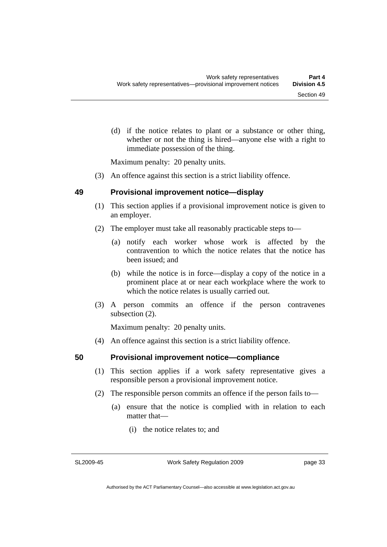(d) if the notice relates to plant or a substance or other thing, whether or not the thing is hired—anyone else with a right to immediate possession of the thing.

Maximum penalty: 20 penalty units.

(3) An offence against this section is a strict liability offence.

#### **49 Provisional improvement notice—display**

- (1) This section applies if a provisional improvement notice is given to an employer.
- (2) The employer must take all reasonably practicable steps to—
	- (a) notify each worker whose work is affected by the contravention to which the notice relates that the notice has been issued; and
	- (b) while the notice is in force—display a copy of the notice in a prominent place at or near each workplace where the work to which the notice relates is usually carried out.
- (3) A person commits an offence if the person contravenes subsection (2).

Maximum penalty: 20 penalty units.

(4) An offence against this section is a strict liability offence.

## **50 Provisional improvement notice—compliance**

- (1) This section applies if a work safety representative gives a responsible person a provisional improvement notice.
- (2) The responsible person commits an offence if the person fails to—
	- (a) ensure that the notice is complied with in relation to each matter that—
		- (i) the notice relates to; and

SL2009-45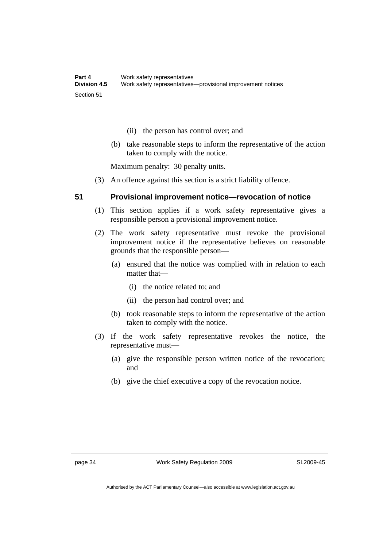- (ii) the person has control over; and
- (b) take reasonable steps to inform the representative of the action taken to comply with the notice.

Maximum penalty: 30 penalty units.

(3) An offence against this section is a strict liability offence.

#### **51 Provisional improvement notice—revocation of notice**

- (1) This section applies if a work safety representative gives a responsible person a provisional improvement notice.
- (2) The work safety representative must revoke the provisional improvement notice if the representative believes on reasonable grounds that the responsible person—
	- (a) ensured that the notice was complied with in relation to each matter that—
		- (i) the notice related to; and
		- (ii) the person had control over; and
	- (b) took reasonable steps to inform the representative of the action taken to comply with the notice.
- (3) If the work safety representative revokes the notice, the representative must—
	- (a) give the responsible person written notice of the revocation; and
	- (b) give the chief executive a copy of the revocation notice.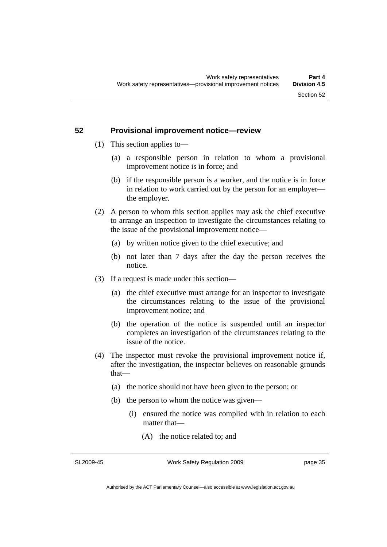#### **52 Provisional improvement notice—review**

- (1) This section applies to—
	- (a) a responsible person in relation to whom a provisional improvement notice is in force; and
	- (b) if the responsible person is a worker, and the notice is in force in relation to work carried out by the person for an employer the employer.
- (2) A person to whom this section applies may ask the chief executive to arrange an inspection to investigate the circumstances relating to the issue of the provisional improvement notice—
	- (a) by written notice given to the chief executive; and
	- (b) not later than 7 days after the day the person receives the notice.
- (3) If a request is made under this section—
	- (a) the chief executive must arrange for an inspector to investigate the circumstances relating to the issue of the provisional improvement notice; and
	- (b) the operation of the notice is suspended until an inspector completes an investigation of the circumstances relating to the issue of the notice.
- (4) The inspector must revoke the provisional improvement notice if, after the investigation, the inspector believes on reasonable grounds that—
	- (a) the notice should not have been given to the person; or
	- (b) the person to whom the notice was given—
		- (i) ensured the notice was complied with in relation to each matter that—
			- (A) the notice related to; and

SL2009-45

Work Safety Regulation 2009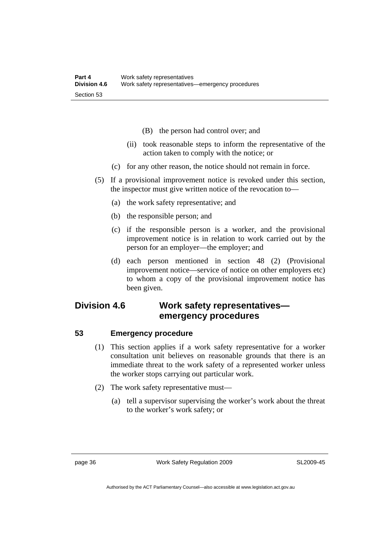- (B) the person had control over; and
- (ii) took reasonable steps to inform the representative of the action taken to comply with the notice; or
- (c) for any other reason, the notice should not remain in force.
- (5) If a provisional improvement notice is revoked under this section, the inspector must give written notice of the revocation to—
	- (a) the work safety representative; and
	- (b) the responsible person; and
	- (c) if the responsible person is a worker, and the provisional improvement notice is in relation to work carried out by the person for an employer—the employer; and
	- (d) each person mentioned in section 48 (2) (Provisional improvement notice—service of notice on other employers etc) to whom a copy of the provisional improvement notice has been given.

# **Division 4.6 Work safety representatives emergency procedures**

#### **53 Emergency procedure**

- (1) This section applies if a work safety representative for a worker consultation unit believes on reasonable grounds that there is an immediate threat to the work safety of a represented worker unless the worker stops carrying out particular work.
- (2) The work safety representative must—
	- (a) tell a supervisor supervising the worker's work about the threat to the worker's work safety; or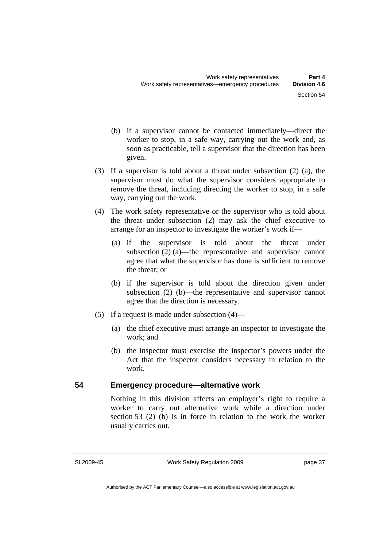- (b) if a supervisor cannot be contacted immediately—direct the worker to stop, in a safe way, carrying out the work and, as soon as practicable, tell a supervisor that the direction has been given.
- (3) If a supervisor is told about a threat under subsection (2) (a), the supervisor must do what the supervisor considers appropriate to remove the threat, including directing the worker to stop, in a safe way, carrying out the work.
- (4) The work safety representative or the supervisor who is told about the threat under subsection (2) may ask the chief executive to arrange for an inspector to investigate the worker's work if—
	- (a) if the supervisor is told about the threat under subsection (2) (a)—the representative and supervisor cannot agree that what the supervisor has done is sufficient to remove the threat; or
	- (b) if the supervisor is told about the direction given under subsection (2) (b)—the representative and supervisor cannot agree that the direction is necessary.
- (5) If a request is made under subsection  $(4)$ 
	- (a) the chief executive must arrange an inspector to investigate the work; and
	- (b) the inspector must exercise the inspector's powers under the Act that the inspector considers necessary in relation to the work.

## **54 Emergency procedure—alternative work**

Nothing in this division affects an employer's right to require a worker to carry out alternative work while a direction under section 53 (2) (b) is in force in relation to the work the worker usually carries out.

SL2009-45

Work Safety Regulation 2009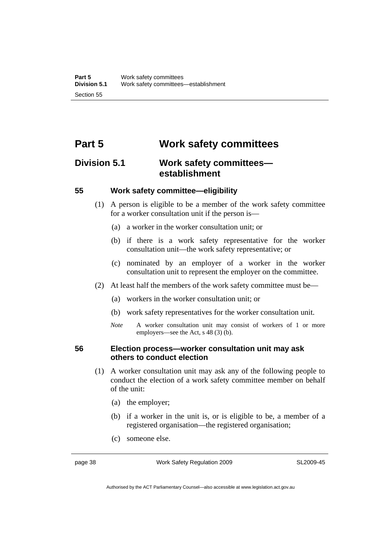# **Part 5 Work safety committees**

# **Division 5.1 Work safety committees establishment**

#### **55 Work safety committee—eligibility**

- (1) A person is eligible to be a member of the work safety committee for a worker consultation unit if the person is—
	- (a) a worker in the worker consultation unit; or
	- (b) if there is a work safety representative for the worker consultation unit—the work safety representative; or
	- (c) nominated by an employer of a worker in the worker consultation unit to represent the employer on the committee.
- (2) At least half the members of the work safety committee must be—
	- (a) workers in the worker consultation unit; or
	- (b) work safety representatives for the worker consultation unit.
	- *Note* A worker consultation unit may consist of workers of 1 or more employers—see the Act, s 48 (3) (b).

#### **56 Election process—worker consultation unit may ask others to conduct election**

- (1) A worker consultation unit may ask any of the following people to conduct the election of a work safety committee member on behalf of the unit:
	- (a) the employer;
	- (b) if a worker in the unit is, or is eligible to be, a member of a registered organisation—the registered organisation;
	- (c) someone else.

page 38 Work Safety Regulation 2009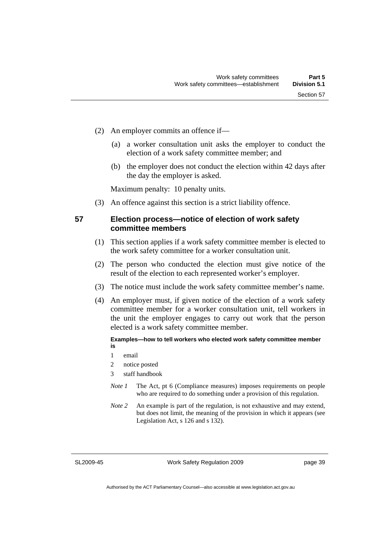- (2) An employer commits an offence if—
	- (a) a worker consultation unit asks the employer to conduct the election of a work safety committee member; and
	- (b) the employer does not conduct the election within 42 days after the day the employer is asked.

Maximum penalty: 10 penalty units.

(3) An offence against this section is a strict liability offence.

#### **57 Election process—notice of election of work safety committee members**

- (1) This section applies if a work safety committee member is elected to the work safety committee for a worker consultation unit.
- (2) The person who conducted the election must give notice of the result of the election to each represented worker's employer.
- (3) The notice must include the work safety committee member's name.
- (4) An employer must, if given notice of the election of a work safety committee member for a worker consultation unit, tell workers in the unit the employer engages to carry out work that the person elected is a work safety committee member.

#### **Examples—how to tell workers who elected work safety committee member is**

- 1 email
- 2 notice posted
- 3 staff handbook
- *Note 1* The Act, pt 6 (Compliance measures) imposes requirements on people who are required to do something under a provision of this regulation.
- *Note 2* An example is part of the regulation, is not exhaustive and may extend, but does not limit, the meaning of the provision in which it appears (see Legislation Act, s 126 and s 132).

SL2009-45

Work Safety Regulation 2009

page 39

Authorised by the ACT Parliamentary Counsel—also accessible at www.legislation.act.gov.au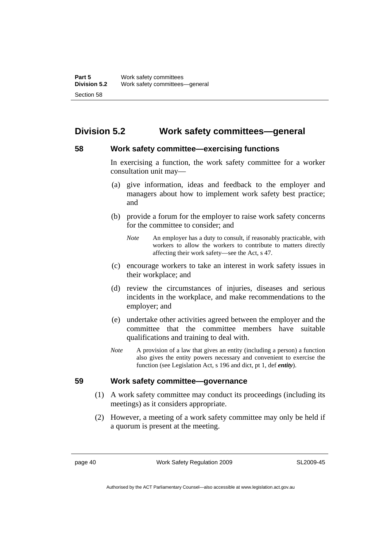# **Division 5.2 Work safety committees—general**

## **58 Work safety committee—exercising functions**

In exercising a function, the work safety committee for a worker consultation unit may—

- (a) give information, ideas and feedback to the employer and managers about how to implement work safety best practice; and
- (b) provide a forum for the employer to raise work safety concerns for the committee to consider; and
	- *Note* An employer has a duty to consult, if reasonably practicable, with workers to allow the workers to contribute to matters directly affecting their work safety—see the Act, s 47.
- (c) encourage workers to take an interest in work safety issues in their workplace; and
- (d) review the circumstances of injuries, diseases and serious incidents in the workplace, and make recommendations to the employer; and
- (e) undertake other activities agreed between the employer and the committee that the committee members have suitable qualifications and training to deal with.
- *Note* A provision of a law that gives an entity (including a person) a function also gives the entity powers necessary and convenient to exercise the function (see Legislation Act, s 196 and dict, pt 1, def *entity*).

#### **59 Work safety committee—governance**

- (1) A work safety committee may conduct its proceedings (including its meetings) as it considers appropriate.
- (2) However, a meeting of a work safety committee may only be held if a quorum is present at the meeting.

page 40 Work Safety Regulation 2009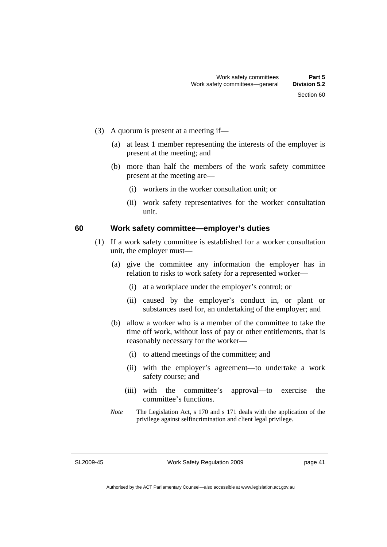- (3) A quorum is present at a meeting if—
	- (a) at least 1 member representing the interests of the employer is present at the meeting; and
	- (b) more than half the members of the work safety committee present at the meeting are—
		- (i) workers in the worker consultation unit; or
		- (ii) work safety representatives for the worker consultation unit.

#### **60 Work safety committee—employer's duties**

- (1) If a work safety committee is established for a worker consultation unit, the employer must—
	- (a) give the committee any information the employer has in relation to risks to work safety for a represented worker—
		- (i) at a workplace under the employer's control; or
		- (ii) caused by the employer's conduct in, or plant or substances used for, an undertaking of the employer; and
	- (b) allow a worker who is a member of the committee to take the time off work, without loss of pay or other entitlements, that is reasonably necessary for the worker—
		- (i) to attend meetings of the committee; and
		- (ii) with the employer's agreement—to undertake a work safety course; and
		- (iii) with the committee's approval—to exercise the committee's functions.
	- *Note* The Legislation Act, s 170 and s 171 deals with the application of the privilege against selfincrimination and client legal privilege.

SL2009-45

Work Safety Regulation 2009

page 41

Authorised by the ACT Parliamentary Counsel—also accessible at www.legislation.act.gov.au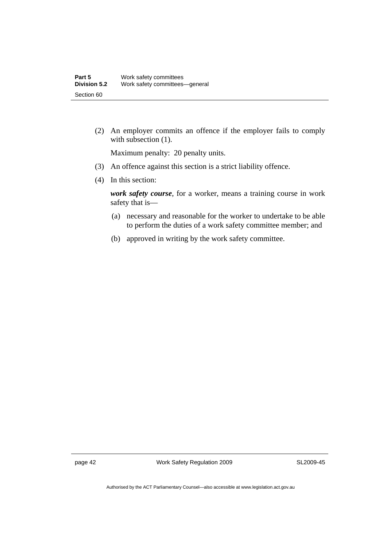(2) An employer commits an offence if the employer fails to comply with subsection  $(1)$ .

Maximum penalty: 20 penalty units.

- (3) An offence against this section is a strict liability offence.
- (4) In this section:

*work safety course*, for a worker, means a training course in work safety that is—

- (a) necessary and reasonable for the worker to undertake to be able to perform the duties of a work safety committee member; and
- (b) approved in writing by the work safety committee.

page 42 Work Safety Regulation 2009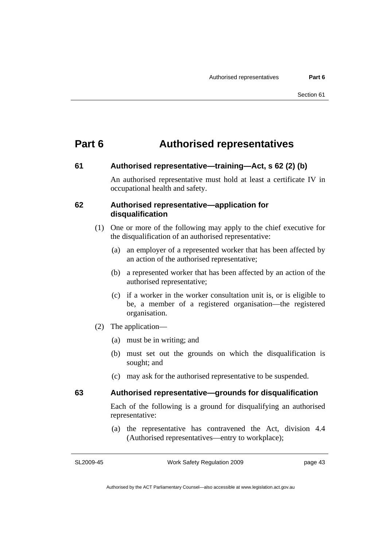# **Part 6 Authorised representatives**

#### **61 Authorised representative—training—Act, s 62 (2) (b)**

An authorised representative must hold at least a certificate IV in occupational health and safety.

#### **62 Authorised representative—application for disqualification**

- (1) One or more of the following may apply to the chief executive for the disqualification of an authorised representative:
	- (a) an employer of a represented worker that has been affected by an action of the authorised representative;
	- (b) a represented worker that has been affected by an action of the authorised representative;
	- (c) if a worker in the worker consultation unit is, or is eligible to be, a member of a registered organisation—the registered organisation.
- (2) The application—
	- (a) must be in writing; and
	- (b) must set out the grounds on which the disqualification is sought; and
	- (c) may ask for the authorised representative to be suspended.

## **63 Authorised representative—grounds for disqualification**

Each of the following is a ground for disqualifying an authorised representative:

 (a) the representative has contravened the Act, division 4.4 (Authorised representatives—entry to workplace);

SL2009-45

Work Safety Regulation 2009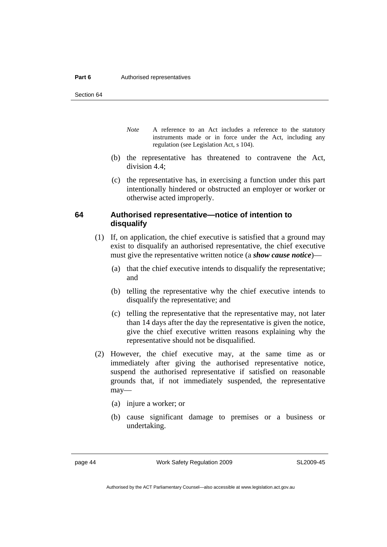#### **Part 6 Authorised representatives**

Section 64

- *Note* A reference to an Act includes a reference to the statutory instruments made or in force under the Act, including any regulation (see Legislation Act, s 104).
- (b) the representative has threatened to contravene the Act, division 4.4;
- (c) the representative has, in exercising a function under this part intentionally hindered or obstructed an employer or worker or otherwise acted improperly.

#### **64 Authorised representative—notice of intention to disqualify**

- (1) If, on application, the chief executive is satisfied that a ground may exist to disqualify an authorised representative, the chief executive must give the representative written notice (a *show cause notice*)—
	- (a) that the chief executive intends to disqualify the representative; and
	- (b) telling the representative why the chief executive intends to disqualify the representative; and
	- (c) telling the representative that the representative may, not later than 14 days after the day the representative is given the notice, give the chief executive written reasons explaining why the representative should not be disqualified.
- (2) However, the chief executive may, at the same time as or immediately after giving the authorised representative notice, suspend the authorised representative if satisfied on reasonable grounds that, if not immediately suspended, the representative may—
	- (a) injure a worker; or
	- (b) cause significant damage to premises or a business or undertaking.

page 44 Work Safety Regulation 2009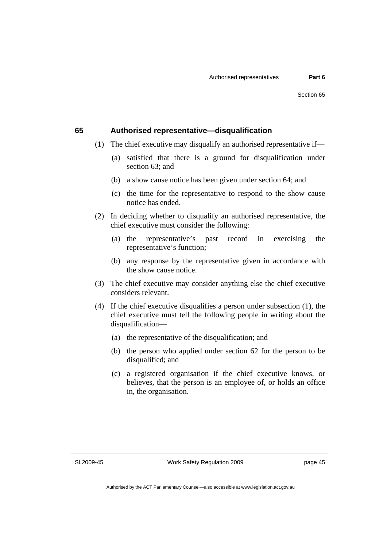#### **65 Authorised representative—disqualification**

- (1) The chief executive may disqualify an authorised representative if—
	- (a) satisfied that there is a ground for disqualification under section 63; and
	- (b) a show cause notice has been given under section 64; and
	- (c) the time for the representative to respond to the show cause notice has ended.
- (2) In deciding whether to disqualify an authorised representative, the chief executive must consider the following:
	- (a) the representative's past record in exercising the representative's function;
	- (b) any response by the representative given in accordance with the show cause notice.
- (3) The chief executive may consider anything else the chief executive considers relevant.
- (4) If the chief executive disqualifies a person under subsection (1), the chief executive must tell the following people in writing about the disqualification—
	- (a) the representative of the disqualification; and
	- (b) the person who applied under section 62 for the person to be disqualified; and
	- (c) a registered organisation if the chief executive knows, or believes, that the person is an employee of, or holds an office in, the organisation.

SL2009-45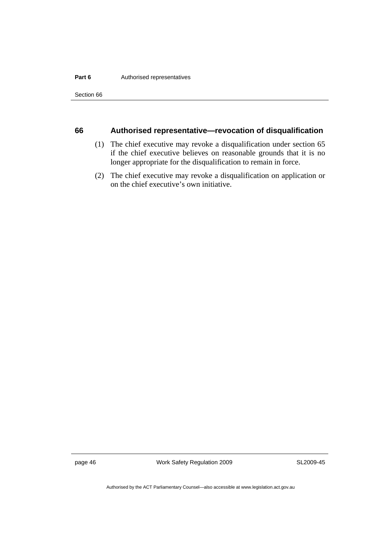#### **Part 6 Authorised representatives**

Section 66

#### **66 Authorised representative—revocation of disqualification**

- (1) The chief executive may revoke a disqualification under section 65 if the chief executive believes on reasonable grounds that it is no longer appropriate for the disqualification to remain in force.
- (2) The chief executive may revoke a disqualification on application or on the chief executive's own initiative.

page 46 Work Safety Regulation 2009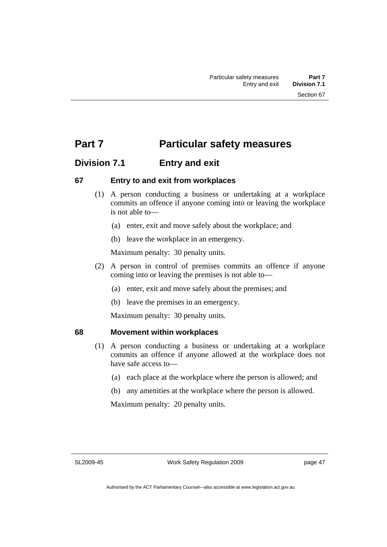# **Part 7** Particular safety measures

## **Division 7.1 Entry and exit**

#### **67 Entry to and exit from workplaces**

- (1) A person conducting a business or undertaking at a workplace commits an offence if anyone coming into or leaving the workplace is not able to—
	- (a) enter, exit and move safely about the workplace; and
	- (b) leave the workplace in an emergency.

Maximum penalty: 30 penalty units.

- (2) A person in control of premises commits an offence if anyone coming into or leaving the premises is not able to—
	- (a) enter, exit and move safely about the premises; and
	- (b) leave the premises in an emergency.

Maximum penalty: 30 penalty units.

#### **68 Movement within workplaces**

- (1) A person conducting a business or undertaking at a workplace commits an offence if anyone allowed at the workplace does not have safe access to—
	- (a) each place at the workplace where the person is allowed; and
	- (b) any amenities at the workplace where the person is allowed.

Maximum penalty: 20 penalty units.

SL2009-45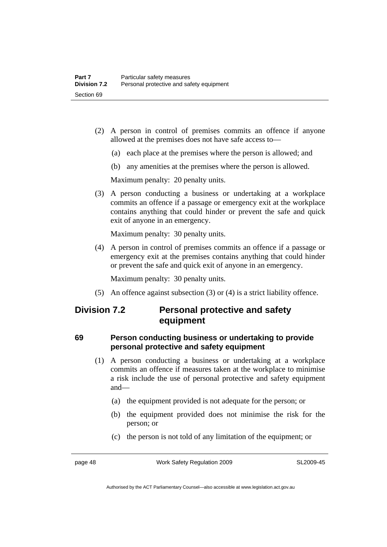- (2) A person in control of premises commits an offence if anyone allowed at the premises does not have safe access to—
	- (a) each place at the premises where the person is allowed; and
	- (b) any amenities at the premises where the person is allowed.

Maximum penalty: 20 penalty units.

 (3) A person conducting a business or undertaking at a workplace commits an offence if a passage or emergency exit at the workplace contains anything that could hinder or prevent the safe and quick exit of anyone in an emergency.

Maximum penalty: 30 penalty units.

 (4) A person in control of premises commits an offence if a passage or emergency exit at the premises contains anything that could hinder or prevent the safe and quick exit of anyone in an emergency.

Maximum penalty: 30 penalty units.

(5) An offence against subsection (3) or (4) is a strict liability offence.

## **Division 7.2 Personal protective and safety equipment**

## **69 Person conducting business or undertaking to provide personal protective and safety equipment**

- (1) A person conducting a business or undertaking at a workplace commits an offence if measures taken at the workplace to minimise a risk include the use of personal protective and safety equipment and—
	- (a) the equipment provided is not adequate for the person; or
	- (b) the equipment provided does not minimise the risk for the person; or
	- (c) the person is not told of any limitation of the equipment; or

page 48 Work Safety Regulation 2009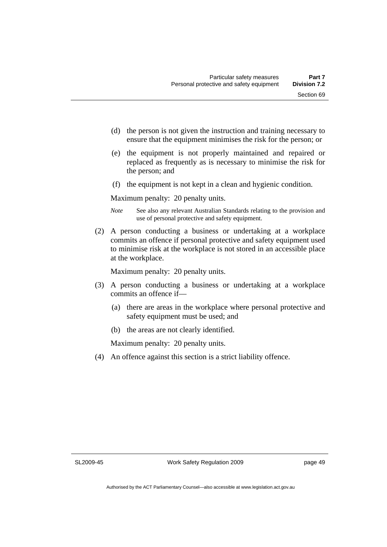- (d) the person is not given the instruction and training necessary to ensure that the equipment minimises the risk for the person; or
- (e) the equipment is not properly maintained and repaired or replaced as frequently as is necessary to minimise the risk for the person; and
- (f) the equipment is not kept in a clean and hygienic condition.

Maximum penalty: 20 penalty units.

- *Note* See also any relevant Australian Standards relating to the provision and use of personal protective and safety equipment.
- (2) A person conducting a business or undertaking at a workplace commits an offence if personal protective and safety equipment used to minimise risk at the workplace is not stored in an accessible place at the workplace.

Maximum penalty: 20 penalty units.

- (3) A person conducting a business or undertaking at a workplace commits an offence if—
	- (a) there are areas in the workplace where personal protective and safety equipment must be used; and
	- (b) the areas are not clearly identified.

Maximum penalty: 20 penalty units.

(4) An offence against this section is a strict liability offence.

SL2009-45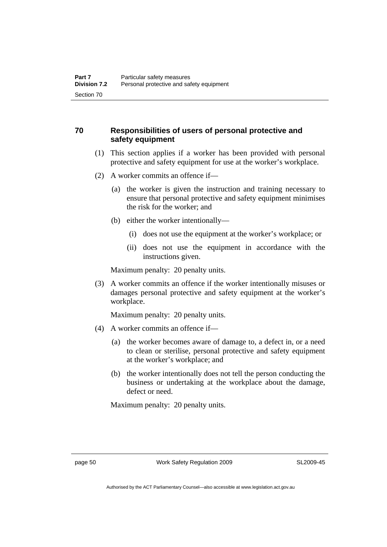## **70 Responsibilities of users of personal protective and safety equipment**

- (1) This section applies if a worker has been provided with personal protective and safety equipment for use at the worker's workplace.
- (2) A worker commits an offence if—
	- (a) the worker is given the instruction and training necessary to ensure that personal protective and safety equipment minimises the risk for the worker; and
	- (b) either the worker intentionally—
		- (i) does not use the equipment at the worker's workplace; or
		- (ii) does not use the equipment in accordance with the instructions given.

Maximum penalty: 20 penalty units.

 (3) A worker commits an offence if the worker intentionally misuses or damages personal protective and safety equipment at the worker's workplace.

Maximum penalty: 20 penalty units.

- (4) A worker commits an offence if—
	- (a) the worker becomes aware of damage to, a defect in, or a need to clean or sterilise, personal protective and safety equipment at the worker's workplace; and
	- (b) the worker intentionally does not tell the person conducting the business or undertaking at the workplace about the damage, defect or need.

Maximum penalty: 20 penalty units.

page 50 Work Safety Regulation 2009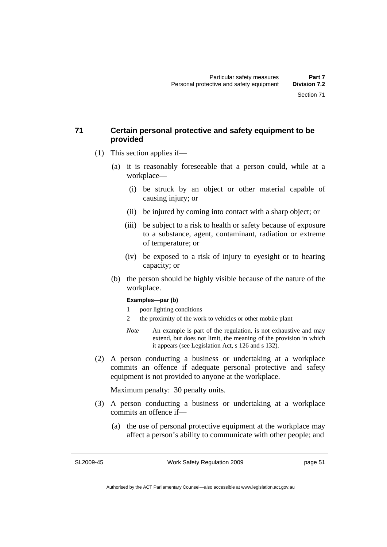## **71 Certain personal protective and safety equipment to be provided**

- (1) This section applies if—
	- (a) it is reasonably foreseeable that a person could, while at a workplace—
		- (i) be struck by an object or other material capable of causing injury; or
		- (ii) be injured by coming into contact with a sharp object; or
		- (iii) be subject to a risk to health or safety because of exposure to a substance, agent, contaminant, radiation or extreme of temperature; or
		- (iv) be exposed to a risk of injury to eyesight or to hearing capacity; or
	- (b) the person should be highly visible because of the nature of the workplace.

#### **Examples—par (b)**

- 1 poor lighting conditions
- 2 the proximity of the work to vehicles or other mobile plant
- *Note* An example is part of the regulation, is not exhaustive and may extend, but does not limit, the meaning of the provision in which it appears (see Legislation Act, s 126 and s 132).
- (2) A person conducting a business or undertaking at a workplace commits an offence if adequate personal protective and safety equipment is not provided to anyone at the workplace.

Maximum penalty: 30 penalty units.

- (3) A person conducting a business or undertaking at a workplace commits an offence if—
	- (a) the use of personal protective equipment at the workplace may affect a person's ability to communicate with other people; and

SL2009-45

Work Safety Regulation 2009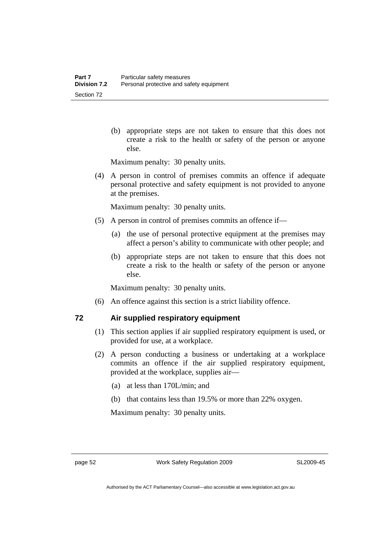(b) appropriate steps are not taken to ensure that this does not create a risk to the health or safety of the person or anyone else.

Maximum penalty: 30 penalty units.

 (4) A person in control of premises commits an offence if adequate personal protective and safety equipment is not provided to anyone at the premises.

Maximum penalty: 30 penalty units.

- (5) A person in control of premises commits an offence if—
	- (a) the use of personal protective equipment at the premises may affect a person's ability to communicate with other people; and
	- (b) appropriate steps are not taken to ensure that this does not create a risk to the health or safety of the person or anyone else.

Maximum penalty: 30 penalty units.

(6) An offence against this section is a strict liability offence.

## **72 Air supplied respiratory equipment**

- (1) This section applies if air supplied respiratory equipment is used, or provided for use, at a workplace.
- (2) A person conducting a business or undertaking at a workplace commits an offence if the air supplied respiratory equipment, provided at the workplace, supplies air—
	- (a) at less than 170L/min; and
	- (b) that contains less than 19.5% or more than 22% oxygen.

Maximum penalty: 30 penalty units.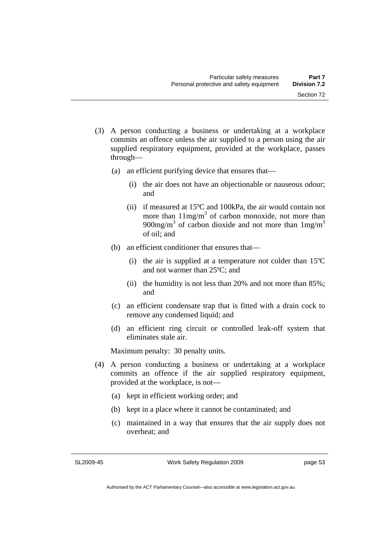- (3) A person conducting a business or undertaking at a workplace commits an offence unless the air supplied to a person using the air supplied respiratory equipment, provided at the workplace, passes through—
	- (a) an efficient purifying device that ensures that—
		- (i) the air does not have an objectionable or nauseous odour; and
		- (ii) if measured at 15ºC and 100kPa, the air would contain not more than  $11mg/m<sup>3</sup>$  of carbon monoxide, not more than 900mg/m<sup>3</sup> of carbon dioxide and not more than  $1 \text{mg/m}^3$ of oil; and
	- (b) an efficient conditioner that ensures that—
		- (i) the air is supplied at a temperature not colder than 15ºC and not warmer than 25ºC; and
		- (ii) the humidity is not less than 20% and not more than 85%; and
	- (c) an efficient condensate trap that is fitted with a drain cock to remove any condensed liquid; and
	- (d) an efficient ring circuit or controlled leak-off system that eliminates stale air.

Maximum penalty: 30 penalty units.

- (4) A person conducting a business or undertaking at a workplace commits an offence if the air supplied respiratory equipment, provided at the workplace, is not—
	- (a) kept in efficient working order; and
	- (b) kept in a place where it cannot be contaminated; and
	- (c) maintained in a way that ensures that the air supply does not overheat; and

SL2009-45

Work Safety Regulation 2009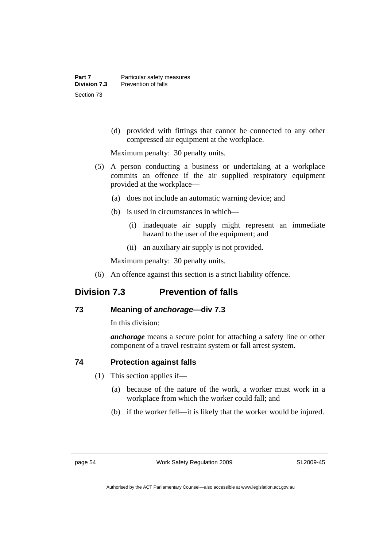(d) provided with fittings that cannot be connected to any other compressed air equipment at the workplace.

Maximum penalty: 30 penalty units.

- (5) A person conducting a business or undertaking at a workplace commits an offence if the air supplied respiratory equipment provided at the workplace—
	- (a) does not include an automatic warning device; and
	- (b) is used in circumstances in which—
		- (i) inadequate air supply might represent an immediate hazard to the user of the equipment; and
		- (ii) an auxiliary air supply is not provided.

Maximum penalty: 30 penalty units.

(6) An offence against this section is a strict liability offence.

# **Division 7.3 Prevention of falls**

## **73 Meaning of** *anchorage—***div 7.3**

In this division:

*anchorage* means a secure point for attaching a safety line or other component of a travel restraint system or fall arrest system.

## **74 Protection against falls**

- (1) This section applies if—
	- (a) because of the nature of the work, a worker must work in a workplace from which the worker could fall; and
	- (b) if the worker fell—it is likely that the worker would be injured.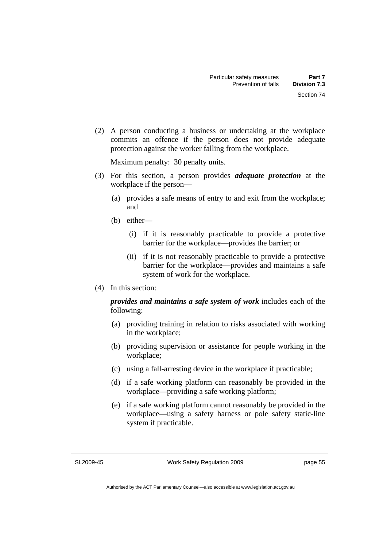Section 74

- 
- (2) A person conducting a business or undertaking at the workplace commits an offence if the person does not provide adequate protection against the worker falling from the workplace.

Maximum penalty: 30 penalty units.

- (3) For this section, a person provides *adequate protection* at the workplace if the person—
	- (a) provides a safe means of entry to and exit from the workplace; and
	- (b) either—
		- (i) if it is reasonably practicable to provide a protective barrier for the workplace—provides the barrier; or
		- (ii) if it is not reasonably practicable to provide a protective barrier for the workplace—provides and maintains a safe system of work for the workplace.
- (4) In this section:

*provides and maintains a safe system of work* includes each of the following:

- (a) providing training in relation to risks associated with working in the workplace;
- (b) providing supervision or assistance for people working in the workplace;
- (c) using a fall-arresting device in the workplace if practicable;
- (d) if a safe working platform can reasonably be provided in the workplace—providing a safe working platform;
- (e) if a safe working platform cannot reasonably be provided in the workplace—using a safety harness or pole safety static-line system if practicable.

SL2009-45

Work Safety Regulation 2009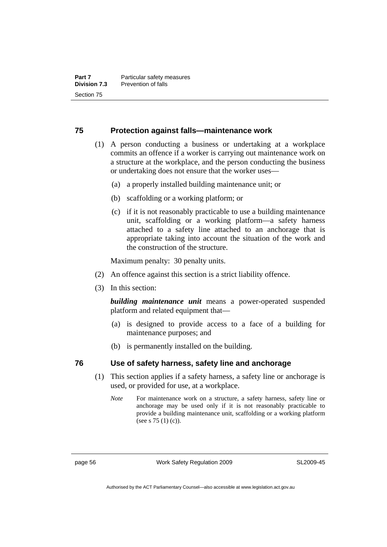#### **75 Protection against falls—maintenance work**

- (1) A person conducting a business or undertaking at a workplace commits an offence if a worker is carrying out maintenance work on a structure at the workplace, and the person conducting the business or undertaking does not ensure that the worker uses—
	- (a) a properly installed building maintenance unit; or
	- (b) scaffolding or a working platform; or
	- (c) if it is not reasonably practicable to use a building maintenance unit, scaffolding or a working platform—a safety harness attached to a safety line attached to an anchorage that is appropriate taking into account the situation of the work and the construction of the structure.

Maximum penalty: 30 penalty units.

- (2) An offence against this section is a strict liability offence.
- (3) In this section:

*building maintenance unit* means a power-operated suspended platform and related equipment that—

- (a) is designed to provide access to a face of a building for maintenance purposes; and
- (b) is permanently installed on the building.

#### **76 Use of safety harness, safety line and anchorage**

- (1) This section applies if a safety harness, a safety line or anchorage is used, or provided for use, at a workplace.
	- *Note* For maintenance work on a structure, a safety harness, safety line or anchorage may be used only if it is not reasonably practicable to provide a building maintenance unit, scaffolding or a working platform (see s 75 (1) (c)).

page 56 Work Safety Regulation 2009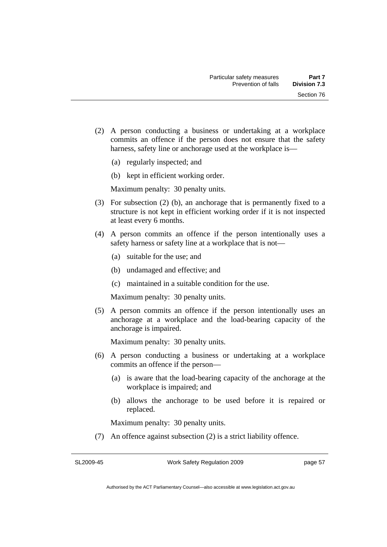- (2) A person conducting a business or undertaking at a workplace commits an offence if the person does not ensure that the safety harness, safety line or anchorage used at the workplace is—
	- (a) regularly inspected; and
	- (b) kept in efficient working order.

Maximum penalty: 30 penalty units.

- (3) For subsection (2) (b), an anchorage that is permanently fixed to a structure is not kept in efficient working order if it is not inspected at least every 6 months.
- (4) A person commits an offence if the person intentionally uses a safety harness or safety line at a workplace that is not—
	- (a) suitable for the use; and
	- (b) undamaged and effective; and
	- (c) maintained in a suitable condition for the use.

Maximum penalty: 30 penalty units.

 (5) A person commits an offence if the person intentionally uses an anchorage at a workplace and the load-bearing capacity of the anchorage is impaired.

Maximum penalty: 30 penalty units.

- (6) A person conducting a business or undertaking at a workplace commits an offence if the person—
	- (a) is aware that the load-bearing capacity of the anchorage at the workplace is impaired; and
	- (b) allows the anchorage to be used before it is repaired or replaced.

Maximum penalty: 30 penalty units.

(7) An offence against subsection (2) is a strict liability offence.

SL2009-45

Work Safety Regulation 2009

page 57

Authorised by the ACT Parliamentary Counsel—also accessible at www.legislation.act.gov.au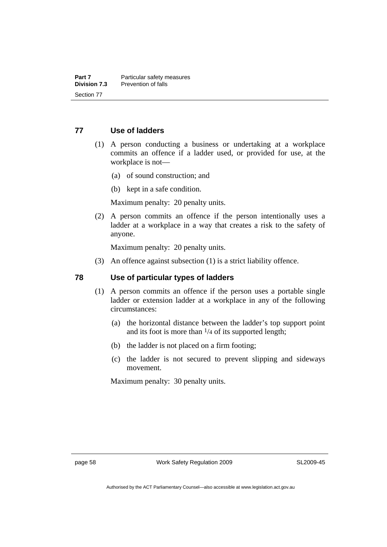#### **77 Use of ladders**

- (1) A person conducting a business or undertaking at a workplace commits an offence if a ladder used, or provided for use, at the workplace is not—
	- (a) of sound construction; and
	- (b) kept in a safe condition.

Maximum penalty: 20 penalty units.

 (2) A person commits an offence if the person intentionally uses a ladder at a workplace in a way that creates a risk to the safety of anyone.

Maximum penalty: 20 penalty units.

(3) An offence against subsection (1) is a strict liability offence.

#### **78 Use of particular types of ladders**

- (1) A person commits an offence if the person uses a portable single ladder or extension ladder at a workplace in any of the following circumstances:
	- (a) the horizontal distance between the ladder's top support point and its foot is more than  $\frac{1}{4}$  of its supported length;
	- (b) the ladder is not placed on a firm footing;
	- (c) the ladder is not secured to prevent slipping and sideways movement.

Maximum penalty: 30 penalty units.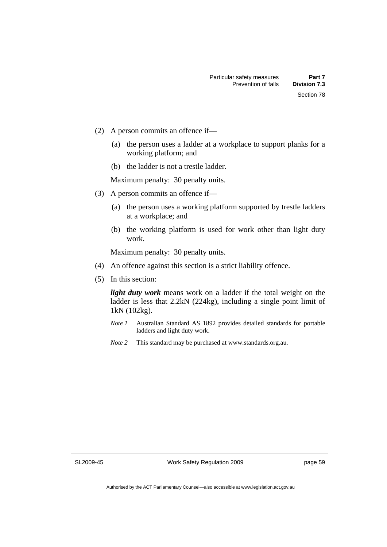- (2) A person commits an offence if—
	- (a) the person uses a ladder at a workplace to support planks for a working platform; and
	- (b) the ladder is not a trestle ladder.

Maximum penalty: 30 penalty units.

- (3) A person commits an offence if—
	- (a) the person uses a working platform supported by trestle ladders at a workplace; and
	- (b) the working platform is used for work other than light duty work.

Maximum penalty: 30 penalty units.

- (4) An offence against this section is a strict liability offence.
- (5) In this section:

*light duty work* means work on a ladder if the total weight on the ladder is less that 2.2kN (224kg), including a single point limit of 1kN (102kg).

- *Note 1* Australian Standard AS 1892 provides detailed standards for portable ladders and light duty work.
- *Note 2* This standard may be purchased at www.standards.org.au.

SL2009-45

Work Safety Regulation 2009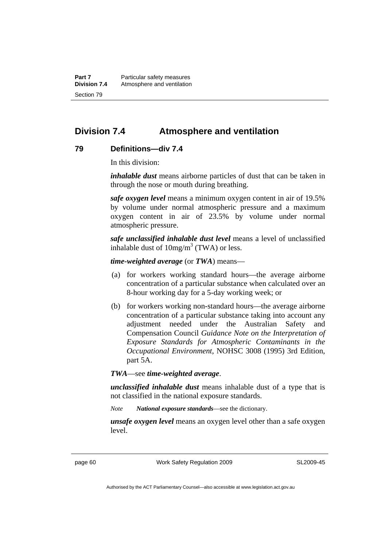**Part 7** Particular safety measures<br>**Division 7.4** Atmosphere and ventilation **Division 7.4** Atmosphere and ventilation Section 79

# **Division 7.4 Atmosphere and ventilation**

## **79 Definitions—div 7.4**

In this division:

*inhalable dust* means airborne particles of dust that can be taken in through the nose or mouth during breathing.

*safe oxygen level* means a minimum oxygen content in air of 19.5% by volume under normal atmospheric pressure and a maximum oxygen content in air of 23.5% by volume under normal atmospheric pressure.

*safe unclassified inhalable dust level* means a level of unclassified inhalable dust of  $10mg/m<sup>3</sup>$  (TWA) or less.

*time-weighted average* (or *TWA*) means—

- (a) for workers working standard hours—the average airborne concentration of a particular substance when calculated over an 8-hour working day for a 5-day working week; or
- (b) for workers working non-standard hours—the average airborne concentration of a particular substance taking into account any adjustment needed under the Australian Safety and Compensation Council *Guidance Note on the Interpretation of Exposure Standards for Atmospheric Contaminants in the Occupational Environment*, NOHSC 3008 (1995) 3rd Edition, part 5A.

*TWA*—see *time-weighted average*.

*unclassified inhalable dust* means inhalable dust of a type that is not classified in the national exposure standards.

*Note National exposure standards*—see the dictionary.

*unsafe oxygen level* means an oxygen level other than a safe oxygen level.

page 60 Work Safety Regulation 2009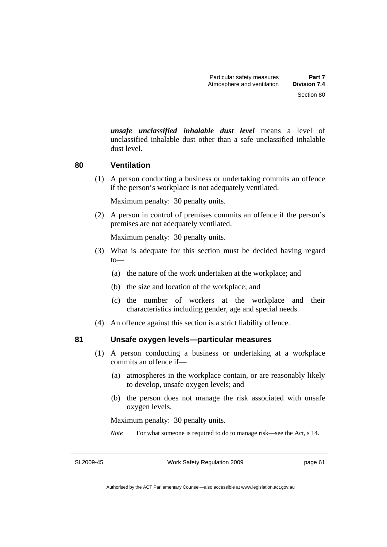*unsafe unclassified inhalable dust level* means a level of unclassified inhalable dust other than a safe unclassified inhalable dust level.

## **80 Ventilation**

 (1) A person conducting a business or undertaking commits an offence if the person's workplace is not adequately ventilated.

Maximum penalty: 30 penalty units.

 (2) A person in control of premises commits an offence if the person's premises are not adequately ventilated.

Maximum penalty: 30 penalty units.

- (3) What is adequate for this section must be decided having regard to—
	- (a) the nature of the work undertaken at the workplace; and
	- (b) the size and location of the workplace; and
	- (c) the number of workers at the workplace and their characteristics including gender, age and special needs.
- (4) An offence against this section is a strict liability offence.

## **81 Unsafe oxygen levels—particular measures**

- (1) A person conducting a business or undertaking at a workplace commits an offence if—
	- (a) atmospheres in the workplace contain, or are reasonably likely to develop, unsafe oxygen levels; and
	- (b) the person does not manage the risk associated with unsafe oxygen levels.

Maximum penalty: 30 penalty units.

*Note* For what someone is required to do to manage risk—see the Act, s 14.

SL2009-45

Work Safety Regulation 2009

page 61

Authorised by the ACT Parliamentary Counsel—also accessible at www.legislation.act.gov.au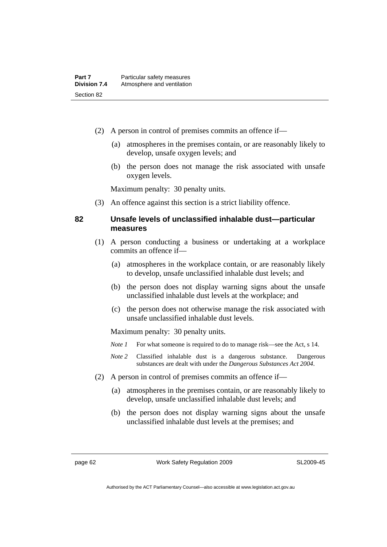- (2) A person in control of premises commits an offence if—
	- (a) atmospheres in the premises contain, or are reasonably likely to develop, unsafe oxygen levels; and
	- (b) the person does not manage the risk associated with unsafe oxygen levels.

Maximum penalty: 30 penalty units.

(3) An offence against this section is a strict liability offence.

## **82 Unsafe levels of unclassified inhalable dust—particular measures**

- (1) A person conducting a business or undertaking at a workplace commits an offence if—
	- (a) atmospheres in the workplace contain, or are reasonably likely to develop, unsafe unclassified inhalable dust levels; and
	- (b) the person does not display warning signs about the unsafe unclassified inhalable dust levels at the workplace; and
	- (c) the person does not otherwise manage the risk associated with unsafe unclassified inhalable dust levels.

Maximum penalty: 30 penalty units.

- *Note 1* For what someone is required to do to manage risk—see the Act, s 14.
- *Note 2* Classified inhalable dust is a dangerous substance. Dangerous substances are dealt with under the *Dangerous Substances Act 2004*.
- (2) A person in control of premises commits an offence if—
	- (a) atmospheres in the premises contain, or are reasonably likely to develop, unsafe unclassified inhalable dust levels; and
	- (b) the person does not display warning signs about the unsafe unclassified inhalable dust levels at the premises; and

page 62 Work Safety Regulation 2009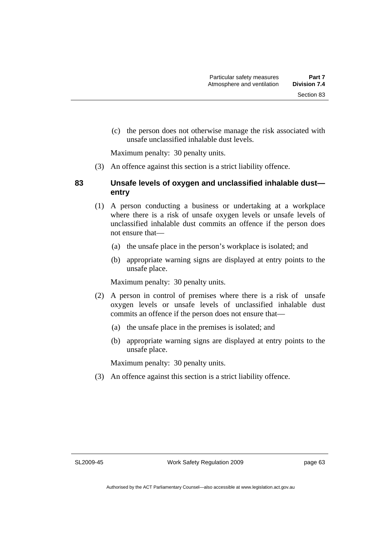Section 83

 (c) the person does not otherwise manage the risk associated with unsafe unclassified inhalable dust levels.

Maximum penalty: 30 penalty units.

(3) An offence against this section is a strict liability offence.

## **83 Unsafe levels of oxygen and unclassified inhalable dust entry**

- (1) A person conducting a business or undertaking at a workplace where there is a risk of unsafe oxygen levels or unsafe levels of unclassified inhalable dust commits an offence if the person does not ensure that—
	- (a) the unsafe place in the person's workplace is isolated; and
	- (b) appropriate warning signs are displayed at entry points to the unsafe place.

Maximum penalty: 30 penalty units.

- (2) A person in control of premises where there is a risk of unsafe oxygen levels or unsafe levels of unclassified inhalable dust commits an offence if the person does not ensure that—
	- (a) the unsafe place in the premises is isolated; and
	- (b) appropriate warning signs are displayed at entry points to the unsafe place.

Maximum penalty: 30 penalty units.

(3) An offence against this section is a strict liability offence.

SL2009-45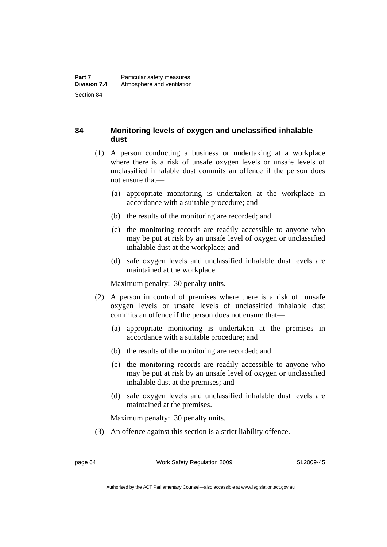## **84 Monitoring levels of oxygen and unclassified inhalable dust**

- (1) A person conducting a business or undertaking at a workplace where there is a risk of unsafe oxygen levels or unsafe levels of unclassified inhalable dust commits an offence if the person does not ensure that—
	- (a) appropriate monitoring is undertaken at the workplace in accordance with a suitable procedure; and
	- (b) the results of the monitoring are recorded; and
	- (c) the monitoring records are readily accessible to anyone who may be put at risk by an unsafe level of oxygen or unclassified inhalable dust at the workplace; and
	- (d) safe oxygen levels and unclassified inhalable dust levels are maintained at the workplace.

Maximum penalty: 30 penalty units.

- (2) A person in control of premises where there is a risk of unsafe oxygen levels or unsafe levels of unclassified inhalable dust commits an offence if the person does not ensure that—
	- (a) appropriate monitoring is undertaken at the premises in accordance with a suitable procedure; and
	- (b) the results of the monitoring are recorded; and
	- (c) the monitoring records are readily accessible to anyone who may be put at risk by an unsafe level of oxygen or unclassified inhalable dust at the premises; and
	- (d) safe oxygen levels and unclassified inhalable dust levels are maintained at the premises.

Maximum penalty: 30 penalty units.

(3) An offence against this section is a strict liability offence.

page 64 Work Safety Regulation 2009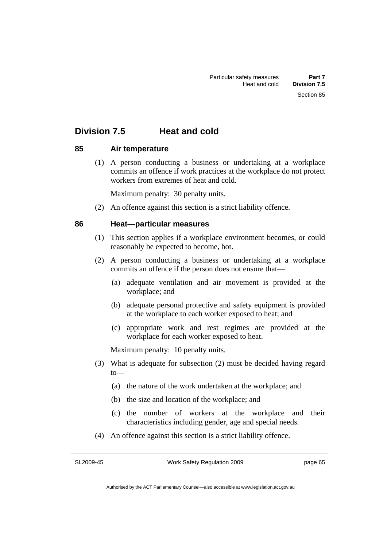# **Division 7.5 Heat and cold**

## **85 Air temperature**

 (1) A person conducting a business or undertaking at a workplace commits an offence if work practices at the workplace do not protect workers from extremes of heat and cold.

Maximum penalty: 30 penalty units.

(2) An offence against this section is a strict liability offence.

## **86 Heat—particular measures**

- (1) This section applies if a workplace environment becomes, or could reasonably be expected to become, hot.
- (2) A person conducting a business or undertaking at a workplace commits an offence if the person does not ensure that—
	- (a) adequate ventilation and air movement is provided at the workplace; and
	- (b) adequate personal protective and safety equipment is provided at the workplace to each worker exposed to heat; and
	- (c) appropriate work and rest regimes are provided at the workplace for each worker exposed to heat.

Maximum penalty: 10 penalty units.

- (3) What is adequate for subsection (2) must be decided having regard to—
	- (a) the nature of the work undertaken at the workplace; and
	- (b) the size and location of the workplace; and
	- (c) the number of workers at the workplace and their characteristics including gender, age and special needs.
- (4) An offence against this section is a strict liability offence.

SL2009-45

Work Safety Regulation 2009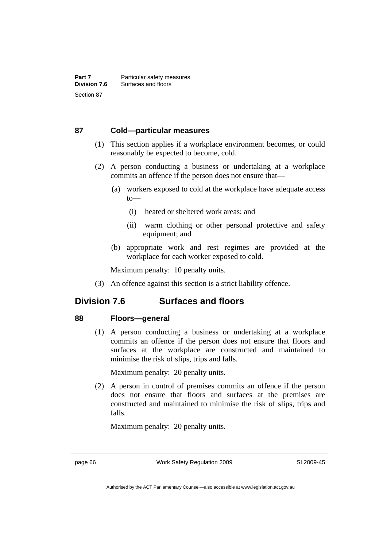## **87 Cold—particular measures**

- (1) This section applies if a workplace environment becomes, or could reasonably be expected to become, cold.
- (2) A person conducting a business or undertaking at a workplace commits an offence if the person does not ensure that—
	- (a) workers exposed to cold at the workplace have adequate access to—
		- (i) heated or sheltered work areas; and
		- (ii) warm clothing or other personal protective and safety equipment; and
	- (b) appropriate work and rest regimes are provided at the workplace for each worker exposed to cold.

Maximum penalty: 10 penalty units.

(3) An offence against this section is a strict liability offence.

# **Division 7.6 Surfaces and floors**

## **88 Floors—general**

 (1) A person conducting a business or undertaking at a workplace commits an offence if the person does not ensure that floors and surfaces at the workplace are constructed and maintained to minimise the risk of slips, trips and falls.

Maximum penalty: 20 penalty units.

 (2) A person in control of premises commits an offence if the person does not ensure that floors and surfaces at the premises are constructed and maintained to minimise the risk of slips, trips and falls.

Maximum penalty: 20 penalty units.

page 66 Work Safety Regulation 2009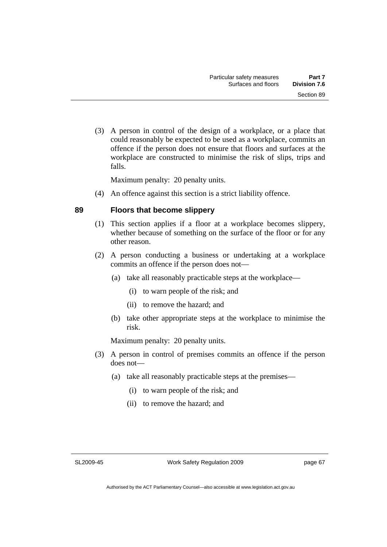(3) A person in control of the design of a workplace, or a place that could reasonably be expected to be used as a workplace, commits an offence if the person does not ensure that floors and surfaces at the workplace are constructed to minimise the risk of slips, trips and falls.

Maximum penalty: 20 penalty units.

(4) An offence against this section is a strict liability offence.

## **89 Floors that become slippery**

- (1) This section applies if a floor at a workplace becomes slippery, whether because of something on the surface of the floor or for any other reason.
- (2) A person conducting a business or undertaking at a workplace commits an offence if the person does not—
	- (a) take all reasonably practicable steps at the workplace—
		- (i) to warn people of the risk; and
		- (ii) to remove the hazard; and
	- (b) take other appropriate steps at the workplace to minimise the risk.

Maximum penalty: 20 penalty units.

- (3) A person in control of premises commits an offence if the person does not—
	- (a) take all reasonably practicable steps at the premises—
		- (i) to warn people of the risk; and
		- (ii) to remove the hazard; and

SL2009-45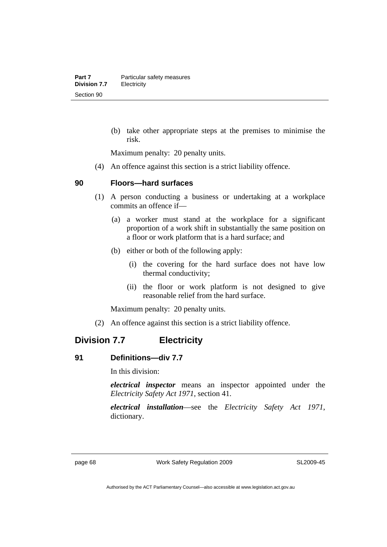(b) take other appropriate steps at the premises to minimise the risk.

Maximum penalty: 20 penalty units.

(4) An offence against this section is a strict liability offence.

### **90 Floors—hard surfaces**

- (1) A person conducting a business or undertaking at a workplace commits an offence if—
	- (a) a worker must stand at the workplace for a significant proportion of a work shift in substantially the same position on a floor or work platform that is a hard surface; and
	- (b) either or both of the following apply:
		- (i) the covering for the hard surface does not have low thermal conductivity;
		- (ii) the floor or work platform is not designed to give reasonable relief from the hard surface.

Maximum penalty: 20 penalty units.

(2) An offence against this section is a strict liability offence.

# **Division 7.7 Electricity**

## **91 Definitions—div 7.7**

In this division:

*electrical inspector* means an inspector appointed under the *Electricity Safety Act 1971*, section 41.

*electrical installation*—see the *Electricity Safety Act 1971*, dictionary.

page 68 Work Safety Regulation 2009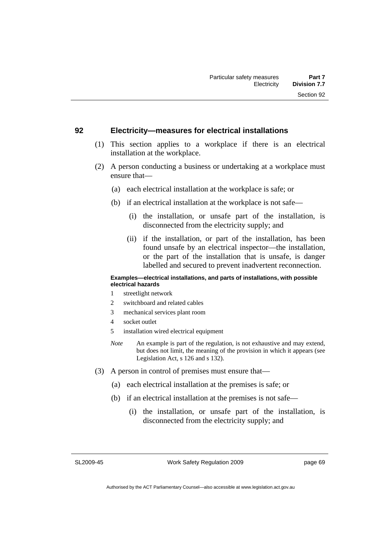# **92 Electricity—measures for electrical installations**

- (1) This section applies to a workplace if there is an electrical installation at the workplace.
- (2) A person conducting a business or undertaking at a workplace must ensure that—
	- (a) each electrical installation at the workplace is safe; or
	- (b) if an electrical installation at the workplace is not safe—
		- (i) the installation, or unsafe part of the installation, is disconnected from the electricity supply; and
		- (ii) if the installation, or part of the installation, has been found unsafe by an electrical inspector—the installation, or the part of the installation that is unsafe, is danger labelled and secured to prevent inadvertent reconnection.

#### **Examples—electrical installations, and parts of installations, with possible electrical hazards**

- 1 streetlight network
- 2 switchboard and related cables
- 3 mechanical services plant room
- 4 socket outlet
- 5 installation wired electrical equipment
- *Note* An example is part of the regulation, is not exhaustive and may extend, but does not limit, the meaning of the provision in which it appears (see Legislation Act, s 126 and s 132).
- (3) A person in control of premises must ensure that—
	- (a) each electrical installation at the premises is safe; or
	- (b) if an electrical installation at the premises is not safe—
		- (i) the installation, or unsafe part of the installation, is disconnected from the electricity supply; and

SL2009-45

Work Safety Regulation 2009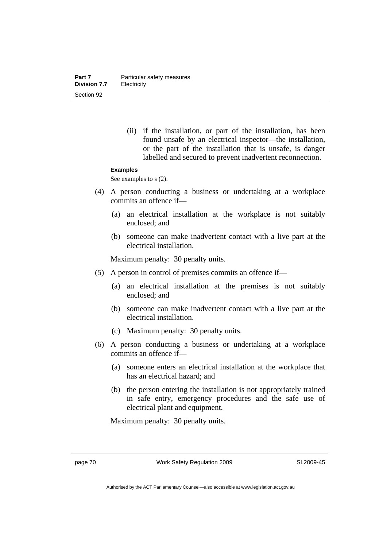(ii) if the installation, or part of the installation, has been found unsafe by an electrical inspector—the installation, or the part of the installation that is unsafe, is danger labelled and secured to prevent inadvertent reconnection.

#### **Examples**

See examples to s  $(2)$ .

- (4) A person conducting a business or undertaking at a workplace commits an offence if—
	- (a) an electrical installation at the workplace is not suitably enclosed; and
	- (b) someone can make inadvertent contact with a live part at the electrical installation.

Maximum penalty: 30 penalty units.

- (5) A person in control of premises commits an offence if—
	- (a) an electrical installation at the premises is not suitably enclosed; and
	- (b) someone can make inadvertent contact with a live part at the electrical installation.
	- (c) Maximum penalty: 30 penalty units.
- (6) A person conducting a business or undertaking at a workplace commits an offence if—
	- (a) someone enters an electrical installation at the workplace that has an electrical hazard; and
	- (b) the person entering the installation is not appropriately trained in safe entry, emergency procedures and the safe use of electrical plant and equipment.

Maximum penalty: 30 penalty units.

page 70 Work Safety Regulation 2009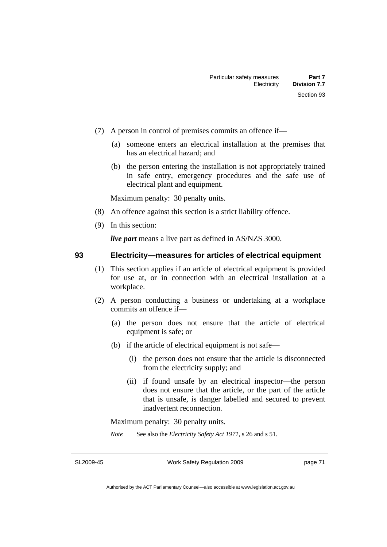- (7) A person in control of premises commits an offence if—
	- (a) someone enters an electrical installation at the premises that has an electrical hazard; and
	- (b) the person entering the installation is not appropriately trained in safe entry, emergency procedures and the safe use of electrical plant and equipment.

Maximum penalty: 30 penalty units.

- (8) An offence against this section is a strict liability offence.
- (9) In this section:

*live part* means a live part as defined in AS/NZS 3000.

## **93 Electricity—measures for articles of electrical equipment**

- (1) This section applies if an article of electrical equipment is provided for use at, or in connection with an electrical installation at a workplace.
- (2) A person conducting a business or undertaking at a workplace commits an offence if—
	- (a) the person does not ensure that the article of electrical equipment is safe; or
	- (b) if the article of electrical equipment is not safe—
		- (i) the person does not ensure that the article is disconnected from the electricity supply; and
		- (ii) if found unsafe by an electrical inspector—the person does not ensure that the article, or the part of the article that is unsafe, is danger labelled and secured to prevent inadvertent reconnection.

Maximum penalty: 30 penalty units.

*Note* See also the *Electricity Safety Act 1971*, s 26 and s 51.

SL2009-45

Work Safety Regulation 2009

page 71

Authorised by the ACT Parliamentary Counsel—also accessible at www.legislation.act.gov.au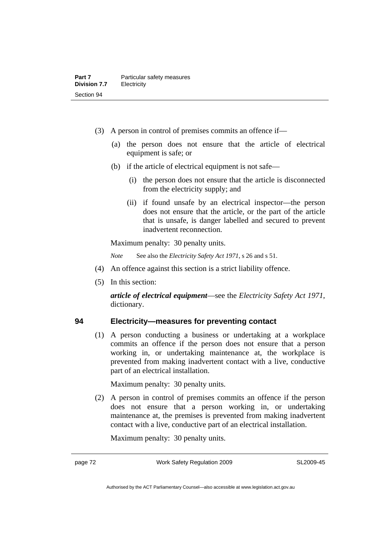- (3) A person in control of premises commits an offence if—
	- (a) the person does not ensure that the article of electrical equipment is safe; or
	- (b) if the article of electrical equipment is not safe—
		- (i) the person does not ensure that the article is disconnected from the electricity supply; and
		- (ii) if found unsafe by an electrical inspector—the person does not ensure that the article, or the part of the article that is unsafe, is danger labelled and secured to prevent inadvertent reconnection.

Maximum penalty: 30 penalty units.

*Note* See also the *Electricity Safety Act 1971*, s 26 and s 51.

- (4) An offence against this section is a strict liability offence.
- (5) In this section:

*article of electrical equipment*—see the *Electricity Safety Act 1971*, dictionary.

## **94 Electricity—measures for preventing contact**

 (1) A person conducting a business or undertaking at a workplace commits an offence if the person does not ensure that a person working in, or undertaking maintenance at, the workplace is prevented from making inadvertent contact with a live, conductive part of an electrical installation.

Maximum penalty: 30 penalty units.

 (2) A person in control of premises commits an offence if the person does not ensure that a person working in, or undertaking maintenance at, the premises is prevented from making inadvertent contact with a live, conductive part of an electrical installation.

Maximum penalty: 30 penalty units.

page 72 Work Safety Regulation 2009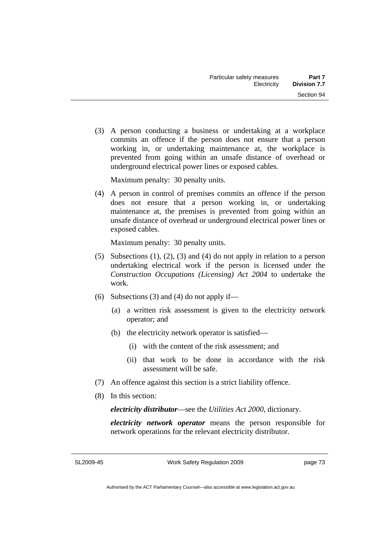(3) A person conducting a business or undertaking at a workplace commits an offence if the person does not ensure that a person working in, or undertaking maintenance at, the workplace is prevented from going within an unsafe distance of overhead or underground electrical power lines or exposed cables.

Maximum penalty: 30 penalty units.

 (4) A person in control of premises commits an offence if the person does not ensure that a person working in, or undertaking maintenance at, the premises is prevented from going within an unsafe distance of overhead or underground electrical power lines or exposed cables.

Maximum penalty: 30 penalty units.

- (5) Subsections (1), (2), (3) and (4) do not apply in relation to a person undertaking electrical work if the person is licensed under the *Construction Occupations (Licensing) Act 2004* to undertake the work.
- (6) Subsections (3) and (4) do not apply if—
	- (a) a written risk assessment is given to the electricity network operator; and
	- (b) the electricity network operator is satisfied—
		- (i) with the content of the risk assessment; and
		- (ii) that work to be done in accordance with the risk assessment will be safe.
- (7) An offence against this section is a strict liability offence.
- (8) In this section:

*electricity distributor*—see the *Utilities Act 2000*, dictionary.

*electricity network operator* means the person responsible for network operations for the relevant electricity distributor.

SL2009-45

Work Safety Regulation 2009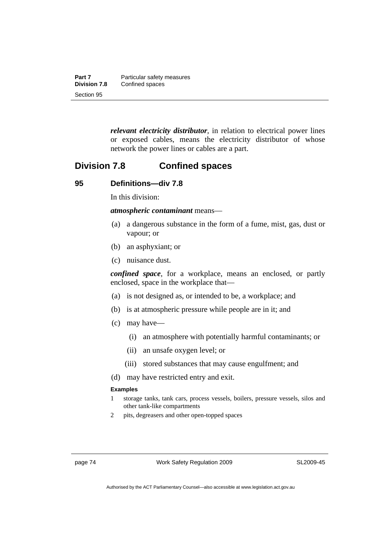| Part 7              | Particular safety measures |
|---------------------|----------------------------|
| <b>Division 7.8</b> | Confined spaces            |
| Section 95          |                            |

*relevant electricity distributor*, in relation to electrical power lines or exposed cables, means the electricity distributor of whose network the power lines or cables are a part.

# **Division 7.8 Confined spaces**

## **95 Definitions—div 7.8**

In this division:

*atmospheric contaminant* means—

- (a) a dangerous substance in the form of a fume, mist, gas, dust or vapour; or
- (b) an asphyxiant; or
- (c) nuisance dust.

*confined space*, for a workplace, means an enclosed, or partly enclosed, space in the workplace that—

- (a) is not designed as, or intended to be, a workplace; and
- (b) is at atmospheric pressure while people are in it; and
- (c) may have—
	- (i) an atmosphere with potentially harmful contaminants; or
	- (ii) an unsafe oxygen level; or
	- (iii) stored substances that may cause engulfment; and
- (d) may have restricted entry and exit.

#### **Examples**

- 1 storage tanks, tank cars, process vessels, boilers, pressure vessels, silos and other tank-like compartments
- 2 pits, degreasers and other open-topped spaces

page 74 Work Safety Regulation 2009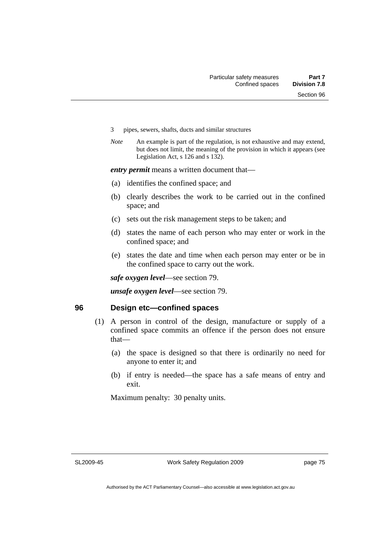- 3 pipes, sewers, shafts, ducts and similar structures
- *Note* An example is part of the regulation, is not exhaustive and may extend, but does not limit, the meaning of the provision in which it appears (see Legislation Act, s 126 and s 132).

*entry permit* means a written document that—

- (a) identifies the confined space; and
- (b) clearly describes the work to be carried out in the confined space; and
- (c) sets out the risk management steps to be taken; and
- (d) states the name of each person who may enter or work in the confined space; and
- (e) states the date and time when each person may enter or be in the confined space to carry out the work.

*safe oxygen level*—see section 79.

*unsafe oxygen level*—see section 79.

### **96 Design etc—confined spaces**

- (1) A person in control of the design, manufacture or supply of a confined space commits an offence if the person does not ensure that—
	- (a) the space is designed so that there is ordinarily no need for anyone to enter it; and
	- (b) if entry is needed—the space has a safe means of entry and exit.

Maximum penalty: 30 penalty units.

SL2009-45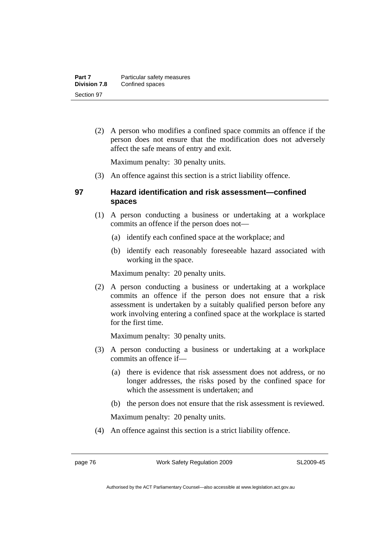(2) A person who modifies a confined space commits an offence if the person does not ensure that the modification does not adversely affect the safe means of entry and exit.

Maximum penalty: 30 penalty units.

(3) An offence against this section is a strict liability offence.

## **97 Hazard identification and risk assessment—confined spaces**

- (1) A person conducting a business or undertaking at a workplace commits an offence if the person does not—
	- (a) identify each confined space at the workplace; and
	- (b) identify each reasonably foreseeable hazard associated with working in the space.

Maximum penalty: 20 penalty units.

 (2) A person conducting a business or undertaking at a workplace commits an offence if the person does not ensure that a risk assessment is undertaken by a suitably qualified person before any work involving entering a confined space at the workplace is started for the first time.

Maximum penalty: 30 penalty units.

- (3) A person conducting a business or undertaking at a workplace commits an offence if—
	- (a) there is evidence that risk assessment does not address, or no longer addresses, the risks posed by the confined space for which the assessment is undertaken; and
	- (b) the person does not ensure that the risk assessment is reviewed.

Maximum penalty: 20 penalty units.

(4) An offence against this section is a strict liability offence.

page 76 Work Safety Regulation 2009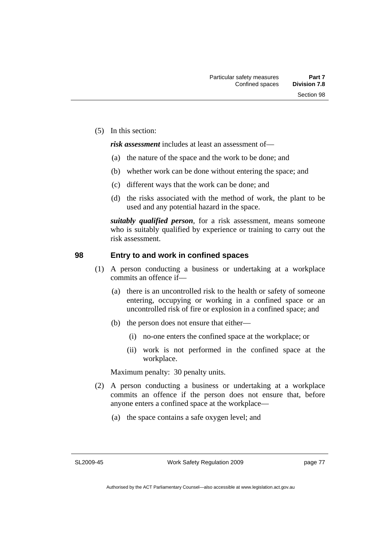(5) In this section:

*risk assessment* includes at least an assessment of—

- (a) the nature of the space and the work to be done; and
- (b) whether work can be done without entering the space; and
- (c) different ways that the work can be done; and
- (d) the risks associated with the method of work, the plant to be used and any potential hazard in the space.

*suitably qualified person*, for a risk assessment, means someone who is suitably qualified by experience or training to carry out the risk assessment.

## **98 Entry to and work in confined spaces**

- (1) A person conducting a business or undertaking at a workplace commits an offence if—
	- (a) there is an uncontrolled risk to the health or safety of someone entering, occupying or working in a confined space or an uncontrolled risk of fire or explosion in a confined space; and
	- (b) the person does not ensure that either—
		- (i) no-one enters the confined space at the workplace; or
		- (ii) work is not performed in the confined space at the workplace.

Maximum penalty: 30 penalty units.

- (2) A person conducting a business or undertaking at a workplace commits an offence if the person does not ensure that, before anyone enters a confined space at the workplace—
	- (a) the space contains a safe oxygen level; and

SL2009-45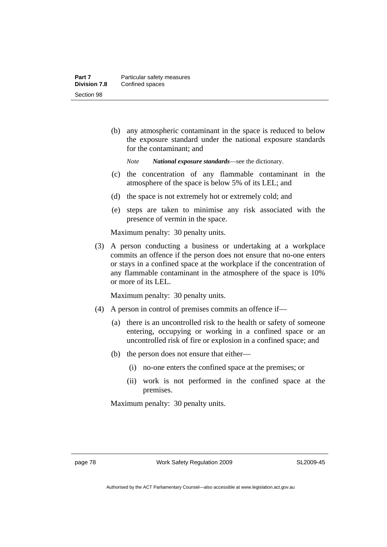(b) any atmospheric contaminant in the space is reduced to below the exposure standard under the national exposure standards for the contaminant; and

*Note National exposure standards*—see the dictionary.

- (c) the concentration of any flammable contaminant in the atmosphere of the space is below 5% of its LEL; and
- (d) the space is not extremely hot or extremely cold; and
- (e) steps are taken to minimise any risk associated with the presence of vermin in the space.

Maximum penalty: 30 penalty units.

 (3) A person conducting a business or undertaking at a workplace commits an offence if the person does not ensure that no-one enters or stays in a confined space at the workplace if the concentration of any flammable contaminant in the atmosphere of the space is 10% or more of its LEL.

Maximum penalty: 30 penalty units.

- (4) A person in control of premises commits an offence if—
	- (a) there is an uncontrolled risk to the health or safety of someone entering, occupying or working in a confined space or an uncontrolled risk of fire or explosion in a confined space; and
	- (b) the person does not ensure that either—
		- (i) no-one enters the confined space at the premises; or
		- (ii) work is not performed in the confined space at the premises.

Maximum penalty: 30 penalty units.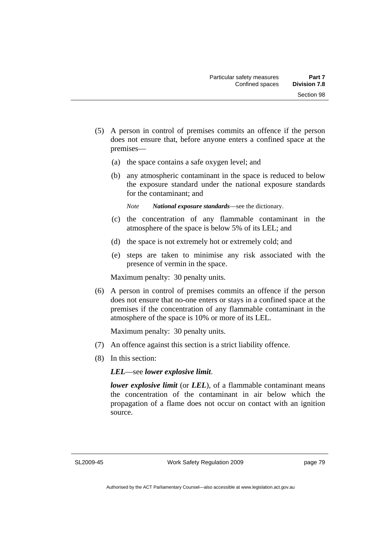- (5) A person in control of premises commits an offence if the person does not ensure that, before anyone enters a confined space at the premises—
	- (a) the space contains a safe oxygen level; and
	- (b) any atmospheric contaminant in the space is reduced to below the exposure standard under the national exposure standards for the contaminant; and

*Note National exposure standards*—see the dictionary.

- (c) the concentration of any flammable contaminant in the atmosphere of the space is below 5% of its LEL; and
- (d) the space is not extremely hot or extremely cold; and
- (e) steps are taken to minimise any risk associated with the presence of vermin in the space.

Maximum penalty: 30 penalty units.

 (6) A person in control of premises commits an offence if the person does not ensure that no-one enters or stays in a confined space at the premises if the concentration of any flammable contaminant in the atmosphere of the space is 10% or more of its LEL.

Maximum penalty: 30 penalty units.

- (7) An offence against this section is a strict liability offence.
- (8) In this section:

*LEL*—see *lower explosive limit*.

*lower explosive limit* (or *LEL*), of a flammable contaminant means the concentration of the contaminant in air below which the propagation of a flame does not occur on contact with an ignition source.

SL2009-45

Work Safety Regulation 2009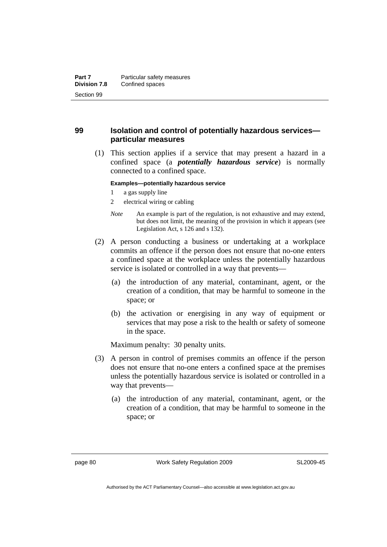## **99 Isolation and control of potentially hazardous services particular measures**

 (1) This section applies if a service that may present a hazard in a confined space (a *potentially hazardous service*) is normally connected to a confined space.

#### **Examples—potentially hazardous service**

- 1 a gas supply line
- 2 electrical wiring or cabling
- *Note* An example is part of the regulation, is not exhaustive and may extend, but does not limit, the meaning of the provision in which it appears (see Legislation Act, s 126 and s 132).
- (2) A person conducting a business or undertaking at a workplace commits an offence if the person does not ensure that no-one enters a confined space at the workplace unless the potentially hazardous service is isolated or controlled in a way that prevents—
	- (a) the introduction of any material, contaminant, agent, or the creation of a condition, that may be harmful to someone in the space; or
	- (b) the activation or energising in any way of equipment or services that may pose a risk to the health or safety of someone in the space.

Maximum penalty: 30 penalty units.

- (3) A person in control of premises commits an offence if the person does not ensure that no-one enters a confined space at the premises unless the potentially hazardous service is isolated or controlled in a way that prevents—
	- (a) the introduction of any material, contaminant, agent, or the creation of a condition, that may be harmful to someone in the space; or

page 80 Work Safety Regulation 2009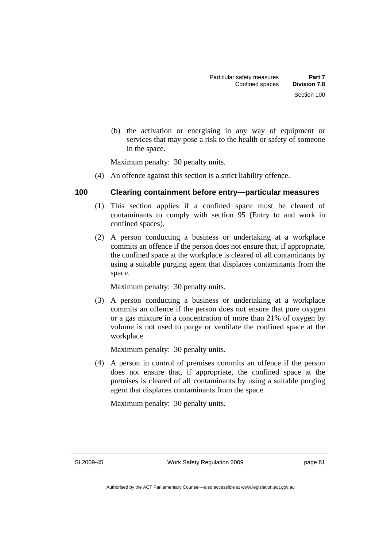(b) the activation or energising in any way of equipment or services that may pose a risk to the health or safety of someone in the space.

Maximum penalty: 30 penalty units.

(4) An offence against this section is a strict liability offence.

## **100 Clearing containment before entry—particular measures**

- (1) This section applies if a confined space must be cleared of contaminants to comply with section 95 (Entry to and work in confined spaces).
- (2) A person conducting a business or undertaking at a workplace commits an offence if the person does not ensure that, if appropriate, the confined space at the workplace is cleared of all contaminants by using a suitable purging agent that displaces contaminants from the space.

Maximum penalty: 30 penalty units.

 (3) A person conducting a business or undertaking at a workplace commits an offence if the person does not ensure that pure oxygen or a gas mixture in a concentration of more than 21% of oxygen by volume is not used to purge or ventilate the confined space at the workplace.

Maximum penalty: 30 penalty units.

 (4) A person in control of premises commits an offence if the person does not ensure that, if appropriate, the confined space at the premises is cleared of all contaminants by using a suitable purging agent that displaces contaminants from the space.

Maximum penalty: 30 penalty units.

SL2009-45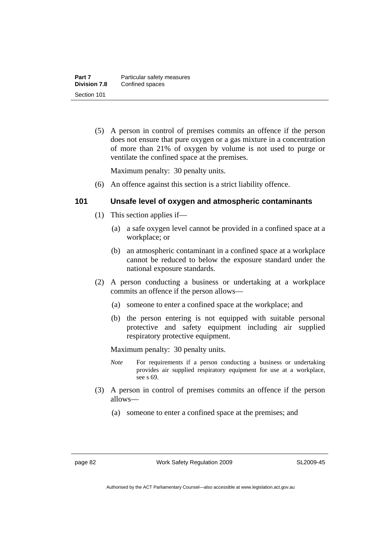(5) A person in control of premises commits an offence if the person does not ensure that pure oxygen or a gas mixture in a concentration of more than 21% of oxygen by volume is not used to purge or ventilate the confined space at the premises.

Maximum penalty: 30 penalty units.

(6) An offence against this section is a strict liability offence.

## **101 Unsafe level of oxygen and atmospheric contaminants**

- (1) This section applies if—
	- (a) a safe oxygen level cannot be provided in a confined space at a workplace; or
	- (b) an atmospheric contaminant in a confined space at a workplace cannot be reduced to below the exposure standard under the national exposure standards.
- (2) A person conducting a business or undertaking at a workplace commits an offence if the person allows—
	- (a) someone to enter a confined space at the workplace; and
	- (b) the person entering is not equipped with suitable personal protective and safety equipment including air supplied respiratory protective equipment.

Maximum penalty: 30 penalty units.

- *Note* For requirements if a person conducting a business or undertaking provides air supplied respiratory equipment for use at a workplace, see s 69.
- (3) A person in control of premises commits an offence if the person allows—
	- (a) someone to enter a confined space at the premises; and

page 82 Work Safety Regulation 2009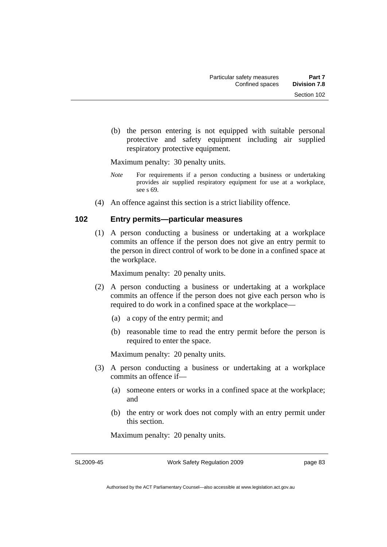(b) the person entering is not equipped with suitable personal protective and safety equipment including air supplied respiratory protective equipment.

Maximum penalty: 30 penalty units.

- *Note* For requirements if a person conducting a business or undertaking provides air supplied respiratory equipment for use at a workplace, see s 69.
- (4) An offence against this section is a strict liability offence.

## **102 Entry permits—particular measures**

 (1) A person conducting a business or undertaking at a workplace commits an offence if the person does not give an entry permit to the person in direct control of work to be done in a confined space at the workplace.

Maximum penalty: 20 penalty units.

- (2) A person conducting a business or undertaking at a workplace commits an offence if the person does not give each person who is required to do work in a confined space at the workplace—
	- (a) a copy of the entry permit; and
	- (b) reasonable time to read the entry permit before the person is required to enter the space.

Maximum penalty: 20 penalty units.

- (3) A person conducting a business or undertaking at a workplace commits an offence if—
	- (a) someone enters or works in a confined space at the workplace; and
	- (b) the entry or work does not comply with an entry permit under this section.

Maximum penalty: 20 penalty units.

SL2009-45

Work Safety Regulation 2009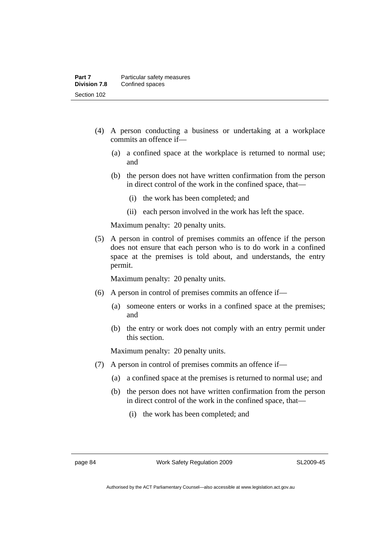- (4) A person conducting a business or undertaking at a workplace commits an offence if—
	- (a) a confined space at the workplace is returned to normal use; and
	- (b) the person does not have written confirmation from the person in direct control of the work in the confined space, that—
		- (i) the work has been completed; and
		- (ii) each person involved in the work has left the space.

Maximum penalty: 20 penalty units.

 (5) A person in control of premises commits an offence if the person does not ensure that each person who is to do work in a confined space at the premises is told about, and understands, the entry permit.

Maximum penalty: 20 penalty units.

- (6) A person in control of premises commits an offence if—
	- (a) someone enters or works in a confined space at the premises; and
	- (b) the entry or work does not comply with an entry permit under this section.

Maximum penalty: 20 penalty units.

- (7) A person in control of premises commits an offence if—
	- (a) a confined space at the premises is returned to normal use; and
	- (b) the person does not have written confirmation from the person in direct control of the work in the confined space, that—
		- (i) the work has been completed; and

page 84 Work Safety Regulation 2009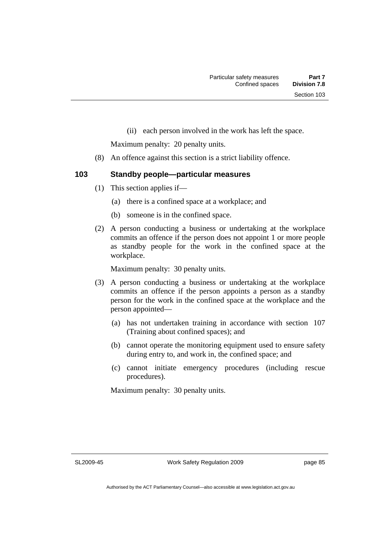(ii) each person involved in the work has left the space.

Maximum penalty: 20 penalty units.

- (8) An offence against this section is a strict liability offence.
- **103 Standby people—particular measures**

- (1) This section applies if—
	- (a) there is a confined space at a workplace; and
	- (b) someone is in the confined space.
- (2) A person conducting a business or undertaking at the workplace commits an offence if the person does not appoint 1 or more people as standby people for the work in the confined space at the workplace.

Maximum penalty: 30 penalty units.

- (3) A person conducting a business or undertaking at the workplace commits an offence if the person appoints a person as a standby person for the work in the confined space at the workplace and the person appointed—
	- (a) has not undertaken training in accordance with section 107 (Training about confined spaces); and
	- (b) cannot operate the monitoring equipment used to ensure safety during entry to, and work in, the confined space; and
	- (c) cannot initiate emergency procedures (including rescue procedures).

Maximum penalty: 30 penalty units.

SL2009-45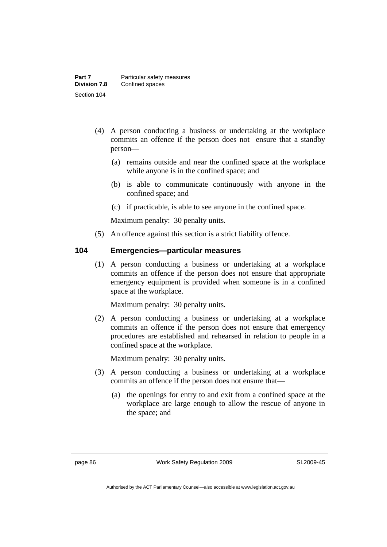- (4) A person conducting a business or undertaking at the workplace commits an offence if the person does not ensure that a standby person—
	- (a) remains outside and near the confined space at the workplace while anyone is in the confined space; and
	- (b) is able to communicate continuously with anyone in the confined space; and
	- (c) if practicable, is able to see anyone in the confined space.

Maximum penalty: 30 penalty units.

(5) An offence against this section is a strict liability offence.

## **104 Emergencies—particular measures**

 (1) A person conducting a business or undertaking at a workplace commits an offence if the person does not ensure that appropriate emergency equipment is provided when someone is in a confined space at the workplace.

Maximum penalty: 30 penalty units.

 (2) A person conducting a business or undertaking at a workplace commits an offence if the person does not ensure that emergency procedures are established and rehearsed in relation to people in a confined space at the workplace.

Maximum penalty: 30 penalty units.

- (3) A person conducting a business or undertaking at a workplace commits an offence if the person does not ensure that—
	- (a) the openings for entry to and exit from a confined space at the workplace are large enough to allow the rescue of anyone in the space; and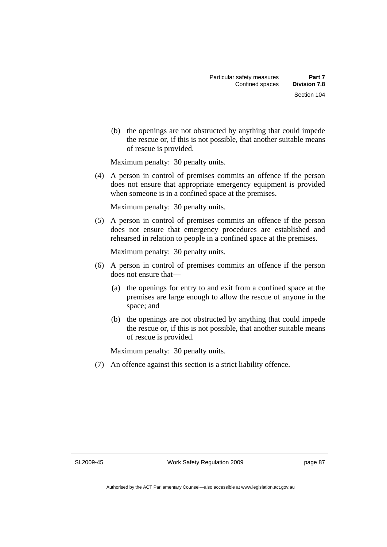(b) the openings are not obstructed by anything that could impede the rescue or, if this is not possible, that another suitable means of rescue is provided.

Maximum penalty: 30 penalty units.

 (4) A person in control of premises commits an offence if the person does not ensure that appropriate emergency equipment is provided when someone is in a confined space at the premises.

Maximum penalty: 30 penalty units.

 (5) A person in control of premises commits an offence if the person does not ensure that emergency procedures are established and rehearsed in relation to people in a confined space at the premises.

Maximum penalty: 30 penalty units.

- (6) A person in control of premises commits an offence if the person does not ensure that—
	- (a) the openings for entry to and exit from a confined space at the premises are large enough to allow the rescue of anyone in the space; and
	- (b) the openings are not obstructed by anything that could impede the rescue or, if this is not possible, that another suitable means of rescue is provided.

Maximum penalty: 30 penalty units.

(7) An offence against this section is a strict liability offence.

SL2009-45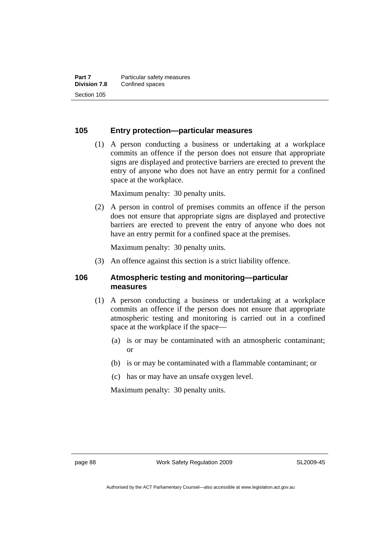## **105 Entry protection—particular measures**

 (1) A person conducting a business or undertaking at a workplace commits an offence if the person does not ensure that appropriate signs are displayed and protective barriers are erected to prevent the entry of anyone who does not have an entry permit for a confined space at the workplace.

Maximum penalty: 30 penalty units.

 (2) A person in control of premises commits an offence if the person does not ensure that appropriate signs are displayed and protective barriers are erected to prevent the entry of anyone who does not have an entry permit for a confined space at the premises.

Maximum penalty: 30 penalty units.

(3) An offence against this section is a strict liability offence.

### **106 Atmospheric testing and monitoring—particular measures**

- (1) A person conducting a business or undertaking at a workplace commits an offence if the person does not ensure that appropriate atmospheric testing and monitoring is carried out in a confined space at the workplace if the space—
	- (a) is or may be contaminated with an atmospheric contaminant; or
	- (b) is or may be contaminated with a flammable contaminant; or
	- (c) has or may have an unsafe oxygen level.

Maximum penalty: 30 penalty units.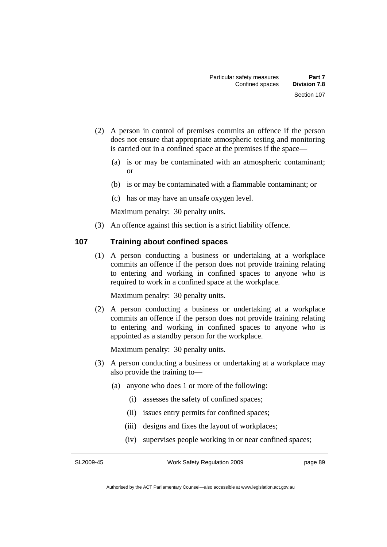- (2) A person in control of premises commits an offence if the person does not ensure that appropriate atmospheric testing and monitoring is carried out in a confined space at the premises if the space—
	- (a) is or may be contaminated with an atmospheric contaminant; or
	- (b) is or may be contaminated with a flammable contaminant; or
	- (c) has or may have an unsafe oxygen level.

Maximum penalty: 30 penalty units.

(3) An offence against this section is a strict liability offence.

## **107 Training about confined spaces**

 (1) A person conducting a business or undertaking at a workplace commits an offence if the person does not provide training relating to entering and working in confined spaces to anyone who is required to work in a confined space at the workplace.

Maximum penalty: 30 penalty units.

 (2) A person conducting a business or undertaking at a workplace commits an offence if the person does not provide training relating to entering and working in confined spaces to anyone who is appointed as a standby person for the workplace.

Maximum penalty: 30 penalty units.

- (3) A person conducting a business or undertaking at a workplace may also provide the training to—
	- (a) anyone who does 1 or more of the following:
		- (i) assesses the safety of confined spaces;
		- (ii) issues entry permits for confined spaces;
		- (iii) designs and fixes the layout of workplaces;
		- (iv) supervises people working in or near confined spaces;

SL2009-45

Work Safety Regulation 2009

page 89

Authorised by the ACT Parliamentary Counsel—also accessible at www.legislation.act.gov.au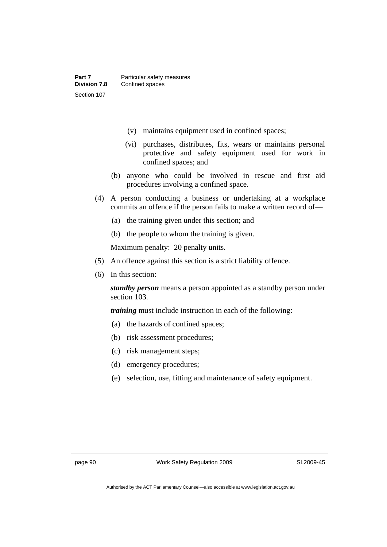- (v) maintains equipment used in confined spaces;
- (vi) purchases, distributes, fits, wears or maintains personal protective and safety equipment used for work in confined spaces; and
- (b) anyone who could be involved in rescue and first aid procedures involving a confined space.
- (4) A person conducting a business or undertaking at a workplace commits an offence if the person fails to make a written record of—
	- (a) the training given under this section; and
	- (b) the people to whom the training is given.

Maximum penalty: 20 penalty units.

- (5) An offence against this section is a strict liability offence.
- (6) In this section:

*standby person* means a person appointed as a standby person under section 103.

*training* must include instruction in each of the following:

- (a) the hazards of confined spaces;
- (b) risk assessment procedures;
- (c) risk management steps;
- (d) emergency procedures;
- (e) selection, use, fitting and maintenance of safety equipment.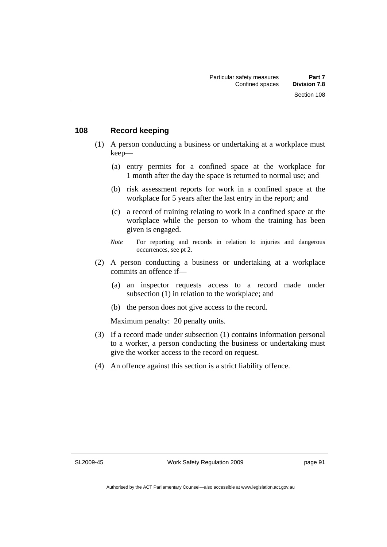## **108 Record keeping**

- (1) A person conducting a business or undertaking at a workplace must keep—
	- (a) entry permits for a confined space at the workplace for 1 month after the day the space is returned to normal use; and
	- (b) risk assessment reports for work in a confined space at the workplace for 5 years after the last entry in the report; and
	- (c) a record of training relating to work in a confined space at the workplace while the person to whom the training has been given is engaged.
	- *Note* For reporting and records in relation to injuries and dangerous occurrences, see pt 2.
- (2) A person conducting a business or undertaking at a workplace commits an offence if—
	- (a) an inspector requests access to a record made under subsection (1) in relation to the workplace; and
	- (b) the person does not give access to the record.

Maximum penalty: 20 penalty units.

- (3) If a record made under subsection (1) contains information personal to a worker, a person conducting the business or undertaking must give the worker access to the record on request.
- (4) An offence against this section is a strict liability offence.

SL2009-45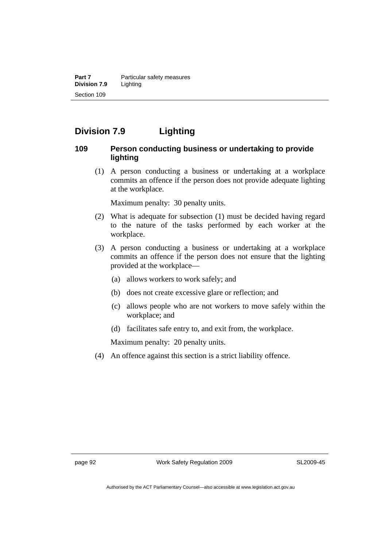**Part 7** Particular safety measures **Division 7.9** Lighting Section 109

# **Division 7.9 Lighting**

## **109 Person conducting business or undertaking to provide lighting**

 (1) A person conducting a business or undertaking at a workplace commits an offence if the person does not provide adequate lighting at the workplace.

Maximum penalty: 30 penalty units.

- (2) What is adequate for subsection (1) must be decided having regard to the nature of the tasks performed by each worker at the workplace.
- (3) A person conducting a business or undertaking at a workplace commits an offence if the person does not ensure that the lighting provided at the workplace—
	- (a) allows workers to work safely; and
	- (b) does not create excessive glare or reflection; and
	- (c) allows people who are not workers to move safely within the workplace; and
	- (d) facilitates safe entry to, and exit from, the workplace.

Maximum penalty: 20 penalty units.

(4) An offence against this section is a strict liability offence.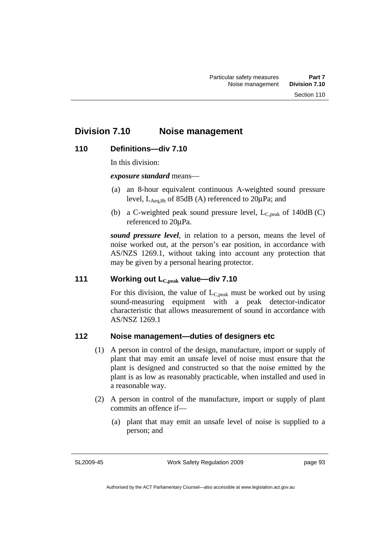# **Division 7.10 Noise management**

## **110 Definitions—div 7.10**

In this division:

*exposure standard* means—

- (a) an 8-hour equivalent continuous A-weighted sound pressure level,  $L_{\text{Aea,8h}}$  of 85dB (A) referenced to 20 $\mu$ Pa; and
- (b) a C-weighted peak sound pressure level,  $L_{C,peak}$  of 140dB (C) referenced to 20μPa.

*sound pressure level*, in relation to a person, means the level of noise worked out, at the person's ear position, in accordance with AS/NZS 1269.1, without taking into account any protection that may be given by a personal hearing protector.

## **111 Working out LC,peak value—div 7.10**

For this division, the value of  $L_{C,peak}$  must be worked out by using sound-measuring equipment with a peak detector-indicator characteristic that allows measurement of sound in accordance with AS/NSZ 1269.1

## **112 Noise management—duties of designers etc**

- (1) A person in control of the design, manufacture, import or supply of plant that may emit an unsafe level of noise must ensure that the plant is designed and constructed so that the noise emitted by the plant is as low as reasonably practicable, when installed and used in a reasonable way.
- (2) A person in control of the manufacture, import or supply of plant commits an offence if—
	- (a) plant that may emit an unsafe level of noise is supplied to a person; and

SL2009-45

Work Safety Regulation 2009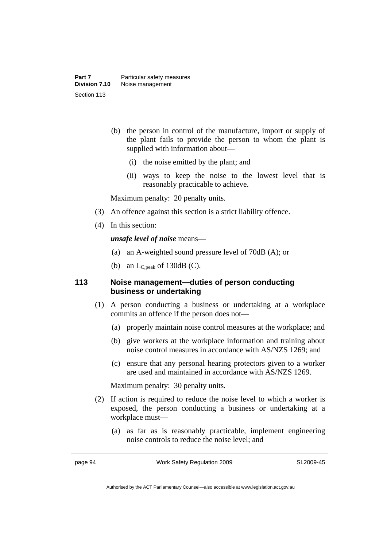- (b) the person in control of the manufacture, import or supply of the plant fails to provide the person to whom the plant is supplied with information about—
	- (i) the noise emitted by the plant; and
	- (ii) ways to keep the noise to the lowest level that is reasonably practicable to achieve.

Maximum penalty: 20 penalty units.

- (3) An offence against this section is a strict liability offence.
- (4) In this section:

*unsafe level of noise* means—

- (a) an A-weighted sound pressure level of 70dB (A); or
- (b) an  $L_{C,peak}$  of 130dB (C).

## **113 Noise management—duties of person conducting business or undertaking**

- (1) A person conducting a business or undertaking at a workplace commits an offence if the person does not—
	- (a) properly maintain noise control measures at the workplace; and
	- (b) give workers at the workplace information and training about noise control measures in accordance with AS/NZS 1269; and
	- (c) ensure that any personal hearing protectors given to a worker are used and maintained in accordance with AS/NZS 1269.

Maximum penalty: 30 penalty units.

- (2) If action is required to reduce the noise level to which a worker is exposed, the person conducting a business or undertaking at a workplace must—
	- (a) as far as is reasonably practicable, implement engineering noise controls to reduce the noise level; and

page 94 Work Safety Regulation 2009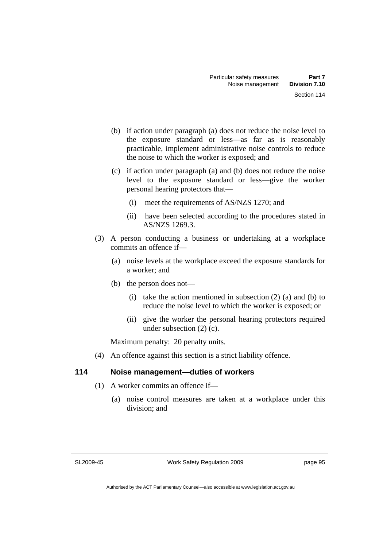- (b) if action under paragraph (a) does not reduce the noise level to the exposure standard or less—as far as is reasonably practicable, implement administrative noise controls to reduce the noise to which the worker is exposed; and
- (c) if action under paragraph (a) and (b) does not reduce the noise level to the exposure standard or less—give the worker personal hearing protectors that—
	- (i) meet the requirements of AS/NZS 1270; and
	- (ii) have been selected according to the procedures stated in AS/NZS 1269.3.
- (3) A person conducting a business or undertaking at a workplace commits an offence if—
	- (a) noise levels at the workplace exceed the exposure standards for a worker; and
	- (b) the person does not—
		- (i) take the action mentioned in subsection  $(2)$  (a) and (b) to reduce the noise level to which the worker is exposed; or
		- (ii) give the worker the personal hearing protectors required under subsection (2) (c).

Maximum penalty: 20 penalty units.

(4) An offence against this section is a strict liability offence.

# **114 Noise management—duties of workers**

- (1) A worker commits an offence if—
	- (a) noise control measures are taken at a workplace under this division; and

SL2009-45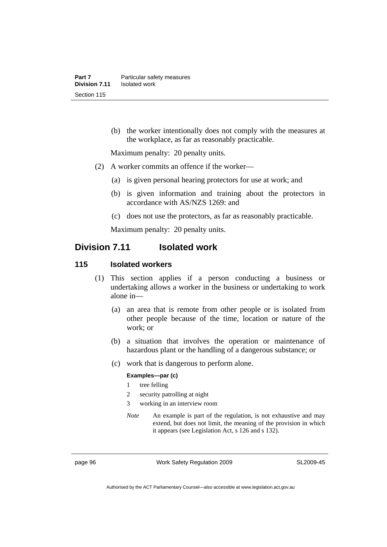(b) the worker intentionally does not comply with the measures at the workplace, as far as reasonably practicable.

Maximum penalty: 20 penalty units.

- (2) A worker commits an offence if the worker—
	- (a) is given personal hearing protectors for use at work; and
	- (b) is given information and training about the protectors in accordance with AS/NZS 1269: and
	- (c) does not use the protectors, as far as reasonably practicable.

Maximum penalty: 20 penalty units.

# **Division 7.11 Isolated work**

#### **115 Isolated workers**

- (1) This section applies if a person conducting a business or undertaking allows a worker in the business or undertaking to work alone in—
	- (a) an area that is remote from other people or is isolated from other people because of the time, location or nature of the work; or
	- (b) a situation that involves the operation or maintenance of hazardous plant or the handling of a dangerous substance; or
	- (c) work that is dangerous to perform alone.

#### **Examples—par (c)**

- 1 tree felling
- 2 security patrolling at night
- 3 working in an interview room
- *Note* An example is part of the regulation, is not exhaustive and may extend, but does not limit, the meaning of the provision in which it appears (see Legislation Act, s 126 and s 132).

page 96 Work Safety Regulation 2009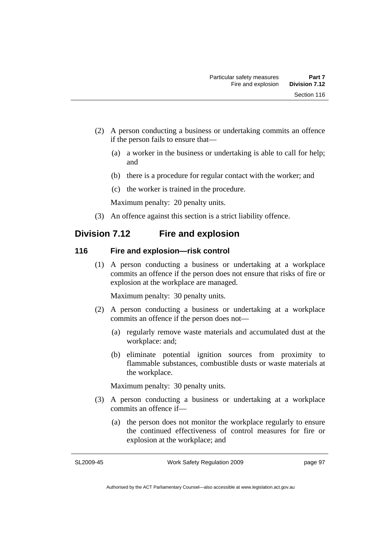- (2) A person conducting a business or undertaking commits an offence if the person fails to ensure that—
	- (a) a worker in the business or undertaking is able to call for help; and
	- (b) there is a procedure for regular contact with the worker; and
	- (c) the worker is trained in the procedure.

Maximum penalty: 20 penalty units.

(3) An offence against this section is a strict liability offence.

# **Division 7.12 Fire and explosion**

# **116 Fire and explosion—risk control**

 (1) A person conducting a business or undertaking at a workplace commits an offence if the person does not ensure that risks of fire or explosion at the workplace are managed.

Maximum penalty: 30 penalty units.

- (2) A person conducting a business or undertaking at a workplace commits an offence if the person does not—
	- (a) regularly remove waste materials and accumulated dust at the workplace: and;
	- (b) eliminate potential ignition sources from proximity to flammable substances, combustible dusts or waste materials at the workplace.

Maximum penalty: 30 penalty units.

- (3) A person conducting a business or undertaking at a workplace commits an offence if—
	- (a) the person does not monitor the workplace regularly to ensure the continued effectiveness of control measures for fire or explosion at the workplace; and

SL2009-45

Work Safety Regulation 2009

page 97

Authorised by the ACT Parliamentary Counsel—also accessible at www.legislation.act.gov.au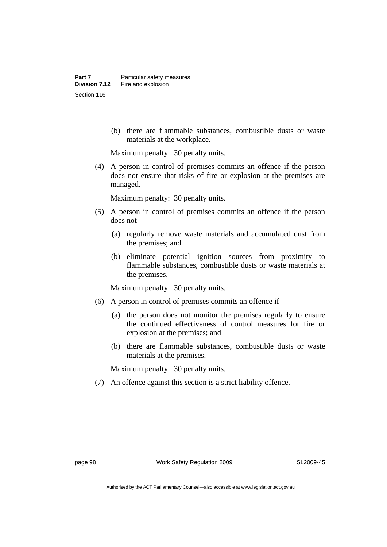(b) there are flammable substances, combustible dusts or waste materials at the workplace.

Maximum penalty: 30 penalty units.

 (4) A person in control of premises commits an offence if the person does not ensure that risks of fire or explosion at the premises are managed.

Maximum penalty: 30 penalty units.

- (5) A person in control of premises commits an offence if the person does not—
	- (a) regularly remove waste materials and accumulated dust from the premises; and
	- (b) eliminate potential ignition sources from proximity to flammable substances, combustible dusts or waste materials at the premises.

Maximum penalty: 30 penalty units.

- (6) A person in control of premises commits an offence if—
	- (a) the person does not monitor the premises regularly to ensure the continued effectiveness of control measures for fire or explosion at the premises; and
	- (b) there are flammable substances, combustible dusts or waste materials at the premises.

Maximum penalty: 30 penalty units.

(7) An offence against this section is a strict liability offence.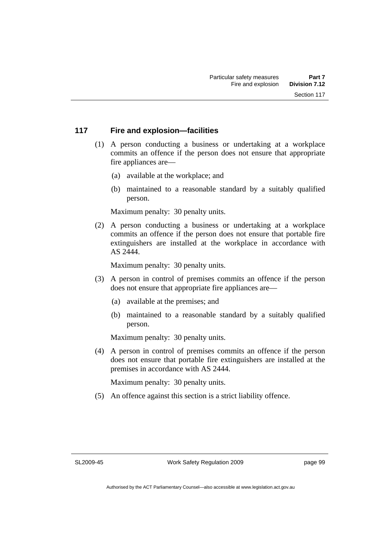# **117 Fire and explosion—facilities**

- (1) A person conducting a business or undertaking at a workplace commits an offence if the person does not ensure that appropriate fire appliances are—
	- (a) available at the workplace; and
	- (b) maintained to a reasonable standard by a suitably qualified person.

Maximum penalty: 30 penalty units.

 (2) A person conducting a business or undertaking at a workplace commits an offence if the person does not ensure that portable fire extinguishers are installed at the workplace in accordance with AS 2444.

Maximum penalty: 30 penalty units.

- (3) A person in control of premises commits an offence if the person does not ensure that appropriate fire appliances are—
	- (a) available at the premises; and
	- (b) maintained to a reasonable standard by a suitably qualified person.

Maximum penalty: 30 penalty units.

 (4) A person in control of premises commits an offence if the person does not ensure that portable fire extinguishers are installed at the premises in accordance with AS 2444.

Maximum penalty: 30 penalty units.

(5) An offence against this section is a strict liability offence.

SL2009-45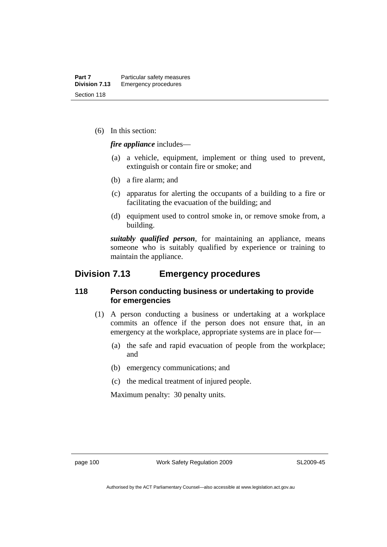(6) In this section:

*fire appliance* includes—

- (a) a vehicle, equipment, implement or thing used to prevent, extinguish or contain fire or smoke; and
- (b) a fire alarm; and
- (c) apparatus for alerting the occupants of a building to a fire or facilitating the evacuation of the building; and
- (d) equipment used to control smoke in, or remove smoke from, a building.

*suitably qualified person*, for maintaining an appliance, means someone who is suitably qualified by experience or training to maintain the appliance.

# **Division 7.13 Emergency procedures**

# **118 Person conducting business or undertaking to provide for emergencies**

- (1) A person conducting a business or undertaking at a workplace commits an offence if the person does not ensure that, in an emergency at the workplace, appropriate systems are in place for—
	- (a) the safe and rapid evacuation of people from the workplace; and
	- (b) emergency communications; and
	- (c) the medical treatment of injured people.

Maximum penalty: 30 penalty units.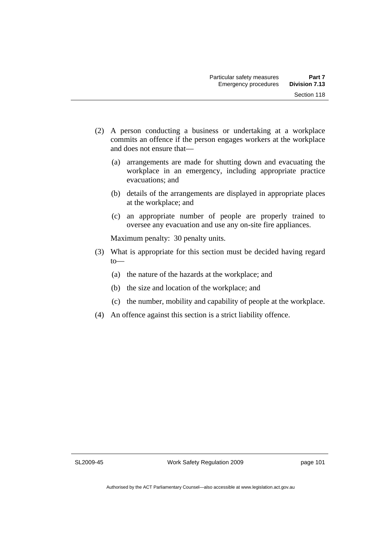- (2) A person conducting a business or undertaking at a workplace commits an offence if the person engages workers at the workplace and does not ensure that—
	- (a) arrangements are made for shutting down and evacuating the workplace in an emergency, including appropriate practice evacuations; and
	- (b) details of the arrangements are displayed in appropriate places at the workplace; and
	- (c) an appropriate number of people are properly trained to oversee any evacuation and use any on-site fire appliances.

Maximum penalty: 30 penalty units.

- (3) What is appropriate for this section must be decided having regard  $to$ —
	- (a) the nature of the hazards at the workplace; and
	- (b) the size and location of the workplace; and
	- (c) the number, mobility and capability of people at the workplace.
- (4) An offence against this section is a strict liability offence.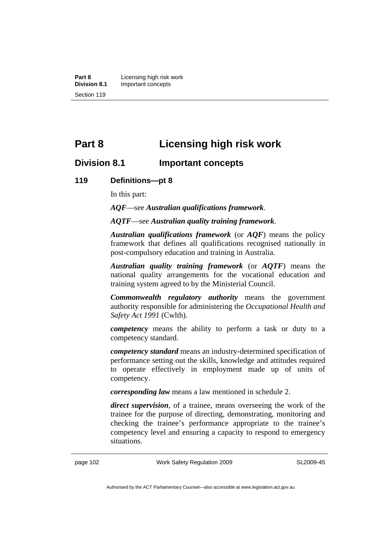**Part 8 Licensing high risk work**<br>**Division 8.1 Important concepts Division 8.1** Important concepts Section 119

# **Part 8 Licensing high risk work**

# **Division 8.1 Important concepts**

#### **119 Definitions—pt 8**

In this part:

*AQF*—see *Australian qualifications framework*.

*AQTF*—see *Australian quality training framework*.

*Australian qualifications framework* (or *AQF*) means the policy framework that defines all qualifications recognised nationally in post-compulsory education and training in Australia.

*Australian quality training framework* (or *AQTF*) means the national quality arrangements for the vocational education and training system agreed to by the Ministerial Council.

*Commonwealth regulatory authority* means the government authority responsible for administering the *Occupational Health and Safety Act 1991* (Cwlth).

*competency* means the ability to perform a task or duty to a competency standard.

*competency standard* means an industry-determined specification of performance setting out the skills, knowledge and attitudes required to operate effectively in employment made up of units of competency.

*corresponding law* means a law mentioned in schedule 2.

*direct supervision*, of a trainee, means overseeing the work of the trainee for the purpose of directing, demonstrating, monitoring and checking the trainee's performance appropriate to the trainee's competency level and ensuring a capacity to respond to emergency situations.

page 102 Work Safety Regulation 2009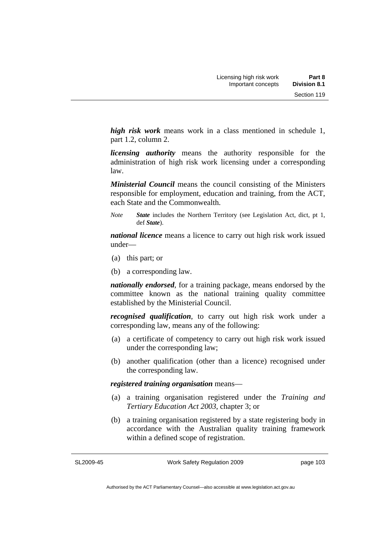*high risk work* means work in a class mentioned in schedule 1, part 1.2, column 2.

*licensing authority* means the authority responsible for the administration of high risk work licensing under a corresponding law.

*Ministerial Council* means the council consisting of the Ministers responsible for employment, education and training, from the ACT, each State and the Commonwealth.

*Note State* includes the Northern Territory (see Legislation Act, dict, pt 1, def *State*).

*national licence* means a licence to carry out high risk work issued under—

- (a) this part; or
- (b) a corresponding law.

*nationally endorsed*, for a training package, means endorsed by the committee known as the national training quality committee established by the Ministerial Council.

*recognised qualification*, to carry out high risk work under a corresponding law, means any of the following:

- (a) a certificate of competency to carry out high risk work issued under the corresponding law;
- (b) another qualification (other than a licence) recognised under the corresponding law.

*registered training organisation* means—

- (a) a training organisation registered under the *Training and Tertiary Education Act 2003*, chapter 3; or
- (b) a training organisation registered by a state registering body in accordance with the Australian quality training framework within a defined scope of registration.

SL2009-45

Work Safety Regulation 2009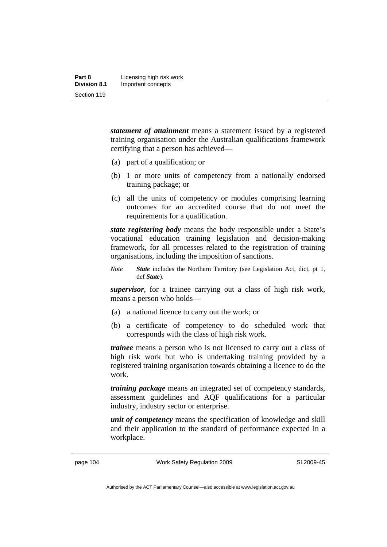| Part 8              | Licensing high risk work |
|---------------------|--------------------------|
| <b>Division 8.1</b> | Important concepts       |
| Section 119         |                          |

*statement of attainment* means a statement issued by a registered training organisation under the Australian qualifications framework certifying that a person has achieved—

- (a) part of a qualification; or
- (b) 1 or more units of competency from a nationally endorsed training package; or
- (c) all the units of competency or modules comprising learning outcomes for an accredited course that do not meet the requirements for a qualification.

*state registering body* means the body responsible under a State's vocational education training legislation and decision-making framework, for all processes related to the registration of training organisations, including the imposition of sanctions.

*Note State* includes the Northern Territory (see Legislation Act, dict, pt 1, def *State*).

*supervisor*, for a trainee carrying out a class of high risk work, means a person who holds—

- (a) a national licence to carry out the work; or
- (b) a certificate of competency to do scheduled work that corresponds with the class of high risk work.

*trainee* means a person who is not licensed to carry out a class of high risk work but who is undertaking training provided by a registered training organisation towards obtaining a licence to do the work.

*training package* means an integrated set of competency standards, assessment guidelines and AQF qualifications for a particular industry, industry sector or enterprise.

*unit of competency* means the specification of knowledge and skill and their application to the standard of performance expected in a workplace.

page 104 Work Safety Regulation 2009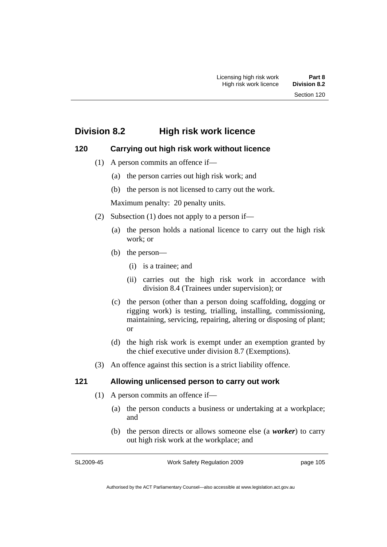# **Division 8.2 High risk work licence**

# **120 Carrying out high risk work without licence**

- (1) A person commits an offence if—
	- (a) the person carries out high risk work; and
	- (b) the person is not licensed to carry out the work.

Maximum penalty: 20 penalty units.

- (2) Subsection (1) does not apply to a person if—
	- (a) the person holds a national licence to carry out the high risk work; or
	- (b) the person—
		- (i) is a trainee; and
		- (ii) carries out the high risk work in accordance with division 8.4 (Trainees under supervision); or
	- (c) the person (other than a person doing scaffolding, dogging or rigging work) is testing, trialling, installing, commissioning, maintaining, servicing, repairing, altering or disposing of plant; or
	- (d) the high risk work is exempt under an exemption granted by the chief executive under division 8.7 (Exemptions).
- (3) An offence against this section is a strict liability offence.

# **121 Allowing unlicensed person to carry out work**

- (1) A person commits an offence if—
	- (a) the person conducts a business or undertaking at a workplace; and
	- (b) the person directs or allows someone else (a *worker*) to carry out high risk work at the workplace; and

SL2009-45

Work Safety Regulation 2009

page 105

Authorised by the ACT Parliamentary Counsel—also accessible at www.legislation.act.gov.au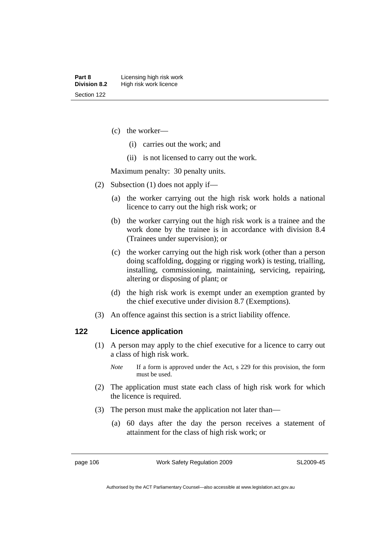- (c) the worker—
	- (i) carries out the work; and
	- (ii) is not licensed to carry out the work.

Maximum penalty: 30 penalty units.

- (2) Subsection (1) does not apply if—
	- (a) the worker carrying out the high risk work holds a national licence to carry out the high risk work; or
	- (b) the worker carrying out the high risk work is a trainee and the work done by the trainee is in accordance with division 8.4 (Trainees under supervision); or
	- (c) the worker carrying out the high risk work (other than a person doing scaffolding, dogging or rigging work) is testing, trialling, installing, commissioning, maintaining, servicing, repairing, altering or disposing of plant; or
	- (d) the high risk work is exempt under an exemption granted by the chief executive under division 8.7 (Exemptions).
- (3) An offence against this section is a strict liability offence.

# **122 Licence application**

- (1) A person may apply to the chief executive for a licence to carry out a class of high risk work.
	- *Note* If a form is approved under the Act, s 229 for this provision, the form must be used.
- (2) The application must state each class of high risk work for which the licence is required.
- (3) The person must make the application not later than—
	- (a) 60 days after the day the person receives a statement of attainment for the class of high risk work; or

page 106 Work Safety Regulation 2009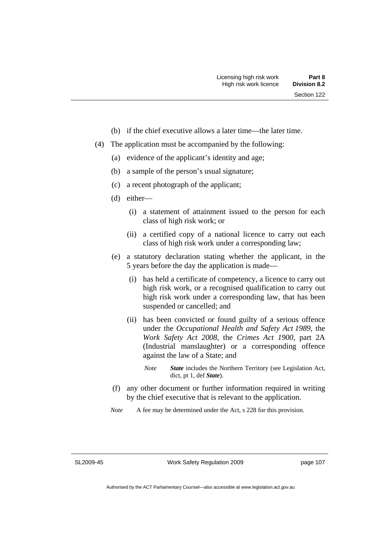- (b) if the chief executive allows a later time—the later time.
- (4) The application must be accompanied by the following:
	- (a) evidence of the applicant's identity and age;
	- (b) a sample of the person's usual signature;
	- (c) a recent photograph of the applicant;
	- (d) either—
		- (i) a statement of attainment issued to the person for each class of high risk work; or
		- (ii) a certified copy of a national licence to carry out each class of high risk work under a corresponding law;
	- (e) a statutory declaration stating whether the applicant, in the 5 years before the day the application is made—
		- (i) has held a certificate of competency, a licence to carry out high risk work, or a recognised qualification to carry out high risk work under a corresponding law, that has been suspended or cancelled; and
		- (ii) has been convicted or found guilty of a serious offence under the *Occupational Health and Safety Act 1989*, the *Work Safety Act 2008*, the *Crimes Act 1900*, part 2A (Industrial manslaughter) or a corresponding offence against the law of a State; and
			- *Note State* includes the Northern Territory (see Legislation Act, dict, pt 1, def *State*).
	- (f) any other document or further information required in writing by the chief executive that is relevant to the application.
	- *Note* A fee may be determined under the Act, s 228 for this provision.

SL2009-45

Work Safety Regulation 2009

page 107

Authorised by the ACT Parliamentary Counsel—also accessible at www.legislation.act.gov.au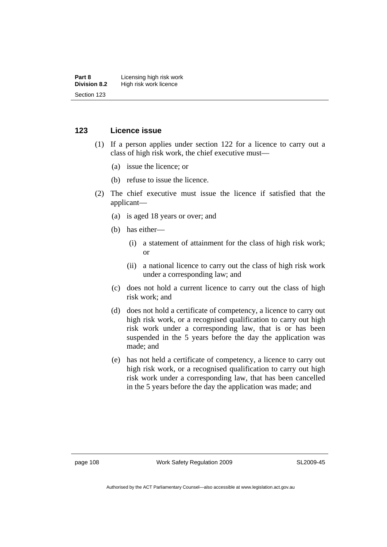#### **Part 8 Licensing high risk work**<br>**Division 8.2** High risk work licence **High risk work licence** Section 123

# **123 Licence issue**

- (1) If a person applies under section 122 for a licence to carry out a class of high risk work, the chief executive must—
	- (a) issue the licence; or
	- (b) refuse to issue the licence.
- (2) The chief executive must issue the licence if satisfied that the applicant—
	- (a) is aged 18 years or over; and
	- (b) has either—
		- (i) a statement of attainment for the class of high risk work; or
		- (ii) a national licence to carry out the class of high risk work under a corresponding law; and
	- (c) does not hold a current licence to carry out the class of high risk work; and
	- (d) does not hold a certificate of competency, a licence to carry out high risk work, or a recognised qualification to carry out high risk work under a corresponding law, that is or has been suspended in the 5 years before the day the application was made; and
	- (e) has not held a certificate of competency, a licence to carry out high risk work, or a recognised qualification to carry out high risk work under a corresponding law, that has been cancelled in the 5 years before the day the application was made; and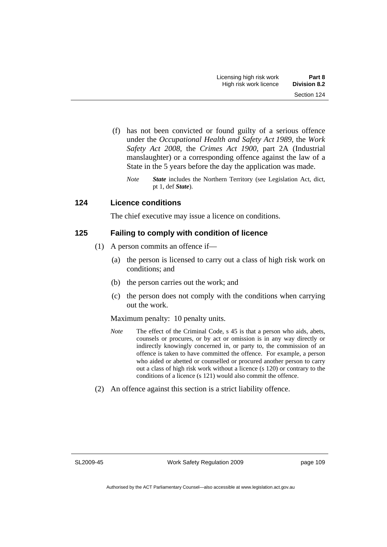- (f) has not been convicted or found guilty of a serious offence under the *Occupational Health and Safety Act 1989*, the *Work Safety Act 2008*, the *Crimes Act 1900*, part 2A (Industrial manslaughter) or a corresponding offence against the law of a State in the 5 years before the day the application was made.
	- *Note State* includes the Northern Territory (see Legislation Act, dict, pt 1, def *State*).

# **124 Licence conditions**

The chief executive may issue a licence on conditions.

# **125 Failing to comply with condition of licence**

- (1) A person commits an offence if—
	- (a) the person is licensed to carry out a class of high risk work on conditions; and
	- (b) the person carries out the work; and
	- (c) the person does not comply with the conditions when carrying out the work.

# Maximum penalty: 10 penalty units.

- *Note* The effect of the Criminal Code, s 45 is that a person who aids, abets, counsels or procures, or by act or omission is in any way directly or indirectly knowingly concerned in, or party to, the commission of an offence is taken to have committed the offence. For example, a person who aided or abetted or counselled or procured another person to carry out a class of high risk work without a licence (s 120) or contrary to the conditions of a licence (s 121) would also commit the offence.
- (2) An offence against this section is a strict liability offence.

SL2009-45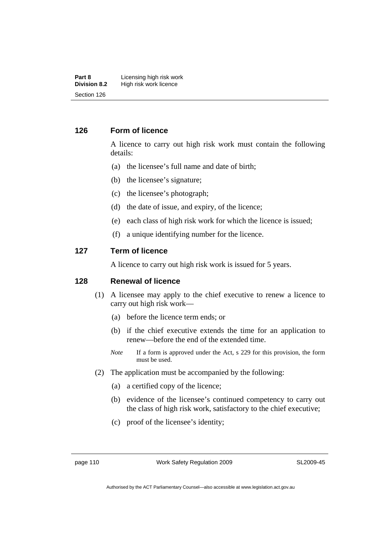#### **Part 8 Licensing high risk work**<br>**Division 8.2** High risk work licence **High risk work licence** Section 126

# **126 Form of licence**

A licence to carry out high risk work must contain the following details:

- (a) the licensee's full name and date of birth;
- (b) the licensee's signature;
- (c) the licensee's photograph;
- (d) the date of issue, and expiry, of the licence;
- (e) each class of high risk work for which the licence is issued;
- (f) a unique identifying number for the licence.

### **127 Term of licence**

A licence to carry out high risk work is issued for 5 years.

# **128 Renewal of licence**

- (1) A licensee may apply to the chief executive to renew a licence to carry out high risk work—
	- (a) before the licence term ends; or
	- (b) if the chief executive extends the time for an application to renew—before the end of the extended time.
	- *Note* If a form is approved under the Act, s 229 for this provision, the form must be used.
- (2) The application must be accompanied by the following:
	- (a) a certified copy of the licence;
	- (b) evidence of the licensee's continued competency to carry out the class of high risk work, satisfactory to the chief executive;
	- (c) proof of the licensee's identity;

page 110 Work Safety Regulation 2009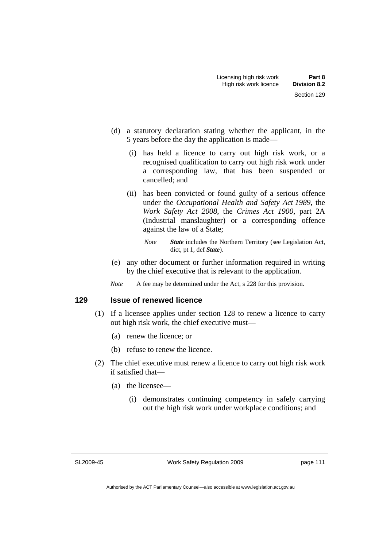- (d) a statutory declaration stating whether the applicant, in the 5 years before the day the application is made—
	- (i) has held a licence to carry out high risk work, or a recognised qualification to carry out high risk work under a corresponding law, that has been suspended or cancelled; and
	- (ii) has been convicted or found guilty of a serious offence under the *Occupational Health and Safety Act 1989*, the *Work Safety Act 2008*, the *Crimes Act 1900*, part 2A (Industrial manslaughter) or a corresponding offence against the law of a State;
		- *Note State* includes the Northern Territory (see Legislation Act, dict, pt 1, def *State*).
- (e) any other document or further information required in writing by the chief executive that is relevant to the application.
- *Note* A fee may be determined under the Act, s 228 for this provision.

#### **129 Issue of renewed licence**

- (1) If a licensee applies under section 128 to renew a licence to carry out high risk work, the chief executive must—
	- (a) renew the licence; or
	- (b) refuse to renew the licence.
- (2) The chief executive must renew a licence to carry out high risk work if satisfied that—
	- (a) the licensee—
		- (i) demonstrates continuing competency in safely carrying out the high risk work under workplace conditions; and

SL2009-45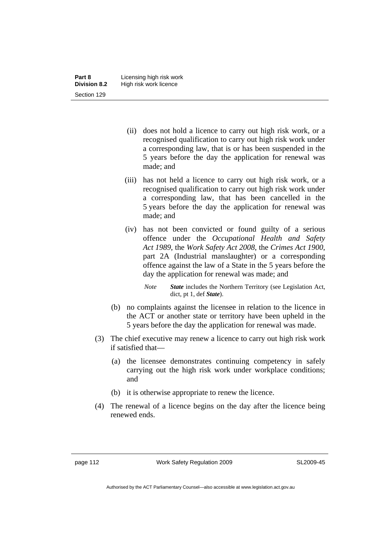- (ii) does not hold a licence to carry out high risk work, or a recognised qualification to carry out high risk work under a corresponding law, that is or has been suspended in the 5 years before the day the application for renewal was made; and
- (iii) has not held a licence to carry out high risk work, or a recognised qualification to carry out high risk work under a corresponding law, that has been cancelled in the 5 years before the day the application for renewal was made; and
- (iv) has not been convicted or found guilty of a serious offence under the *Occupational Health and Safety Act 1989*, the *Work Safety Act 2008*, the *Crimes Act 1900*, part 2A (Industrial manslaughter) or a corresponding offence against the law of a State in the 5 years before the day the application for renewal was made; and
	- *Note State* includes the Northern Territory (see Legislation Act, dict, pt 1, def *State*).
- (b) no complaints against the licensee in relation to the licence in the ACT or another state or territory have been upheld in the 5 years before the day the application for renewal was made.
- (3) The chief executive may renew a licence to carry out high risk work if satisfied that—
	- (a) the licensee demonstrates continuing competency in safely carrying out the high risk work under workplace conditions; and
	- (b) it is otherwise appropriate to renew the licence.
- (4) The renewal of a licence begins on the day after the licence being renewed ends.

page 112 Work Safety Regulation 2009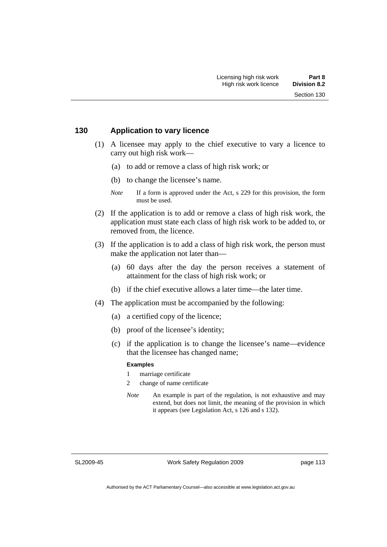#### **130 Application to vary licence**

- (1) A licensee may apply to the chief executive to vary a licence to carry out high risk work—
	- (a) to add or remove a class of high risk work; or
	- (b) to change the licensee's name.
	- *Note* If a form is approved under the Act, s 229 for this provision, the form must be used.
- (2) If the application is to add or remove a class of high risk work, the application must state each class of high risk work to be added to, or removed from, the licence.
- (3) If the application is to add a class of high risk work, the person must make the application not later than—
	- (a) 60 days after the day the person receives a statement of attainment for the class of high risk work; or
	- (b) if the chief executive allows a later time—the later time.
- (4) The application must be accompanied by the following:
	- (a) a certified copy of the licence;
	- (b) proof of the licensee's identity;
	- (c) if the application is to change the licensee's name—evidence that the licensee has changed name;

#### **Examples**

- 1 marriage certificate
- 2 change of name certificate
- *Note* An example is part of the regulation, is not exhaustive and may extend, but does not limit, the meaning of the provision in which it appears (see Legislation Act, s 126 and s 132).

SL2009-45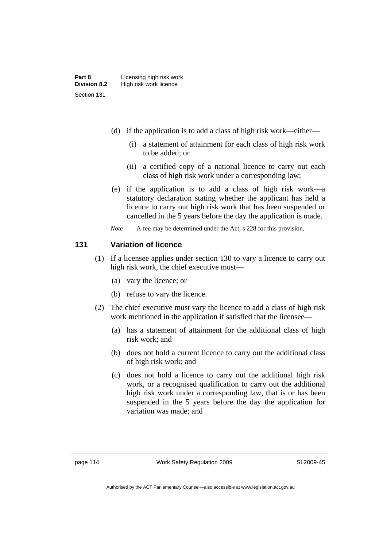- (d) if the application is to add a class of high risk work—either—
	- (i) a statement of attainment for each class of high risk work to be added; or
	- (ii) a certified copy of a national licence to carry out each class of high risk work under a corresponding law;
- (e) if the application is to add a class of high risk work—a statutory declaration stating whether the applicant has held a licence to carry out high risk work that has been suspended or cancelled in the 5 years before the day the application is made.
- *Note* A fee may be determined under the Act, s 228 for this provision.

### **131 Variation of licence**

- (1) If a licensee applies under section 130 to vary a licence to carry out high risk work, the chief executive must—
	- (a) vary the licence; or
	- (b) refuse to vary the licence.
- (2) The chief executive must vary the licence to add a class of high risk work mentioned in the application if satisfied that the licensee—
	- (a) has a statement of attainment for the additional class of high risk work; and
	- (b) does not hold a current licence to carry out the additional class of high risk work; and
	- (c) does not hold a licence to carry out the additional high risk work, or a recognised qualification to carry out the additional high risk work under a corresponding law, that is or has been suspended in the 5 years before the day the application for variation was made; and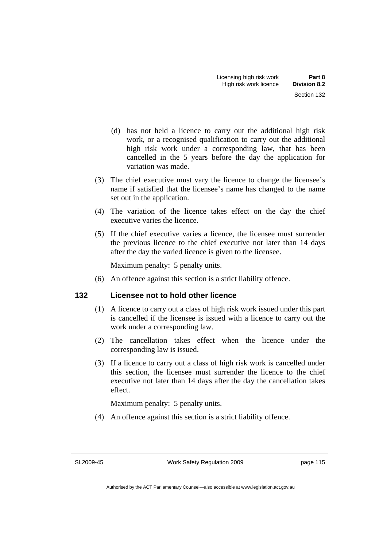- (d) has not held a licence to carry out the additional high risk work, or a recognised qualification to carry out the additional high risk work under a corresponding law, that has been cancelled in the 5 years before the day the application for variation was made.
- (3) The chief executive must vary the licence to change the licensee's name if satisfied that the licensee's name has changed to the name set out in the application.
- (4) The variation of the licence takes effect on the day the chief executive varies the licence.
- (5) If the chief executive varies a licence, the licensee must surrender the previous licence to the chief executive not later than 14 days after the day the varied licence is given to the licensee.

Maximum penalty: 5 penalty units.

(6) An offence against this section is a strict liability offence.

# **132 Licensee not to hold other licence**

- (1) A licence to carry out a class of high risk work issued under this part is cancelled if the licensee is issued with a licence to carry out the work under a corresponding law.
- (2) The cancellation takes effect when the licence under the corresponding law is issued.
- (3) If a licence to carry out a class of high risk work is cancelled under this section, the licensee must surrender the licence to the chief executive not later than 14 days after the day the cancellation takes effect.

Maximum penalty: 5 penalty units.

(4) An offence against this section is a strict liability offence.

SL2009-45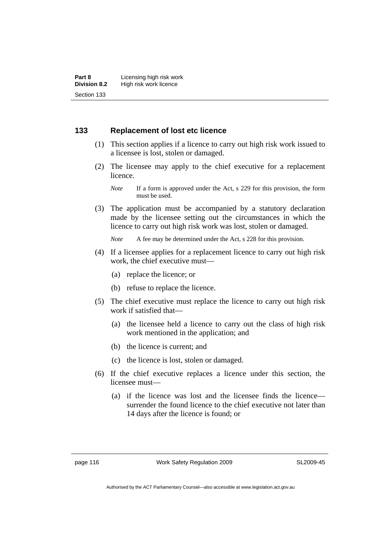# **133 Replacement of lost etc licence**

- (1) This section applies if a licence to carry out high risk work issued to a licensee is lost, stolen or damaged.
- (2) The licensee may apply to the chief executive for a replacement licence.

 (3) The application must be accompanied by a statutory declaration made by the licensee setting out the circumstances in which the licence to carry out high risk work was lost, stolen or damaged.

*Note* A fee may be determined under the Act, s 228 for this provision.

- (4) If a licensee applies for a replacement licence to carry out high risk work, the chief executive must—
	- (a) replace the licence; or
	- (b) refuse to replace the licence.
- (5) The chief executive must replace the licence to carry out high risk work if satisfied that—
	- (a) the licensee held a licence to carry out the class of high risk work mentioned in the application; and
	- (b) the licence is current; and
	- (c) the licence is lost, stolen or damaged.
- (6) If the chief executive replaces a licence under this section, the licensee must—
	- (a) if the licence was lost and the licensee finds the licence surrender the found licence to the chief executive not later than 14 days after the licence is found; or

page 116 Work Safety Regulation 2009

*Note* If a form is approved under the Act, s 229 for this provision, the form must be used.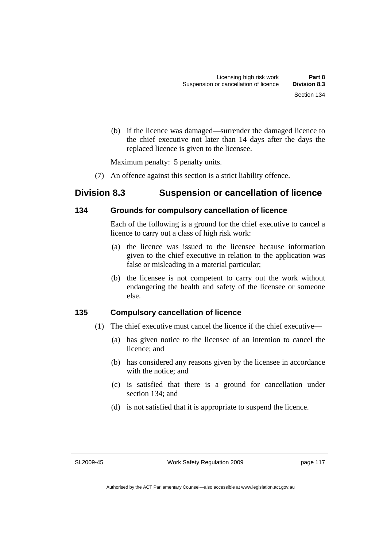(b) if the licence was damaged—surrender the damaged licence to the chief executive not later than 14 days after the days the replaced licence is given to the licensee.

Maximum penalty: 5 penalty units.

(7) An offence against this section is a strict liability offence.

# **Division 8.3 Suspension or cancellation of licence**

# **134 Grounds for compulsory cancellation of licence**

Each of the following is a ground for the chief executive to cancel a licence to carry out a class of high risk work:

- (a) the licence was issued to the licensee because information given to the chief executive in relation to the application was false or misleading in a material particular;
- (b) the licensee is not competent to carry out the work without endangering the health and safety of the licensee or someone else.

# **135 Compulsory cancellation of licence**

- (1) The chief executive must cancel the licence if the chief executive—
	- (a) has given notice to the licensee of an intention to cancel the licence; and
	- (b) has considered any reasons given by the licensee in accordance with the notice; and
	- (c) is satisfied that there is a ground for cancellation under section 134; and
	- (d) is not satisfied that it is appropriate to suspend the licence.

SL2009-45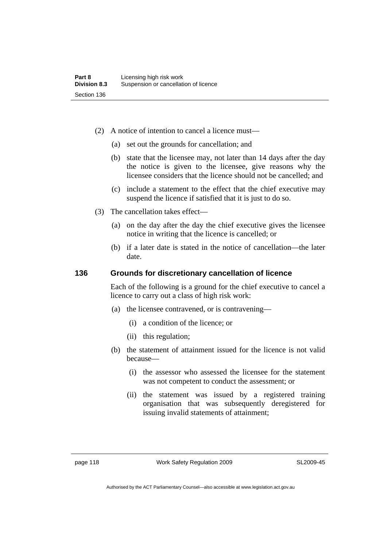- (2) A notice of intention to cancel a licence must—
	- (a) set out the grounds for cancellation; and
	- (b) state that the licensee may, not later than 14 days after the day the notice is given to the licensee, give reasons why the licensee considers that the licence should not be cancelled; and
	- (c) include a statement to the effect that the chief executive may suspend the licence if satisfied that it is just to do so.
- (3) The cancellation takes effect—
	- (a) on the day after the day the chief executive gives the licensee notice in writing that the licence is cancelled; or
	- (b) if a later date is stated in the notice of cancellation—the later date.

### **136 Grounds for discretionary cancellation of licence**

Each of the following is a ground for the chief executive to cancel a licence to carry out a class of high risk work:

- (a) the licensee contravened, or is contravening—
	- (i) a condition of the licence; or
	- (ii) this regulation;
- (b) the statement of attainment issued for the licence is not valid because—
	- (i) the assessor who assessed the licensee for the statement was not competent to conduct the assessment; or
	- (ii) the statement was issued by a registered training organisation that was subsequently deregistered for issuing invalid statements of attainment;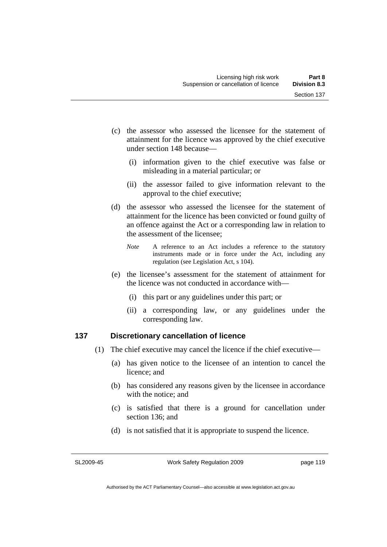- (c) the assessor who assessed the licensee for the statement of attainment for the licence was approved by the chief executive under section 148 because—
	- (i) information given to the chief executive was false or misleading in a material particular; or
	- (ii) the assessor failed to give information relevant to the approval to the chief executive;
- (d) the assessor who assessed the licensee for the statement of attainment for the licence has been convicted or found guilty of an offence against the Act or a corresponding law in relation to the assessment of the licensee;
	- *Note* A reference to an Act includes a reference to the statutory instruments made or in force under the Act, including any regulation (see Legislation Act, s 104).
- (e) the licensee's assessment for the statement of attainment for the licence was not conducted in accordance with—
	- (i) this part or any guidelines under this part; or
	- (ii) a corresponding law, or any guidelines under the corresponding law.

# **137 Discretionary cancellation of licence**

- (1) The chief executive may cancel the licence if the chief executive—
	- (a) has given notice to the licensee of an intention to cancel the licence; and
	- (b) has considered any reasons given by the licensee in accordance with the notice; and
	- (c) is satisfied that there is a ground for cancellation under section 136; and
	- (d) is not satisfied that it is appropriate to suspend the licence.

SL2009-45

Work Safety Regulation 2009

page 119

Authorised by the ACT Parliamentary Counsel—also accessible at www.legislation.act.gov.au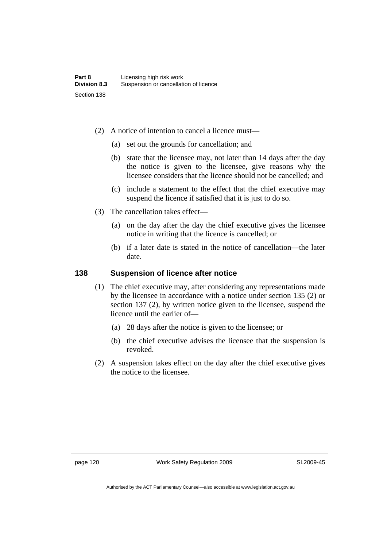- (2) A notice of intention to cancel a licence must—
	- (a) set out the grounds for cancellation; and
	- (b) state that the licensee may, not later than 14 days after the day the notice is given to the licensee, give reasons why the licensee considers that the licence should not be cancelled; and
	- (c) include a statement to the effect that the chief executive may suspend the licence if satisfied that it is just to do so.
- (3) The cancellation takes effect—
	- (a) on the day after the day the chief executive gives the licensee notice in writing that the licence is cancelled; or
	- (b) if a later date is stated in the notice of cancellation—the later date.

# **138 Suspension of licence after notice**

- (1) The chief executive may, after considering any representations made by the licensee in accordance with a notice under section 135 (2) or section 137 (2), by written notice given to the licensee, suspend the licence until the earlier of—
	- (a) 28 days after the notice is given to the licensee; or
	- (b) the chief executive advises the licensee that the suspension is revoked.
- (2) A suspension takes effect on the day after the chief executive gives the notice to the licensee.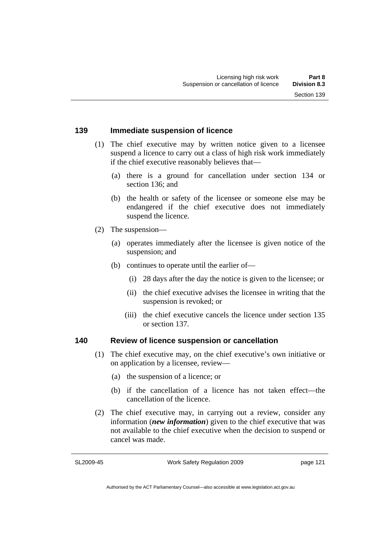### **139 Immediate suspension of licence**

- (1) The chief executive may by written notice given to a licensee suspend a licence to carry out a class of high risk work immediately if the chief executive reasonably believes that—
	- (a) there is a ground for cancellation under section 134 or section 136; and
	- (b) the health or safety of the licensee or someone else may be endangered if the chief executive does not immediately suspend the licence.
- (2) The suspension—
	- (a) operates immediately after the licensee is given notice of the suspension; and
	- (b) continues to operate until the earlier of—
		- (i) 28 days after the day the notice is given to the licensee; or
		- (ii) the chief executive advises the licensee in writing that the suspension is revoked; or
		- (iii) the chief executive cancels the licence under section 135 or section 137.

#### **140 Review of licence suspension or cancellation**

- (1) The chief executive may, on the chief executive's own initiative or on application by a licensee, review—
	- (a) the suspension of a licence; or
	- (b) if the cancellation of a licence has not taken effect—the cancellation of the licence.
- (2) The chief executive may, in carrying out a review, consider any information (*new information*) given to the chief executive that was not available to the chief executive when the decision to suspend or cancel was made.

SL2009-45

Work Safety Regulation 2009

page 121

Authorised by the ACT Parliamentary Counsel—also accessible at www.legislation.act.gov.au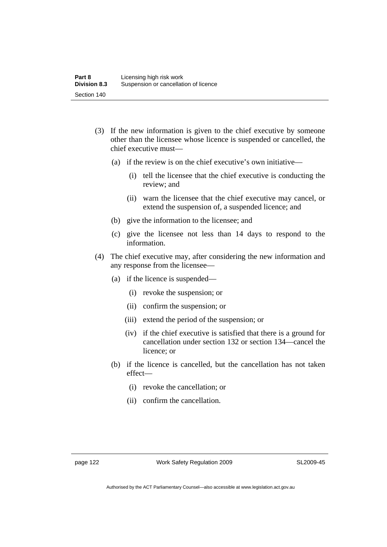- (3) If the new information is given to the chief executive by someone other than the licensee whose licence is suspended or cancelled, the chief executive must—
	- (a) if the review is on the chief executive's own initiative—
		- (i) tell the licensee that the chief executive is conducting the review; and
		- (ii) warn the licensee that the chief executive may cancel, or extend the suspension of, a suspended licence; and
	- (b) give the information to the licensee; and
	- (c) give the licensee not less than 14 days to respond to the information.
- (4) The chief executive may, after considering the new information and any response from the licensee—
	- (a) if the licence is suspended—
		- (i) revoke the suspension; or
		- (ii) confirm the suspension; or
		- (iii) extend the period of the suspension; or
		- (iv) if the chief executive is satisfied that there is a ground for cancellation under section 132 or section 134—cancel the licence; or
	- (b) if the licence is cancelled, but the cancellation has not taken effect—
		- (i) revoke the cancellation; or
		- (ii) confirm the cancellation.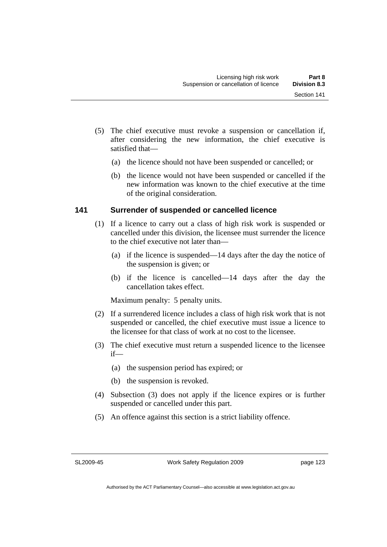- (5) The chief executive must revoke a suspension or cancellation if, after considering the new information, the chief executive is satisfied that—
	- (a) the licence should not have been suspended or cancelled; or
	- (b) the licence would not have been suspended or cancelled if the new information was known to the chief executive at the time of the original consideration.

# **141 Surrender of suspended or cancelled licence**

- (1) If a licence to carry out a class of high risk work is suspended or cancelled under this division, the licensee must surrender the licence to the chief executive not later than—
	- (a) if the licence is suspended—14 days after the day the notice of the suspension is given; or
	- (b) if the licence is cancelled—14 days after the day the cancellation takes effect.

Maximum penalty: 5 penalty units.

- (2) If a surrendered licence includes a class of high risk work that is not suspended or cancelled, the chief executive must issue a licence to the licensee for that class of work at no cost to the licensee.
- (3) The chief executive must return a suspended licence to the licensee if—
	- (a) the suspension period has expired; or
	- (b) the suspension is revoked.
- (4) Subsection (3) does not apply if the licence expires or is further suspended or cancelled under this part.
- (5) An offence against this section is a strict liability offence.

SL2009-45

Work Safety Regulation 2009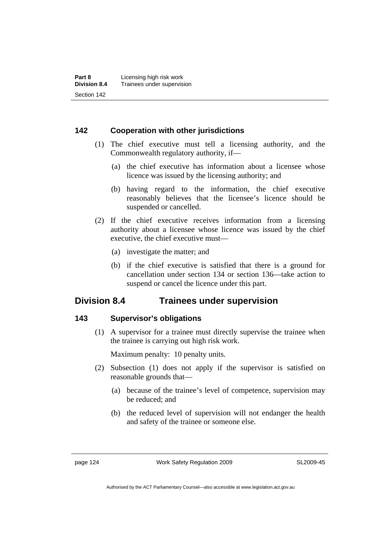# **142 Cooperation with other jurisdictions**

- (1) The chief executive must tell a licensing authority, and the Commonwealth regulatory authority, if—
	- (a) the chief executive has information about a licensee whose licence was issued by the licensing authority; and
	- (b) having regard to the information, the chief executive reasonably believes that the licensee's licence should be suspended or cancelled.
- (2) If the chief executive receives information from a licensing authority about a licensee whose licence was issued by the chief executive, the chief executive must—
	- (a) investigate the matter; and
	- (b) if the chief executive is satisfied that there is a ground for cancellation under section 134 or section 136—take action to suspend or cancel the licence under this part.

# **Division 8.4 Trainees under supervision**

# **143 Supervisor's obligations**

 (1) A supervisor for a trainee must directly supervise the trainee when the trainee is carrying out high risk work.

Maximum penalty: 10 penalty units.

- (2) Subsection (1) does not apply if the supervisor is satisfied on reasonable grounds that—
	- (a) because of the trainee's level of competence, supervision may be reduced; and
	- (b) the reduced level of supervision will not endanger the health and safety of the trainee or someone else.

page 124 Work Safety Regulation 2009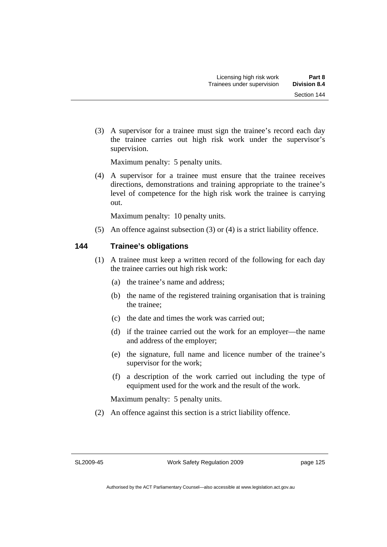(3) A supervisor for a trainee must sign the trainee's record each day the trainee carries out high risk work under the supervisor's supervision.

Maximum penalty: 5 penalty units.

 (4) A supervisor for a trainee must ensure that the trainee receives directions, demonstrations and training appropriate to the trainee's level of competence for the high risk work the trainee is carrying out.

Maximum penalty: 10 penalty units.

(5) An offence against subsection (3) or (4) is a strict liability offence.

# **144 Trainee's obligations**

- (1) A trainee must keep a written record of the following for each day the trainee carries out high risk work:
	- (a) the trainee's name and address;
	- (b) the name of the registered training organisation that is training the trainee;
	- (c) the date and times the work was carried out;
	- (d) if the trainee carried out the work for an employer—the name and address of the employer;
	- (e) the signature, full name and licence number of the trainee's supervisor for the work;
	- (f) a description of the work carried out including the type of equipment used for the work and the result of the work.

Maximum penalty: 5 penalty units.

(2) An offence against this section is a strict liability offence.

SL2009-45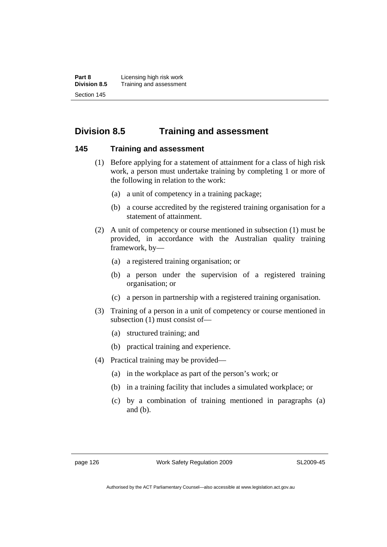**Part 8 Licensing high risk work**<br>**Division 8.5** Training and assessmen **Division 8.5** Training and assessment Section 145

# **Division 8.5 Training and assessment**

### **145 Training and assessment**

- (1) Before applying for a statement of attainment for a class of high risk work, a person must undertake training by completing 1 or more of the following in relation to the work:
	- (a) a unit of competency in a training package;
	- (b) a course accredited by the registered training organisation for a statement of attainment.
- (2) A unit of competency or course mentioned in subsection (1) must be provided, in accordance with the Australian quality training framework, by—
	- (a) a registered training organisation; or
	- (b) a person under the supervision of a registered training organisation; or
	- (c) a person in partnership with a registered training organisation.
- (3) Training of a person in a unit of competency or course mentioned in subsection (1) must consist of—
	- (a) structured training; and
	- (b) practical training and experience.
- (4) Practical training may be provided—
	- (a) in the workplace as part of the person's work; or
	- (b) in a training facility that includes a simulated workplace; or
	- (c) by a combination of training mentioned in paragraphs (a) and (b).

page 126 Work Safety Regulation 2009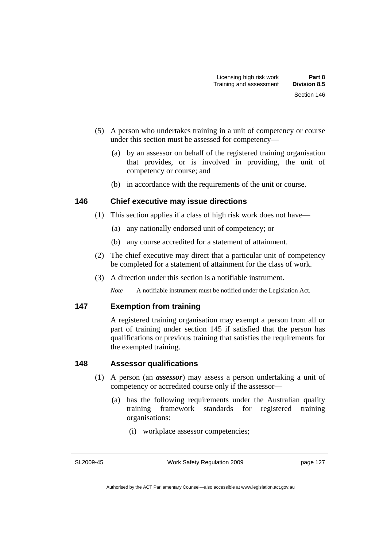- (5) A person who undertakes training in a unit of competency or course under this section must be assessed for competency—
	- (a) by an assessor on behalf of the registered training organisation that provides, or is involved in providing, the unit of competency or course; and
	- (b) in accordance with the requirements of the unit or course.

# **146 Chief executive may issue directions**

- (1) This section applies if a class of high risk work does not have—
	- (a) any nationally endorsed unit of competency; or
	- (b) any course accredited for a statement of attainment.
- (2) The chief executive may direct that a particular unit of competency be completed for a statement of attainment for the class of work.
- (3) A direction under this section is a notifiable instrument.

*Note* A notifiable instrument must be notified under the Legislation Act.

# **147 Exemption from training**

A registered training organisation may exempt a person from all or part of training under section 145 if satisfied that the person has qualifications or previous training that satisfies the requirements for the exempted training.

# **148 Assessor qualifications**

- (1) A person (an *assessor*) may assess a person undertaking a unit of competency or accredited course only if the assessor—
	- (a) has the following requirements under the Australian quality training framework standards for registered training organisations:
		- (i) workplace assessor competencies;

SL2009-45

Work Safety Regulation 2009

page 127

Authorised by the ACT Parliamentary Counsel—also accessible at www.legislation.act.gov.au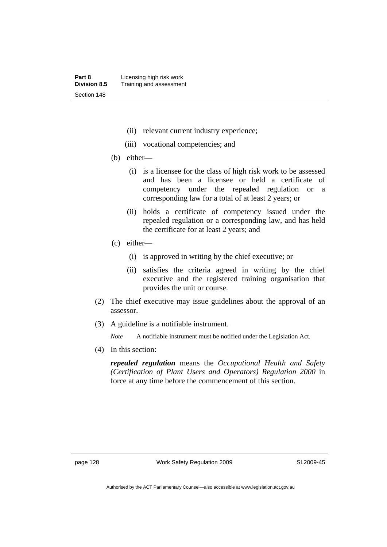- (ii) relevant current industry experience;
- (iii) vocational competencies; and
- (b) either—
	- (i) is a licensee for the class of high risk work to be assessed and has been a licensee or held a certificate of competency under the repealed regulation or a corresponding law for a total of at least 2 years; or
	- (ii) holds a certificate of competency issued under the repealed regulation or a corresponding law, and has held the certificate for at least 2 years; and
- (c) either—
	- (i) is approved in writing by the chief executive; or
	- (ii) satisfies the criteria agreed in writing by the chief executive and the registered training organisation that provides the unit or course.
- (2) The chief executive may issue guidelines about the approval of an assessor.
- (3) A guideline is a notifiable instrument.

*Note* A notifiable instrument must be notified under the Legislation Act.

(4) In this section:

*repealed regulation* means the *Occupational Health and Safety (Certification of Plant Users and Operators) Regulation 2000* in force at any time before the commencement of this section.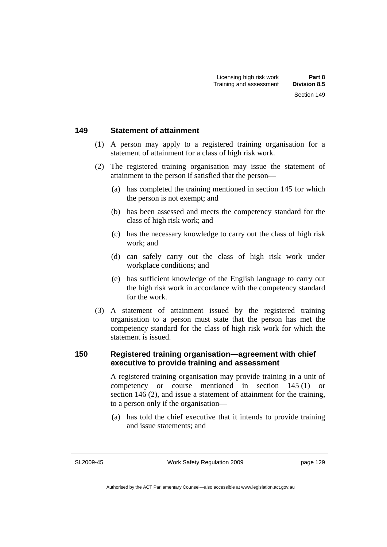#### **149 Statement of attainment**

- (1) A person may apply to a registered training organisation for a statement of attainment for a class of high risk work.
- (2) The registered training organisation may issue the statement of attainment to the person if satisfied that the person—
	- (a) has completed the training mentioned in section 145 for which the person is not exempt; and
	- (b) has been assessed and meets the competency standard for the class of high risk work; and
	- (c) has the necessary knowledge to carry out the class of high risk work; and
	- (d) can safely carry out the class of high risk work under workplace conditions; and
	- (e) has sufficient knowledge of the English language to carry out the high risk work in accordance with the competency standard for the work.
- (3) A statement of attainment issued by the registered training organisation to a person must state that the person has met the competency standard for the class of high risk work for which the statement is issued.

# **150 Registered training organisation—agreement with chief executive to provide training and assessment**

A registered training organisation may provide training in a unit of competency or course mentioned in section 145 (1) or section 146 (2), and issue a statement of attainment for the training, to a person only if the organisation—

 (a) has told the chief executive that it intends to provide training and issue statements; and

SL2009-45

Work Safety Regulation 2009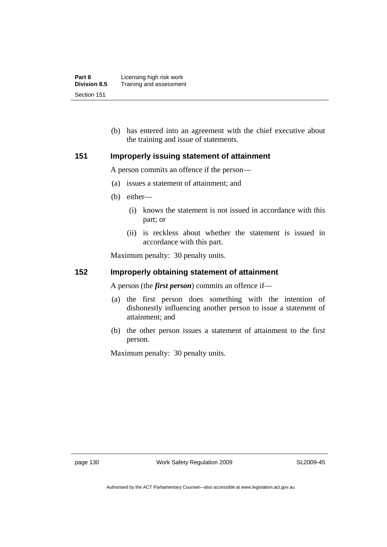| Part 8              | Licensing high risk work |
|---------------------|--------------------------|
| <b>Division 8.5</b> | Training and assessment  |
| Section 151         |                          |

 (b) has entered into an agreement with the chief executive about the training and issue of statements.

# **151 Improperly issuing statement of attainment**

A person commits an offence if the person—

- (a) issues a statement of attainment; and
- (b) either—
	- (i) knows the statement is not issued in accordance with this part; or
	- (ii) is reckless about whether the statement is issued in accordance with this part.

Maximum penalty: 30 penalty units.

# **152 Improperly obtaining statement of attainment**

A person (the *first person*) commits an offence if—

- (a) the first person does something with the intention of dishonestly influencing another person to issue a statement of attainment; and
- (b) the other person issues a statement of attainment to the first person.

Maximum penalty: 30 penalty units.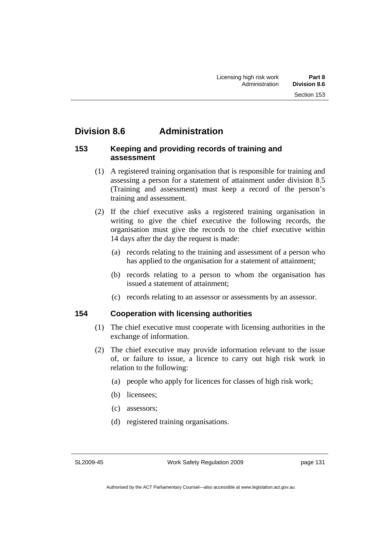# **Division 8.6 Administration**

### **153 Keeping and providing records of training and assessment**

- (1) A registered training organisation that is responsible for training and assessing a person for a statement of attainment under division 8.5 (Training and assessment) must keep a record of the person's training and assessment.
- (2) If the chief executive asks a registered training organisation in writing to give the chief executive the following records, the organisation must give the records to the chief executive within 14 days after the day the request is made:
	- (a) records relating to the training and assessment of a person who has applied to the organisation for a statement of attainment:
	- (b) records relating to a person to whom the organisation has issued a statement of attainment;
	- (c) records relating to an assessor or assessments by an assessor.

# **154 Cooperation with licensing authorities**

- (1) The chief executive must cooperate with licensing authorities in the exchange of information.
- (2) The chief executive may provide information relevant to the issue of, or failure to issue, a licence to carry out high risk work in relation to the following:
	- (a) people who apply for licences for classes of high risk work;
	- (b) licensees;
	- (c) assessors;
	- (d) registered training organisations.

SL2009-45

Work Safety Regulation 2009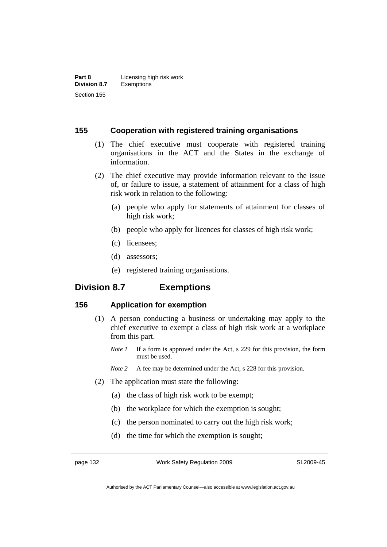### **155 Cooperation with registered training organisations**

- (1) The chief executive must cooperate with registered training organisations in the ACT and the States in the exchange of information.
- (2) The chief executive may provide information relevant to the issue of, or failure to issue, a statement of attainment for a class of high risk work in relation to the following:
	- (a) people who apply for statements of attainment for classes of high risk work;
	- (b) people who apply for licences for classes of high risk work;
	- (c) licensees;
	- (d) assessors;
	- (e) registered training organisations.

# **Division 8.7 Exemptions**

### **156 Application for exemption**

- (1) A person conducting a business or undertaking may apply to the chief executive to exempt a class of high risk work at a workplace from this part.
	- *Note 1* If a form is approved under the Act, s 229 for this provision, the form must be used.
	- *Note 2* A fee may be determined under the Act, s 228 for this provision.
- (2) The application must state the following:
	- (a) the class of high risk work to be exempt;
	- (b) the workplace for which the exemption is sought;
	- (c) the person nominated to carry out the high risk work;
	- (d) the time for which the exemption is sought;

page 132 Work Safety Regulation 2009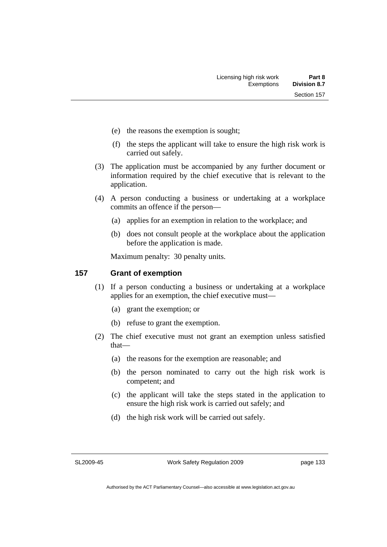- (e) the reasons the exemption is sought;
- (f) the steps the applicant will take to ensure the high risk work is carried out safely.
- (3) The application must be accompanied by any further document or information required by the chief executive that is relevant to the application.
- (4) A person conducting a business or undertaking at a workplace commits an offence if the person—
	- (a) applies for an exemption in relation to the workplace; and
	- (b) does not consult people at the workplace about the application before the application is made.

Maximum penalty: 30 penalty units.

### **157 Grant of exemption**

- (1) If a person conducting a business or undertaking at a workplace applies for an exemption, the chief executive must—
	- (a) grant the exemption; or
	- (b) refuse to grant the exemption.
- (2) The chief executive must not grant an exemption unless satisfied that—
	- (a) the reasons for the exemption are reasonable; and
	- (b) the person nominated to carry out the high risk work is competent; and
	- (c) the applicant will take the steps stated in the application to ensure the high risk work is carried out safely; and
	- (d) the high risk work will be carried out safely.

SL2009-45

Work Safety Regulation 2009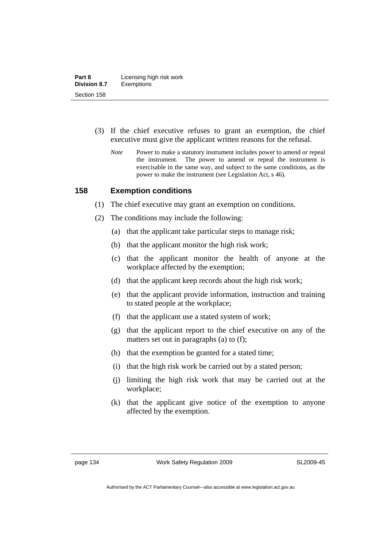- (3) If the chief executive refuses to grant an exemption, the chief executive must give the applicant written reasons for the refusal.
	- *Note* Power to make a statutory instrument includes power to amend or repeal the instrument. The power to amend or repeal the instrument is exercisable in the same way, and subject to the same conditions, as the power to make the instrument (see Legislation Act, s 46).

### **158 Exemption conditions**

- (1) The chief executive may grant an exemption on conditions.
- (2) The conditions may include the following:
	- (a) that the applicant take particular steps to manage risk;
	- (b) that the applicant monitor the high risk work;
	- (c) that the applicant monitor the health of anyone at the workplace affected by the exemption;
	- (d) that the applicant keep records about the high risk work;
	- (e) that the applicant provide information, instruction and training to stated people at the workplace;
	- (f) that the applicant use a stated system of work;
	- (g) that the applicant report to the chief executive on any of the matters set out in paragraphs (a) to (f);
	- (h) that the exemption be granted for a stated time;
	- (i) that the high risk work be carried out by a stated person;
	- (j) limiting the high risk work that may be carried out at the workplace;
	- (k) that the applicant give notice of the exemption to anyone affected by the exemption.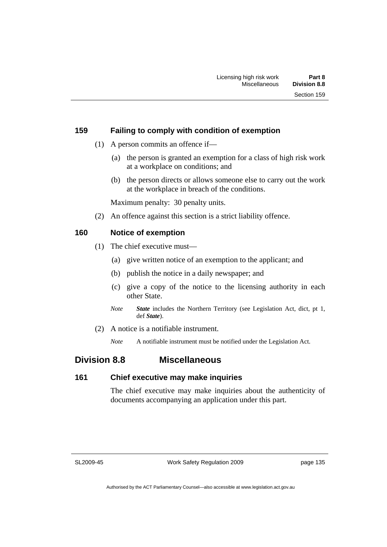## **159 Failing to comply with condition of exemption**

- (1) A person commits an offence if—
	- (a) the person is granted an exemption for a class of high risk work at a workplace on conditions; and
	- (b) the person directs or allows someone else to carry out the work at the workplace in breach of the conditions.

Maximum penalty: 30 penalty units.

(2) An offence against this section is a strict liability offence.

# **160 Notice of exemption**

- (1) The chief executive must—
	- (a) give written notice of an exemption to the applicant; and
	- (b) publish the notice in a daily newspaper; and
	- (c) give a copy of the notice to the licensing authority in each other State.
	- *Note State* includes the Northern Territory (see Legislation Act, dict, pt 1, def *State*).
- (2) A notice is a notifiable instrument.

*Note* A notifiable instrument must be notified under the Legislation Act.

# **Division 8.8 Miscellaneous**

### **161 Chief executive may make inquiries**

The chief executive may make inquiries about the authenticity of documents accompanying an application under this part.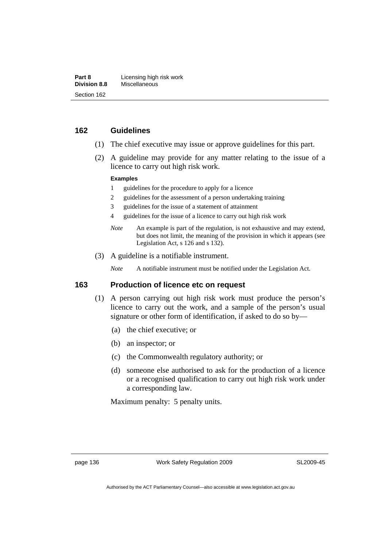## **162 Guidelines**

- (1) The chief executive may issue or approve guidelines for this part.
- (2) A guideline may provide for any matter relating to the issue of a licence to carry out high risk work.

#### **Examples**

- 1 guidelines for the procedure to apply for a licence
- 2 guidelines for the assessment of a person undertaking training
- 3 guidelines for the issue of a statement of attainment
- 4 guidelines for the issue of a licence to carry out high risk work
- *Note* An example is part of the regulation, is not exhaustive and may extend, but does not limit, the meaning of the provision in which it appears (see Legislation Act, s 126 and s 132).
- (3) A guideline is a notifiable instrument.

*Note* A notifiable instrument must be notified under the Legislation Act.

#### **163 Production of licence etc on request**

- (1) A person carrying out high risk work must produce the person's licence to carry out the work, and a sample of the person's usual signature or other form of identification, if asked to do so by—
	- (a) the chief executive; or
	- (b) an inspector; or
	- (c) the Commonwealth regulatory authority; or
	- (d) someone else authorised to ask for the production of a licence or a recognised qualification to carry out high risk work under a corresponding law.

Maximum penalty: 5 penalty units.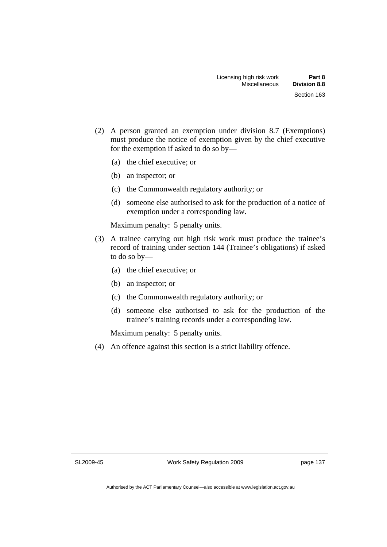- (2) A person granted an exemption under division 8.7 (Exemptions) must produce the notice of exemption given by the chief executive for the exemption if asked to do so by—
	- (a) the chief executive; or
	- (b) an inspector; or
	- (c) the Commonwealth regulatory authority; or
	- (d) someone else authorised to ask for the production of a notice of exemption under a corresponding law.

Maximum penalty: 5 penalty units.

- (3) A trainee carrying out high risk work must produce the trainee's record of training under section 144 (Trainee's obligations) if asked to do so by—
	- (a) the chief executive; or
	- (b) an inspector; or
	- (c) the Commonwealth regulatory authority; or
	- (d) someone else authorised to ask for the production of the trainee's training records under a corresponding law.

Maximum penalty: 5 penalty units.

(4) An offence against this section is a strict liability offence.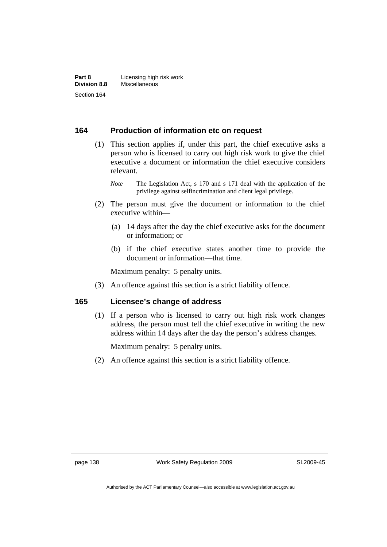### **164 Production of information etc on request**

 (1) This section applies if, under this part, the chief executive asks a person who is licensed to carry out high risk work to give the chief executive a document or information the chief executive considers relevant.

*Note* The Legislation Act, s 170 and s 171 deal with the application of the privilege against selfincrimination and client legal privilege.

- (2) The person must give the document or information to the chief executive within—
	- (a) 14 days after the day the chief executive asks for the document or information; or
	- (b) if the chief executive states another time to provide the document or information—that time.

Maximum penalty: 5 penalty units.

(3) An offence against this section is a strict liability offence.

## **165 Licensee's change of address**

 (1) If a person who is licensed to carry out high risk work changes address, the person must tell the chief executive in writing the new address within 14 days after the day the person's address changes.

Maximum penalty: 5 penalty units.

(2) An offence against this section is a strict liability offence.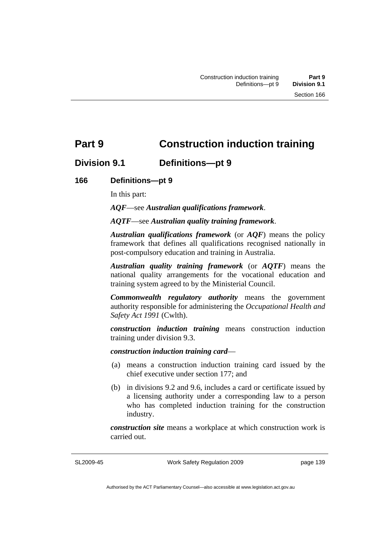# **Part 9 Construction induction training**

# **Division 9.1 Definitions—pt 9**

# **166 Definitions—pt 9**

In this part:

*AQF*—see *Australian qualifications framework*.

*AQTF*—see *Australian quality training framework*.

*Australian qualifications framework* (or *AQF*) means the policy framework that defines all qualifications recognised nationally in post-compulsory education and training in Australia.

*Australian quality training framework* (or *AQTF*) means the national quality arrangements for the vocational education and training system agreed to by the Ministerial Council.

*Commonwealth regulatory authority* means the government authority responsible for administering the *Occupational Health and Safety Act 1991* (Cwlth).

*construction induction training* means construction induction training under division 9.3.

*construction induction training card*—

- (a) means a construction induction training card issued by the chief executive under section 177; and
- (b) in divisions 9.2 and 9.6, includes a card or certificate issued by a licensing authority under a corresponding law to a person who has completed induction training for the construction industry.

*construction site* means a workplace at which construction work is carried out.

SL2009-45

Work Safety Regulation 2009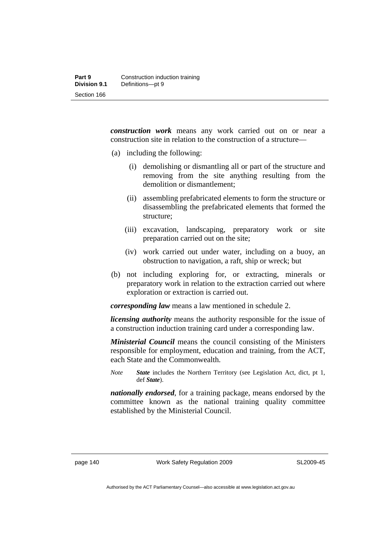*construction work* means any work carried out on or near a construction site in relation to the construction of a structure—

- (a) including the following:
	- (i) demolishing or dismantling all or part of the structure and removing from the site anything resulting from the demolition or dismantlement;
	- (ii) assembling prefabricated elements to form the structure or disassembling the prefabricated elements that formed the structure;
	- (iii) excavation, landscaping, preparatory work or site preparation carried out on the site;
	- (iv) work carried out under water, including on a buoy, an obstruction to navigation, a raft, ship or wreck; but
- (b) not including exploring for, or extracting, minerals or preparatory work in relation to the extraction carried out where exploration or extraction is carried out.

*corresponding law* means a law mentioned in schedule 2.

*licensing authority* means the authority responsible for the issue of a construction induction training card under a corresponding law.

*Ministerial Council* means the council consisting of the Ministers responsible for employment, education and training, from the ACT, each State and the Commonwealth.

*Note State* includes the Northern Territory (see Legislation Act, dict, pt 1, def *State*).

*nationally endorsed*, for a training package, means endorsed by the committee known as the national training quality committee established by the Ministerial Council.

page 140 Work Safety Regulation 2009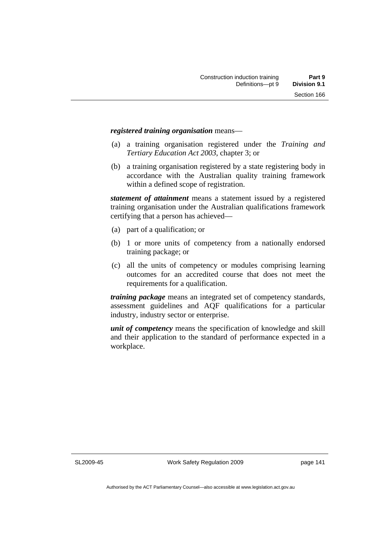#### *registered training organisation* means—

- (a) a training organisation registered under the *Training and Tertiary Education Act 2003*, chapter 3; or
- (b) a training organisation registered by a state registering body in accordance with the Australian quality training framework within a defined scope of registration.

*statement of attainment* means a statement issued by a registered training organisation under the Australian qualifications framework certifying that a person has achieved—

- (a) part of a qualification; or
- (b) 1 or more units of competency from a nationally endorsed training package; or
- (c) all the units of competency or modules comprising learning outcomes for an accredited course that does not meet the requirements for a qualification.

*training package* means an integrated set of competency standards, assessment guidelines and AQF qualifications for a particular industry, industry sector or enterprise.

*unit of competency* means the specification of knowledge and skill and their application to the standard of performance expected in a workplace.

SL2009-45

Work Safety Regulation 2009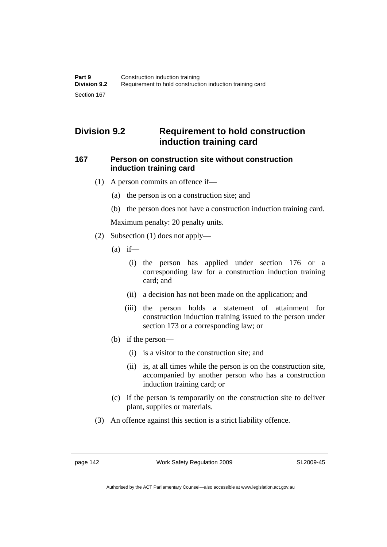# **Division 9.2 Requirement to hold construction induction training card**

## **167 Person on construction site without construction induction training card**

- (1) A person commits an offence if—
	- (a) the person is on a construction site; and
	- (b) the person does not have a construction induction training card.

Maximum penalty: 20 penalty units.

- (2) Subsection (1) does not apply—
	- $(a)$  if—
		- (i) the person has applied under section 176 or a corresponding law for a construction induction training card; and
		- (ii) a decision has not been made on the application; and
		- (iii) the person holds a statement of attainment for construction induction training issued to the person under section 173 or a corresponding law; or
	- (b) if the person—
		- (i) is a visitor to the construction site; and
		- (ii) is, at all times while the person is on the construction site, accompanied by another person who has a construction induction training card; or
	- (c) if the person is temporarily on the construction site to deliver plant, supplies or materials.
- (3) An offence against this section is a strict liability offence.

page 142 Work Safety Regulation 2009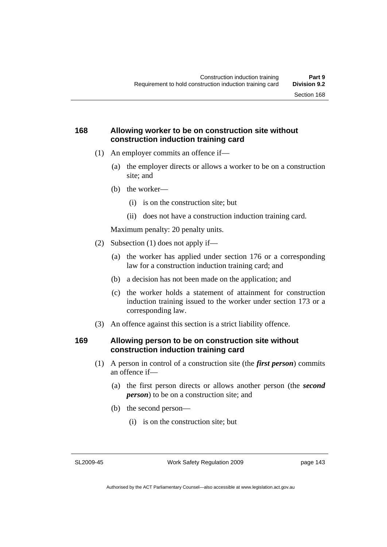## **168 Allowing worker to be on construction site without construction induction training card**

- (1) An employer commits an offence if—
	- (a) the employer directs or allows a worker to be on a construction site; and
	- (b) the worker—
		- (i) is on the construction site; but
		- (ii) does not have a construction induction training card.

Maximum penalty: 20 penalty units.

- (2) Subsection (1) does not apply if—
	- (a) the worker has applied under section 176 or a corresponding law for a construction induction training card; and
	- (b) a decision has not been made on the application; and
	- (c) the worker holds a statement of attainment for construction induction training issued to the worker under section 173 or a corresponding law.
- (3) An offence against this section is a strict liability offence.

### **169 Allowing person to be on construction site without construction induction training card**

- (1) A person in control of a construction site (the *first person*) commits an offence if—
	- (a) the first person directs or allows another person (the *second person*) to be on a construction site; and
	- (b) the second person—
		- (i) is on the construction site; but

SL2009-45

Work Safety Regulation 2009

page 143

Authorised by the ACT Parliamentary Counsel—also accessible at www.legislation.act.gov.au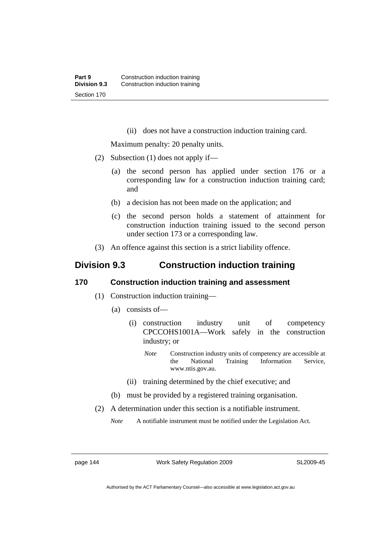(ii) does not have a construction induction training card.

Maximum penalty: 20 penalty units.

- (2) Subsection (1) does not apply if—
	- (a) the second person has applied under section 176 or a corresponding law for a construction induction training card; and
	- (b) a decision has not been made on the application; and
	- (c) the second person holds a statement of attainment for construction induction training issued to the second person under section 173 or a corresponding law.
- (3) An offence against this section is a strict liability offence.

# **Division 9.3 Construction induction training**

### **170 Construction induction training and assessment**

- (1) Construction induction training—
	- (a) consists of—
		- (i) construction industry unit of competency CPCCOHS1001A—Work safely in the construction industry; or
			- *Note* Construction industry units of competency are accessible at the National Training Information Service, www.ntis.gov.au.
		- (ii) training determined by the chief executive; and
	- (b) must be provided by a registered training organisation.
- (2) A determination under this section is a notifiable instrument.

*Note* A notifiable instrument must be notified under the Legislation Act.

page 144 Work Safety Regulation 2009

SL2009-45

Authorised by the ACT Parliamentary Counsel—also accessible at www.legislation.act.gov.au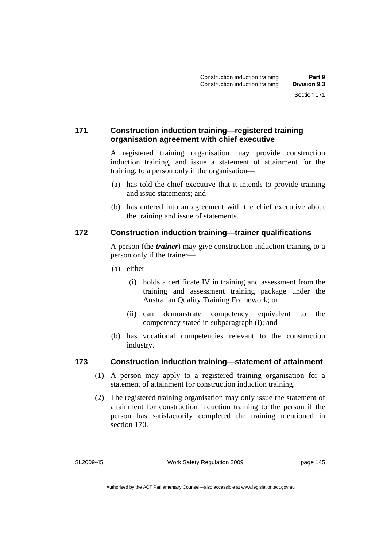## **171 Construction induction training—registered training organisation agreement with chief executive**

A registered training organisation may provide construction induction training, and issue a statement of attainment for the training, to a person only if the organisation—

- (a) has told the chief executive that it intends to provide training and issue statements; and
- (b) has entered into an agreement with the chief executive about the training and issue of statements.

# **172 Construction induction training—trainer qualifications**

A person (the *trainer*) may give construction induction training to a person only if the trainer—

- (a) either—
	- (i) holds a certificate IV in training and assessment from the training and assessment training package under the Australian Quality Training Framework; or
	- (ii) can demonstrate competency equivalent to the competency stated in subparagraph (i); and
- (b) has vocational competencies relevant to the construction industry.

### **173 Construction induction training—statement of attainment**

- (1) A person may apply to a registered training organisation for a statement of attainment for construction induction training.
- (2) The registered training organisation may only issue the statement of attainment for construction induction training to the person if the person has satisfactorily completed the training mentioned in section 170.

SL2009-45

Work Safety Regulation 2009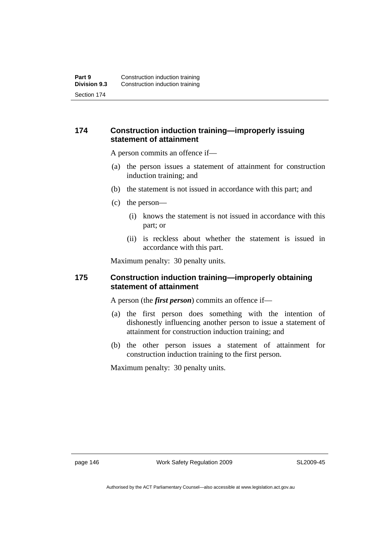## **174 Construction induction training—improperly issuing statement of attainment**

A person commits an offence if—

- (a) the person issues a statement of attainment for construction induction training; and
- (b) the statement is not issued in accordance with this part; and
- (c) the person—
	- (i) knows the statement is not issued in accordance with this part; or
	- (ii) is reckless about whether the statement is issued in accordance with this part.

Maximum penalty: 30 penalty units.

### **175 Construction induction training—improperly obtaining statement of attainment**

A person (the *first person*) commits an offence if—

- (a) the first person does something with the intention of dishonestly influencing another person to issue a statement of attainment for construction induction training; and
- (b) the other person issues a statement of attainment for construction induction training to the first person.

Maximum penalty: 30 penalty units.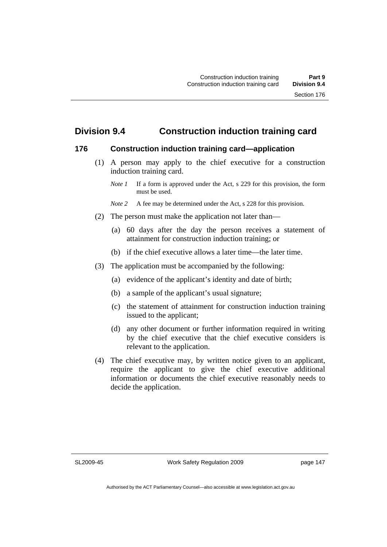# **Division 9.4 Construction induction training card**

### **176 Construction induction training card—application**

 (1) A person may apply to the chief executive for a construction induction training card.

- *Note* 2 A fee may be determined under the Act, s 228 for this provision.
- (2) The person must make the application not later than—
	- (a) 60 days after the day the person receives a statement of attainment for construction induction training; or
	- (b) if the chief executive allows a later time—the later time.
- (3) The application must be accompanied by the following:
	- (a) evidence of the applicant's identity and date of birth;
	- (b) a sample of the applicant's usual signature;
	- (c) the statement of attainment for construction induction training issued to the applicant;
	- (d) any other document or further information required in writing by the chief executive that the chief executive considers is relevant to the application.
- (4) The chief executive may, by written notice given to an applicant, require the applicant to give the chief executive additional information or documents the chief executive reasonably needs to decide the application.

SL2009-45

*Note 1* If a form is approved under the Act, s 229 for this provision, the form must be used.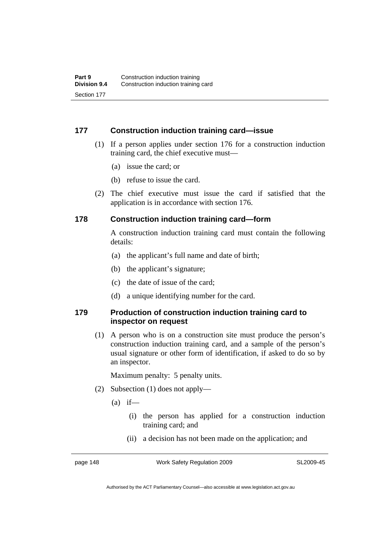## **177 Construction induction training card—issue**

- (1) If a person applies under section 176 for a construction induction training card, the chief executive must—
	- (a) issue the card; or
	- (b) refuse to issue the card.
- (2) The chief executive must issue the card if satisfied that the application is in accordance with section 176.

### **178 Construction induction training card—form**

A construction induction training card must contain the following details:

- (a) the applicant's full name and date of birth;
- (b) the applicant's signature;
- (c) the date of issue of the card;
- (d) a unique identifying number for the card.

## **179 Production of construction induction training card to inspector on request**

 (1) A person who is on a construction site must produce the person's construction induction training card, and a sample of the person's usual signature or other form of identification, if asked to do so by an inspector.

Maximum penalty: 5 penalty units.

- (2) Subsection (1) does not apply—
	- $(a)$  if—
		- (i) the person has applied for a construction induction training card; and
		- (ii) a decision has not been made on the application; and

page 148 Work Safety Regulation 2009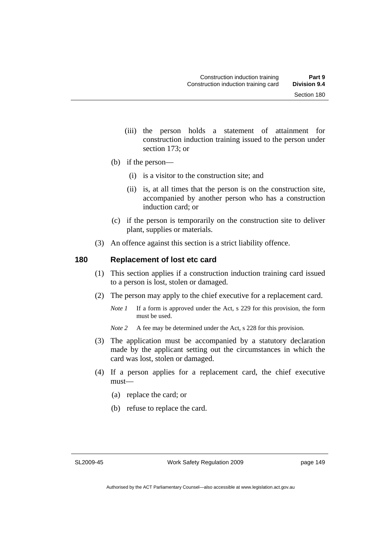- (iii) the person holds a statement of attainment for construction induction training issued to the person under section 173; or
- (b) if the person—
	- (i) is a visitor to the construction site; and
	- (ii) is, at all times that the person is on the construction site, accompanied by another person who has a construction induction card; or
- (c) if the person is temporarily on the construction site to deliver plant, supplies or materials.
- (3) An offence against this section is a strict liability offence.

### **180 Replacement of lost etc card**

- (1) This section applies if a construction induction training card issued to a person is lost, stolen or damaged.
- (2) The person may apply to the chief executive for a replacement card.
	- *Note 1* If a form is approved under the Act, s 229 for this provision, the form must be used.
	- *Note* 2 A fee may be determined under the Act, s 228 for this provision.
- (3) The application must be accompanied by a statutory declaration made by the applicant setting out the circumstances in which the card was lost, stolen or damaged.
- (4) If a person applies for a replacement card, the chief executive must—
	- (a) replace the card; or
	- (b) refuse to replace the card.

SL2009-45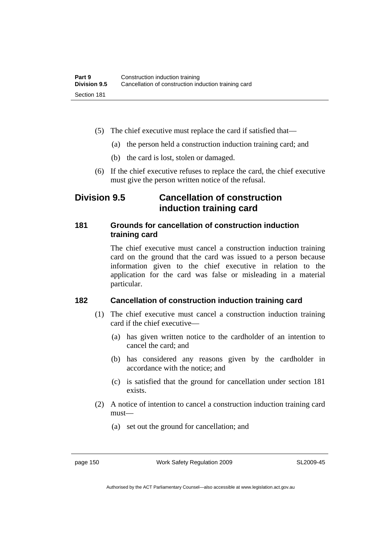- (5) The chief executive must replace the card if satisfied that—
	- (a) the person held a construction induction training card; and
	- (b) the card is lost, stolen or damaged.
- (6) If the chief executive refuses to replace the card, the chief executive must give the person written notice of the refusal.

# **Division 9.5 Cancellation of construction induction training card**

# **181 Grounds for cancellation of construction induction training card**

The chief executive must cancel a construction induction training card on the ground that the card was issued to a person because information given to the chief executive in relation to the application for the card was false or misleading in a material particular.

### **182 Cancellation of construction induction training card**

- (1) The chief executive must cancel a construction induction training card if the chief executive—
	- (a) has given written notice to the cardholder of an intention to cancel the card; and
	- (b) has considered any reasons given by the cardholder in accordance with the notice; and
	- (c) is satisfied that the ground for cancellation under section 181 exists.
- (2) A notice of intention to cancel a construction induction training card must—
	- (a) set out the ground for cancellation; and

page 150 Work Safety Regulation 2009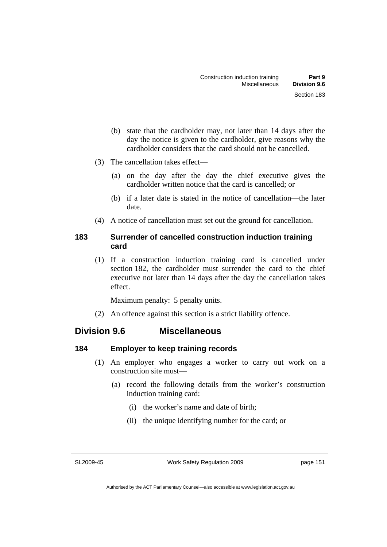- (b) state that the cardholder may, not later than 14 days after the day the notice is given to the cardholder, give reasons why the cardholder considers that the card should not be cancelled.
- (3) The cancellation takes effect—
	- (a) on the day after the day the chief executive gives the cardholder written notice that the card is cancelled; or
	- (b) if a later date is stated in the notice of cancellation—the later date.
- (4) A notice of cancellation must set out the ground for cancellation.

# **183 Surrender of cancelled construction induction training card**

 (1) If a construction induction training card is cancelled under section 182, the cardholder must surrender the card to the chief executive not later than 14 days after the day the cancellation takes effect.

Maximum penalty: 5 penalty units.

(2) An offence against this section is a strict liability offence.

# **Division 9.6 Miscellaneous**

# **184 Employer to keep training records**

- (1) An employer who engages a worker to carry out work on a construction site must—
	- (a) record the following details from the worker's construction induction training card:
		- (i) the worker's name and date of birth;
		- (ii) the unique identifying number for the card; or

SL2009-45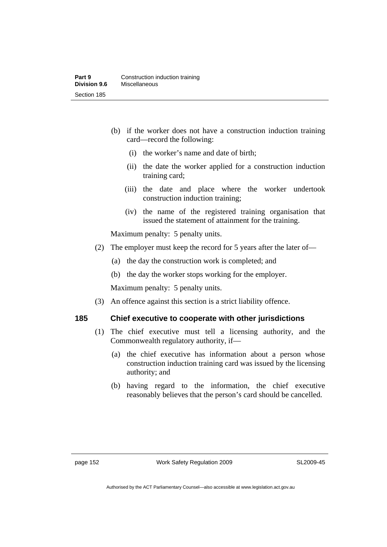- (b) if the worker does not have a construction induction training card—record the following:
	- (i) the worker's name and date of birth;
	- (ii) the date the worker applied for a construction induction training card;
	- (iii) the date and place where the worker undertook construction induction training;
	- (iv) the name of the registered training organisation that issued the statement of attainment for the training.

Maximum penalty: 5 penalty units.

- (2) The employer must keep the record for 5 years after the later of—
	- (a) the day the construction work is completed; and
	- (b) the day the worker stops working for the employer.

Maximum penalty: 5 penalty units.

(3) An offence against this section is a strict liability offence.

# **185 Chief executive to cooperate with other jurisdictions**

- (1) The chief executive must tell a licensing authority, and the Commonwealth regulatory authority, if—
	- (a) the chief executive has information about a person whose construction induction training card was issued by the licensing authority; and
	- (b) having regard to the information, the chief executive reasonably believes that the person's card should be cancelled.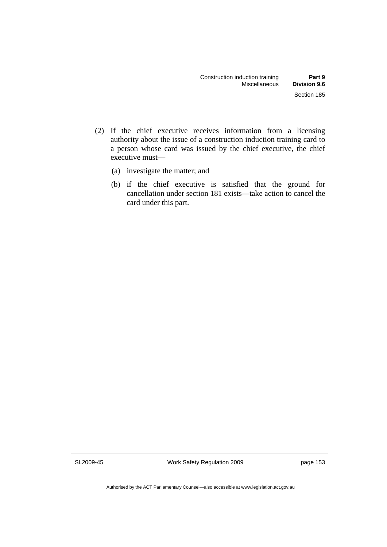- (2) If the chief executive receives information from a licensing authority about the issue of a construction induction training card to a person whose card was issued by the chief executive, the chief executive must—
	- (a) investigate the matter; and
	- (b) if the chief executive is satisfied that the ground for cancellation under section 181 exists—take action to cancel the card under this part.

SL2009-45

Work Safety Regulation 2009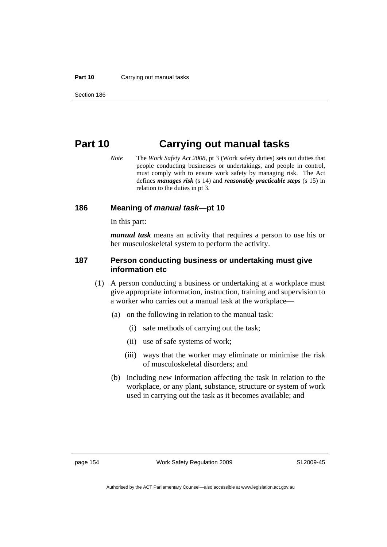#### **Part 10** Carrying out manual tasks

# **Part 10 Carrying out manual tasks**

*Note* The *Work Safety Act 2008*, pt 3 (Work safety duties) sets out duties that people conducting businesses or undertakings, and people in control, must comply with to ensure work safety by managing risk. The Act defines *manages risk* (s 14) and *reasonably practicable steps* (s 15) in relation to the duties in pt 3.

### **186 Meaning of** *manual task***—pt 10**

In this part:

*manual task* means an activity that requires a person to use his or her musculoskeletal system to perform the activity.

## **187 Person conducting business or undertaking must give information etc**

- (1) A person conducting a business or undertaking at a workplace must give appropriate information, instruction, training and supervision to a worker who carries out a manual task at the workplace—
	- (a) on the following in relation to the manual task:
		- (i) safe methods of carrying out the task;
		- (ii) use of safe systems of work;
		- (iii) ways that the worker may eliminate or minimise the risk of musculoskeletal disorders; and
	- (b) including new information affecting the task in relation to the workplace, or any plant, substance, structure or system of work used in carrying out the task as it becomes available; and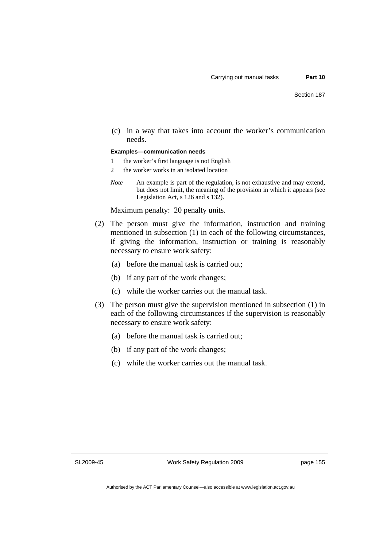(c) in a way that takes into account the worker's communication needs.

#### **Examples—communication needs**

- 1 the worker's first language is not English
- 2 the worker works in an isolated location
- *Note* An example is part of the regulation, is not exhaustive and may extend, but does not limit, the meaning of the provision in which it appears (see Legislation Act, s 126 and s 132).

Maximum penalty: 20 penalty units.

- (2) The person must give the information, instruction and training mentioned in subsection (1) in each of the following circumstances, if giving the information, instruction or training is reasonably necessary to ensure work safety:
	- (a) before the manual task is carried out;
	- (b) if any part of the work changes;
	- (c) while the worker carries out the manual task.
- (3) The person must give the supervision mentioned in subsection (1) in each of the following circumstances if the supervision is reasonably necessary to ensure work safety:
	- (a) before the manual task is carried out;
	- (b) if any part of the work changes;
	- (c) while the worker carries out the manual task.

SL2009-45

Work Safety Regulation 2009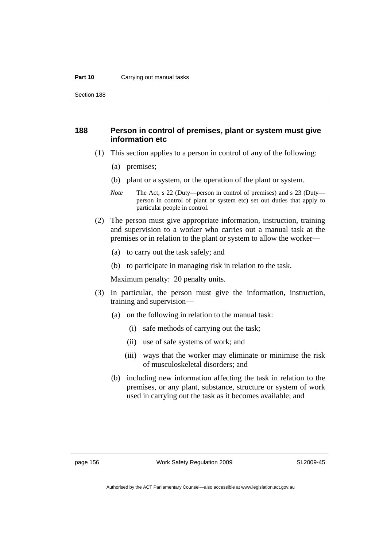#### **Part 10** Carrying out manual tasks

Section 188

### **188 Person in control of premises, plant or system must give information etc**

- (1) This section applies to a person in control of any of the following:
	- (a) premises;
	- (b) plant or a system, or the operation of the plant or system.
	- *Note* The Act, s 22 (Duty—person in control of premises) and s 23 (Duty person in control of plant or system etc) set out duties that apply to particular people in control.
- (2) The person must give appropriate information, instruction, training and supervision to a worker who carries out a manual task at the premises or in relation to the plant or system to allow the worker—
	- (a) to carry out the task safely; and
	- (b) to participate in managing risk in relation to the task.

Maximum penalty: 20 penalty units.

- (3) In particular, the person must give the information, instruction, training and supervision—
	- (a) on the following in relation to the manual task:
		- (i) safe methods of carrying out the task;
		- (ii) use of safe systems of work; and
		- (iii) ways that the worker may eliminate or minimise the risk of musculoskeletal disorders; and
	- (b) including new information affecting the task in relation to the premises, or any plant, substance, structure or system of work used in carrying out the task as it becomes available; and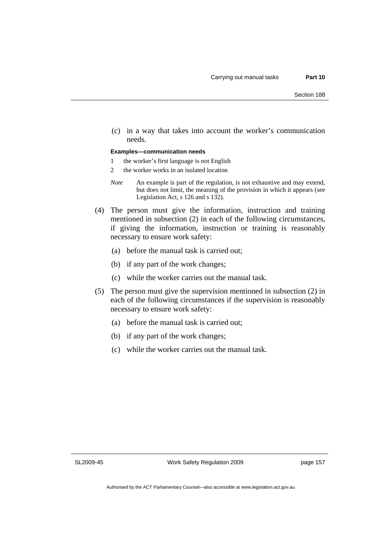(c) in a way that takes into account the worker's communication needs.

#### **Examples—communication needs**

- 1 the worker's first language is not English
- 2 the worker works in an isolated location
- *Note* An example is part of the regulation, is not exhaustive and may extend, but does not limit, the meaning of the provision in which it appears (see Legislation Act, s 126 and s 132).
- (4) The person must give the information, instruction and training mentioned in subsection (2) in each of the following circumstances, if giving the information, instruction or training is reasonably necessary to ensure work safety:
	- (a) before the manual task is carried out;
	- (b) if any part of the work changes;
	- (c) while the worker carries out the manual task.
- (5) The person must give the supervision mentioned in subsection (2) in each of the following circumstances if the supervision is reasonably necessary to ensure work safety:
	- (a) before the manual task is carried out;
	- (b) if any part of the work changes;
	- (c) while the worker carries out the manual task.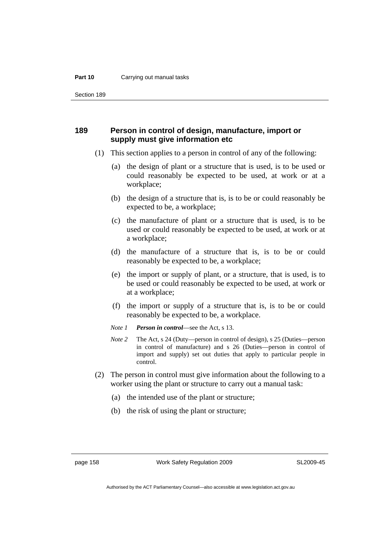#### **Part 10** Carrying out manual tasks

Section 189

### **189 Person in control of design, manufacture, import or supply must give information etc**

- (1) This section applies to a person in control of any of the following:
	- (a) the design of plant or a structure that is used, is to be used or could reasonably be expected to be used, at work or at a workplace;
	- (b) the design of a structure that is, is to be or could reasonably be expected to be, a workplace;
	- (c) the manufacture of plant or a structure that is used, is to be used or could reasonably be expected to be used, at work or at a workplace;
	- (d) the manufacture of a structure that is, is to be or could reasonably be expected to be, a workplace;
	- (e) the import or supply of plant, or a structure, that is used, is to be used or could reasonably be expected to be used, at work or at a workplace;
	- (f) the import or supply of a structure that is, is to be or could reasonably be expected to be, a workplace.
	- *Note 1 Person in control*—see the Act, s 13.
	- *Note 2* The Act, s 24 (Duty—person in control of design), s 25 (Duties—person in control of manufacture) and s 26 (Duties—person in control of import and supply) set out duties that apply to particular people in control.
- (2) The person in control must give information about the following to a worker using the plant or structure to carry out a manual task:
	- (a) the intended use of the plant or structure;
	- (b) the risk of using the plant or structure;

page 158 Work Safety Regulation 2009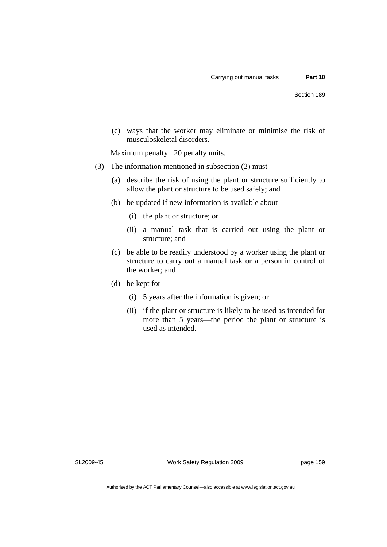(c) ways that the worker may eliminate or minimise the risk of musculoskeletal disorders.

Maximum penalty: 20 penalty units.

- (3) The information mentioned in subsection (2) must—
	- (a) describe the risk of using the plant or structure sufficiently to allow the plant or structure to be used safely; and
	- (b) be updated if new information is available about—
		- (i) the plant or structure; or
		- (ii) a manual task that is carried out using the plant or structure; and
	- (c) be able to be readily understood by a worker using the plant or structure to carry out a manual task or a person in control of the worker; and
	- (d) be kept for—
		- (i) 5 years after the information is given; or
		- (ii) if the plant or structure is likely to be used as intended for more than 5 years—the period the plant or structure is used as intended.

SL2009-45

Work Safety Regulation 2009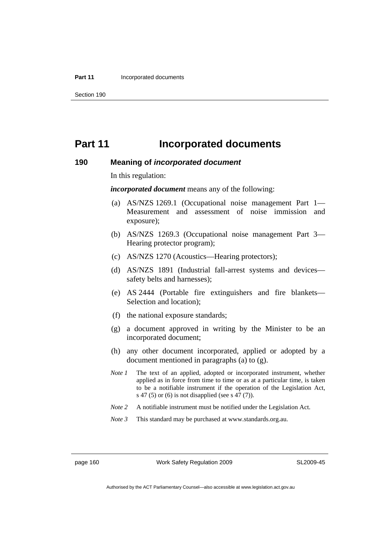#### **Part 11 Incorporated documents**

Section 190

# **Part 11** Incorporated documents

#### **190 Meaning of** *incorporated document*

In this regulation:

*incorporated document* means any of the following:

- (a) AS/NZS 1269.1 (Occupational noise management Part 1— Measurement and assessment of noise immission and exposure);
- (b) AS/NZS 1269.3 (Occupational noise management Part 3— Hearing protector program);
- (c) AS/NZS 1270 (Acoustics—Hearing protectors);
- (d) AS/NZS 1891 (Industrial fall-arrest systems and devices safety belts and harnesses);
- (e) AS 2444 (Portable fire extinguishers and fire blankets— Selection and location);
- (f) the national exposure standards;
- (g) a document approved in writing by the Minister to be an incorporated document;
- (h) any other document incorporated, applied or adopted by a document mentioned in paragraphs (a) to (g).
- *Note 1* The text of an applied, adopted or incorporated instrument, whether applied as in force from time to time or as at a particular time, is taken to be a notifiable instrument if the operation of the Legislation Act, s 47 (5) or (6) is not disapplied (see s 47 (7)).
- *Note 2* A notifiable instrument must be notified under the Legislation Act.
- *Note 3* This standard may be purchased at www.standards.org.au.

page 160 Work Safety Regulation 2009

SL2009-45

Authorised by the ACT Parliamentary Counsel—also accessible at www.legislation.act.gov.au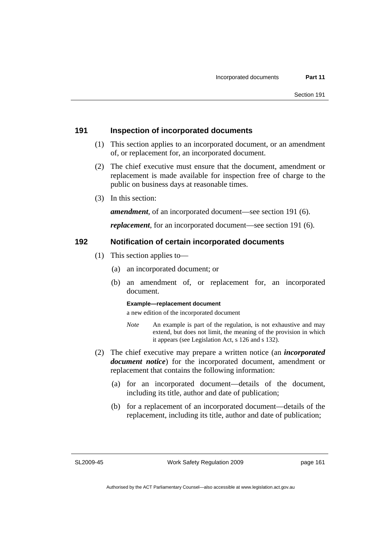### **191 Inspection of incorporated documents**

- (1) This section applies to an incorporated document, or an amendment of, or replacement for, an incorporated document.
- (2) The chief executive must ensure that the document, amendment or replacement is made available for inspection free of charge to the public on business days at reasonable times.
- (3) In this section:

*amendment*, of an incorporated document—see section 191 (6).

*replacement*, for an incorporated document—see section 191 (6).

### **192 Notification of certain incorporated documents**

- (1) This section applies to—
	- (a) an incorporated document; or
	- (b) an amendment of, or replacement for, an incorporated document.

#### **Example—replacement document**

a new edition of the incorporated document

- *Note* An example is part of the regulation, is not exhaustive and may extend, but does not limit, the meaning of the provision in which it appears (see Legislation Act, s 126 and s 132).
- (2) The chief executive may prepare a written notice (an *incorporated document notice*) for the incorporated document, amendment or replacement that contains the following information:
	- (a) for an incorporated document—details of the document, including its title, author and date of publication;
	- (b) for a replacement of an incorporated document—details of the replacement, including its title, author and date of publication;

SL2009-45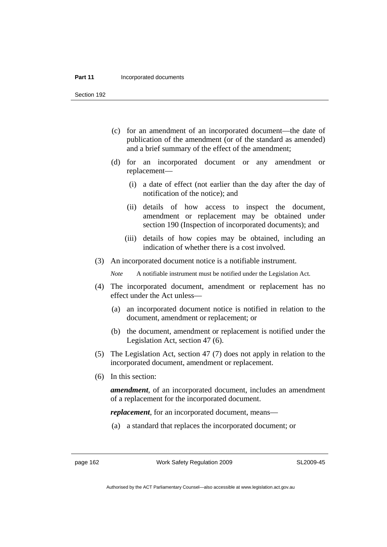#### **Part 11 Incorporated documents**

Section 192

- (c) for an amendment of an incorporated document—the date of publication of the amendment (or of the standard as amended) and a brief summary of the effect of the amendment;
- (d) for an incorporated document or any amendment or replacement—
	- (i) a date of effect (not earlier than the day after the day of notification of the notice); and
	- (ii) details of how access to inspect the document, amendment or replacement may be obtained under section 190 (Inspection of incorporated documents); and
	- (iii) details of how copies may be obtained, including an indication of whether there is a cost involved.
- (3) An incorporated document notice is a notifiable instrument.

*Note* A notifiable instrument must be notified under the Legislation Act.

- (4) The incorporated document, amendment or replacement has no effect under the Act unless—
	- (a) an incorporated document notice is notified in relation to the document, amendment or replacement; or
	- (b) the document, amendment or replacement is notified under the Legislation Act, section 47 (6).
- (5) The Legislation Act, section 47 (7) does not apply in relation to the incorporated document, amendment or replacement.
- (6) In this section:

*amendment*, of an incorporated document, includes an amendment of a replacement for the incorporated document.

*replacement*, for an incorporated document, means—

(a) a standard that replaces the incorporated document; or

page 162 Work Safety Regulation 2009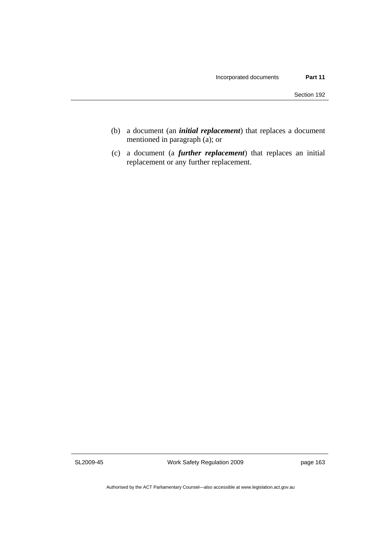- (b) a document (an *initial replacement*) that replaces a document mentioned in paragraph (a); or
- (c) a document (a *further replacement*) that replaces an initial replacement or any further replacement.

SL2009-45

Work Safety Regulation 2009

page 163

Authorised by the ACT Parliamentary Counsel—also accessible at www.legislation.act.gov.au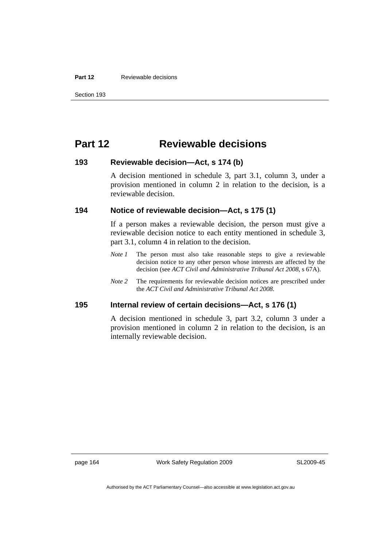#### **Part 12 Reviewable decisions**

Section 193

# **Part 12 Reviewable decisions**

### **193 Reviewable decision—Act, s 174 (b)**

A decision mentioned in schedule 3, part 3.1, column 3, under a provision mentioned in column 2 in relation to the decision, is a reviewable decision.

### **194 Notice of reviewable decision—Act, s 175 (1)**

If a person makes a reviewable decision, the person must give a reviewable decision notice to each entity mentioned in schedule 3, part 3.1, column 4 in relation to the decision.

- *Note 1* The person must also take reasonable steps to give a reviewable decision notice to any other person whose interests are affected by the decision (see *ACT Civil and Administrative Tribunal Act 2008*, s 67A).
- *Note 2* The requirements for reviewable decision notices are prescribed under the *ACT Civil and Administrative Tribunal Act 2008*.

### **195 Internal review of certain decisions—Act, s 176 (1)**

A decision mentioned in schedule 3, part 3.2, column 3 under a provision mentioned in column 2 in relation to the decision, is an internally reviewable decision.

page 164 Work Safety Regulation 2009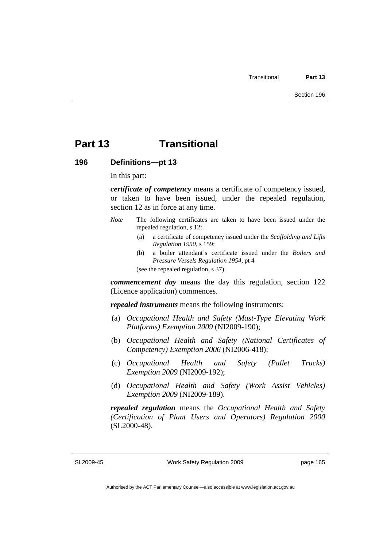# **Part 13 Transitional**

### **196 Definitions—pt 13**

In this part:

*certificate of competency* means a certificate of competency issued, or taken to have been issued, under the repealed regulation, section 12 as in force at any time.

- *Note* The following certificates are taken to have been issued under the repealed regulation, s 12:
	- (a) a certificate of competency issued under the *Scaffolding and Lifts Regulation 1950*, s 159;
	- (b) a boiler attendant's certificate issued under the *Boilers and Pressure Vessels Regulation 1954*, pt 4

(see the repealed regulation, s 37).

*commencement day* means the day this regulation, section 122 (Licence application) commences.

*repealed instruments* means the following instruments:

- (a) *Occupational Health and Safety (Mast-Type Elevating Work Platforms) Exemption 2009* (NI2009-190);
- (b) *Occupational Health and Safety (National Certificates of Competency) Exemption 2006* (NI2006-418);
- (c) *Occupational Health and Safety (Pallet Trucks) Exemption 2009* (NI2009-192);
- (d) *Occupational Health and Safety (Work Assist Vehicles) Exemption 2009* (NI2009-189).

*repealed regulation* means the *Occupational Health and Safety (Certification of Plant Users and Operators) Regulation 2000* (SL2000-48).

SL2009-45

Work Safety Regulation 2009

Authorised by the ACT Parliamentary Counsel—also accessible at www.legislation.act.gov.au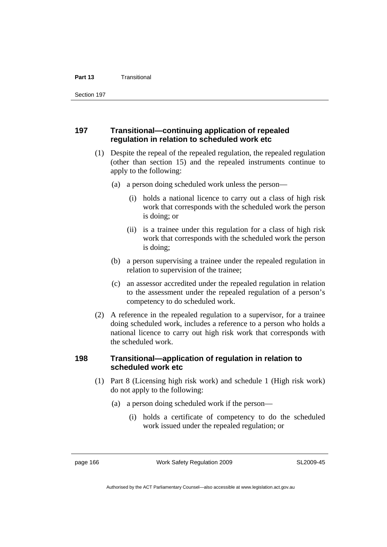Section 197

### **197 Transitional—continuing application of repealed regulation in relation to scheduled work etc**

- (1) Despite the repeal of the repealed regulation, the repealed regulation (other than section 15) and the repealed instruments continue to apply to the following:
	- (a) a person doing scheduled work unless the person—
		- (i) holds a national licence to carry out a class of high risk work that corresponds with the scheduled work the person is doing; or
		- (ii) is a trainee under this regulation for a class of high risk work that corresponds with the scheduled work the person is doing;
	- (b) a person supervising a trainee under the repealed regulation in relation to supervision of the trainee;
	- (c) an assessor accredited under the repealed regulation in relation to the assessment under the repealed regulation of a person's competency to do scheduled work.
- (2) A reference in the repealed regulation to a supervisor, for a trainee doing scheduled work, includes a reference to a person who holds a national licence to carry out high risk work that corresponds with the scheduled work.

## **198 Transitional—application of regulation in relation to scheduled work etc**

- (1) Part 8 (Licensing high risk work) and schedule 1 (High risk work) do not apply to the following:
	- (a) a person doing scheduled work if the person—
		- (i) holds a certificate of competency to do the scheduled work issued under the repealed regulation; or

page 166 Work Safety Regulation 2009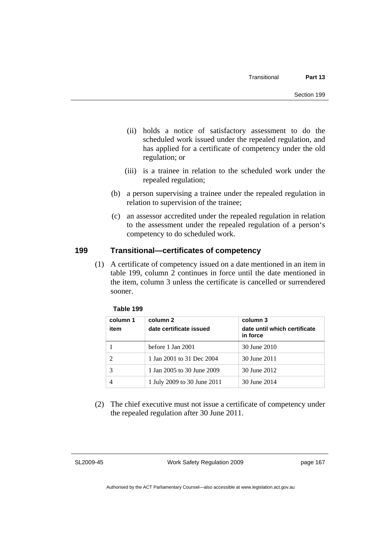- (ii) holds a notice of satisfactory assessment to do the scheduled work issued under the repealed regulation, and has applied for a certificate of competency under the old regulation; or
- (iii) is a trainee in relation to the scheduled work under the repealed regulation;
- (b) a person supervising a trainee under the repealed regulation in relation to supervision of the trainee;
- (c) an assessor accredited under the repealed regulation in relation to the assessment under the repealed regulation of a person's competency to do scheduled work.

## **199 Transitional—certificates of competency**

 (1) A certificate of competency issued on a date mentioned in an item in table 199, column 2 continues in force until the date mentioned in the item, column 3 unless the certificate is cancelled or surrendered sooner.

| Table 199 |
|-----------|
|-----------|

| column 1<br>item | column 2<br>date certificate issued | column 3<br>date until which certificate<br>in force |
|------------------|-------------------------------------|------------------------------------------------------|
|                  | before 1 Jan 2001                   | 30 June 2010                                         |
|                  | 1 Jan 2001 to 31 Dec 2004           | 30 June 2011                                         |
|                  | 1 Jan 2005 to 30 June 2009          | 30 June 2012                                         |
|                  | 1 July 2009 to 30 June 2011         | 30 June 2014                                         |

 (2) The chief executive must not issue a certificate of competency under the repealed regulation after 30 June 2011.

SL2009-45

Work Safety Regulation 2009

page 167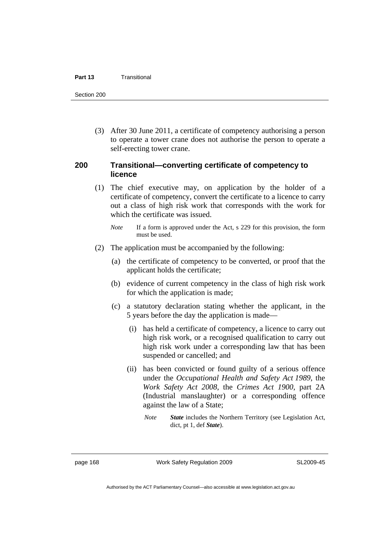#### **Part 13** Transitional

Section 200

 (3) After 30 June 2011, a certificate of competency authorising a person to operate a tower crane does not authorise the person to operate a self-erecting tower crane.

#### **200 Transitional—converting certificate of competency to licence**

- (1) The chief executive may, on application by the holder of a certificate of competency, convert the certificate to a licence to carry out a class of high risk work that corresponds with the work for which the certificate was issued.
	- *Note* If a form is approved under the Act, s 229 for this provision, the form must be used.
- (2) The application must be accompanied by the following:
	- (a) the certificate of competency to be converted, or proof that the applicant holds the certificate;
	- (b) evidence of current competency in the class of high risk work for which the application is made;
	- (c) a statutory declaration stating whether the applicant, in the 5 years before the day the application is made—
		- (i) has held a certificate of competency, a licence to carry out high risk work, or a recognised qualification to carry out high risk work under a corresponding law that has been suspended or cancelled; and
		- (ii) has been convicted or found guilty of a serious offence under the *Occupational Health and Safety Act 1989*, the *Work Safety Act 2008*, the *Crimes Act 1900*, part 2A (Industrial manslaughter) or a corresponding offence against the law of a State;
			- *Note State* includes the Northern Territory (see Legislation Act, dict, pt 1, def *State*).

page 168 Work Safety Regulation 2009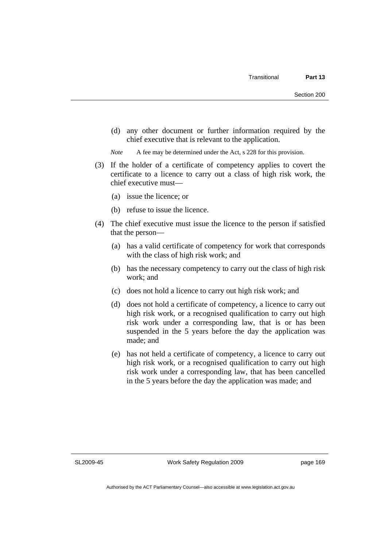(d) any other document or further information required by the chief executive that is relevant to the application.

*Note* A fee may be determined under the Act, s 228 for this provision.

- (3) If the holder of a certificate of competency applies to covert the certificate to a licence to carry out a class of high risk work, the chief executive must—
	- (a) issue the licence; or
	- (b) refuse to issue the licence.
- (4) The chief executive must issue the licence to the person if satisfied that the person—
	- (a) has a valid certificate of competency for work that corresponds with the class of high risk work; and
	- (b) has the necessary competency to carry out the class of high risk work; and
	- (c) does not hold a licence to carry out high risk work; and
	- (d) does not hold a certificate of competency, a licence to carry out high risk work, or a recognised qualification to carry out high risk work under a corresponding law, that is or has been suspended in the 5 years before the day the application was made; and
	- (e) has not held a certificate of competency, a licence to carry out high risk work, or a recognised qualification to carry out high risk work under a corresponding law, that has been cancelled in the 5 years before the day the application was made; and

SL2009-45

Work Safety Regulation 2009

page 169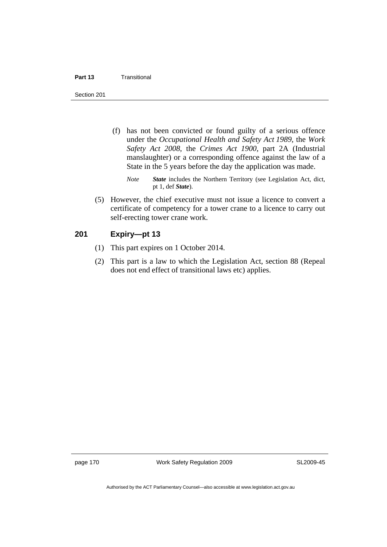#### **Part 13** Transitional

Section 201

- (f) has not been convicted or found guilty of a serious offence under the *Occupational Health and Safety Act 1989*, the *Work Safety Act 2008*, the *Crimes Act 1900*, part 2A (Industrial manslaughter) or a corresponding offence against the law of a State in the 5 years before the day the application was made.
	- *Note State* includes the Northern Territory (see Legislation Act, dict, pt 1, def *State*).
- (5) However, the chief executive must not issue a licence to convert a certificate of competency for a tower crane to a licence to carry out self-erecting tower crane work.

#### **201 Expiry—pt 13**

- (1) This part expires on 1 October 2014.
- (2) This part is a law to which the Legislation Act, section 88 (Repeal does not end effect of transitional laws etc) applies.

page 170 Work Safety Regulation 2009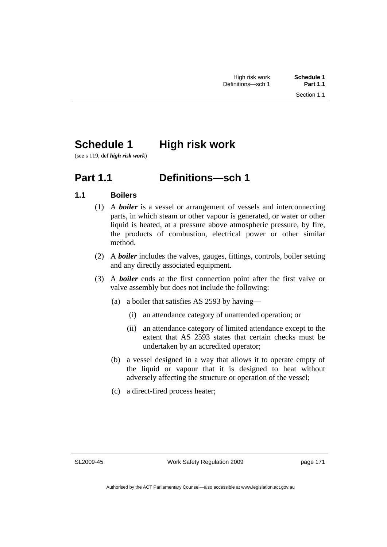# **Schedule 1 High risk work**

(see s 119, def *high risk work*)

## **Part 1.1 Definitions—sch 1**

## **1.1 Boilers**

- (1) A *boiler* is a vessel or arrangement of vessels and interconnecting parts, in which steam or other vapour is generated, or water or other liquid is heated, at a pressure above atmospheric pressure, by fire, the products of combustion, electrical power or other similar method.
- (2) A *boiler* includes the valves, gauges, fittings, controls, boiler setting and any directly associated equipment.
- (3) A *boiler* ends at the first connection point after the first valve or valve assembly but does not include the following:
	- (a) a boiler that satisfies AS 2593 by having—
		- (i) an attendance category of unattended operation; or
		- (ii) an attendance category of limited attendance except to the extent that AS 2593 states that certain checks must be undertaken by an accredited operator;
	- (b) a vessel designed in a way that allows it to operate empty of the liquid or vapour that it is designed to heat without adversely affecting the structure or operation of the vessel;
	- (c) a direct-fired process heater;

SL2009-45

page 171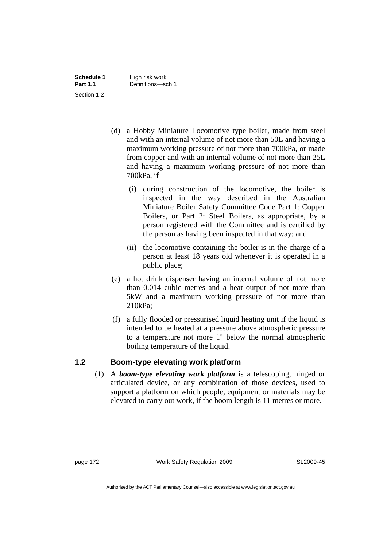| Schedule 1      | High risk work    |
|-----------------|-------------------|
| <b>Part 1.1</b> | Definitions-sch 1 |
| Section 1.2     |                   |

- (d) a Hobby Miniature Locomotive type boiler, made from steel and with an internal volume of not more than 50L and having a maximum working pressure of not more than 700kPa, or made from copper and with an internal volume of not more than 25L and having a maximum working pressure of not more than 700kPa, if—
	- (i) during construction of the locomotive, the boiler is inspected in the way described in the Australian Miniature Boiler Safety Committee Code Part 1: Copper Boilers, or Part 2: Steel Boilers, as appropriate, by a person registered with the Committee and is certified by the person as having been inspected in that way; and
	- (ii) the locomotive containing the boiler is in the charge of a person at least 18 years old whenever it is operated in a public place;
- (e) a hot drink dispenser having an internal volume of not more than 0.014 cubic metres and a heat output of not more than 5kW and a maximum working pressure of not more than 210kPa;
- (f) a fully flooded or pressurised liquid heating unit if the liquid is intended to be heated at a pressure above atmospheric pressure to a temperature not more 1° below the normal atmospheric boiling temperature of the liquid.

### **1.2 Boom-type elevating work platform**

 (1) A *boom-type elevating work platform* is a telescoping, hinged or articulated device, or any combination of those devices, used to support a platform on which people, equipment or materials may be elevated to carry out work, if the boom length is 11 metres or more.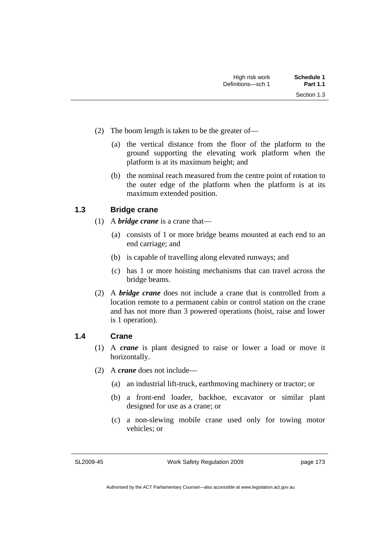- (2) The boom length is taken to be the greater of—
	- (a) the vertical distance from the floor of the platform to the ground supporting the elevating work platform when the platform is at its maximum height; and
	- (b) the nominal reach measured from the centre point of rotation to the outer edge of the platform when the platform is at its maximum extended position.

#### **1.3 Bridge crane**

- (1) A *bridge crane* is a crane that—
	- (a) consists of 1 or more bridge beams mounted at each end to an end carriage; and
	- (b) is capable of travelling along elevated runways; and
	- (c) has 1 or more hoisting mechanisms that can travel across the bridge beams.
- (2) A *bridge crane* does not include a crane that is controlled from a location remote to a permanent cabin or control station on the crane and has not more than 3 powered operations (hoist, raise and lower is 1 operation).

#### **1.4 Crane**

- (1) A *crane* is plant designed to raise or lower a load or move it horizontally.
- (2) A *crane* does not include—
	- (a) an industrial lift-truck, earthmoving machinery or tractor; or
	- (b) a front-end loader, backhoe, excavator or similar plant designed for use as a crane; or
	- (c) a non-slewing mobile crane used only for towing motor vehicles; or

SL2009-45

Work Safety Regulation 2009

page 173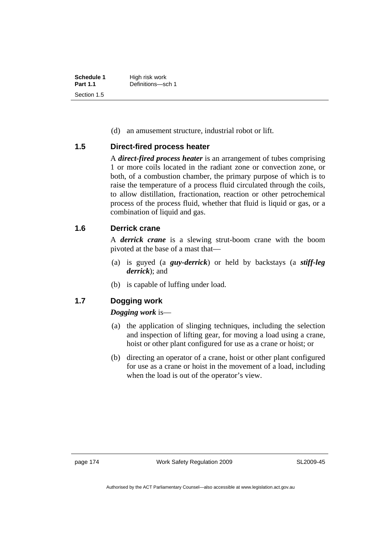| Schedule 1      | High risk work    |
|-----------------|-------------------|
| <b>Part 1.1</b> | Definitions-sch 1 |
| Section 1.5     |                   |

(d) an amusement structure, industrial robot or lift.

## **1.5 Direct-fired process heater**

A *direct-fired process heater* is an arrangement of tubes comprising 1 or more coils located in the radiant zone or convection zone, or both, of a combustion chamber, the primary purpose of which is to raise the temperature of a process fluid circulated through the coils, to allow distillation, fractionation, reaction or other petrochemical process of the process fluid, whether that fluid is liquid or gas, or a combination of liquid and gas.

#### **1.6 Derrick crane**

A *derrick crane* is a slewing strut-boom crane with the boom pivoted at the base of a mast that—

- (a) is guyed (a *guy-derrick*) or held by backstays (a *stiff-leg derrick*); and
- (b) is capable of luffing under load.

## **1.7 Dogging work**

#### *Dogging work* is—

- (a) the application of slinging techniques, including the selection and inspection of lifting gear, for moving a load using a crane, hoist or other plant configured for use as a crane or hoist; or
- (b) directing an operator of a crane, hoist or other plant configured for use as a crane or hoist in the movement of a load, including when the load is out of the operator's view.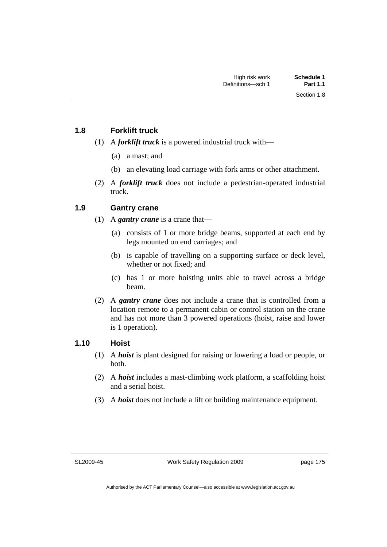#### **1.8 Forklift truck**

- (1) A *forklift truck* is a powered industrial truck with—
	- (a) a mast; and
	- (b) an elevating load carriage with fork arms or other attachment.
- (2) A *forklift truck* does not include a pedestrian-operated industrial truck.

### **1.9 Gantry crane**

- (1) A *gantry crane* is a crane that—
	- (a) consists of 1 or more bridge beams, supported at each end by legs mounted on end carriages; and
	- (b) is capable of travelling on a supporting surface or deck level, whether or not fixed; and
	- (c) has 1 or more hoisting units able to travel across a bridge beam.
- (2) A *gantry crane* does not include a crane that is controlled from a location remote to a permanent cabin or control station on the crane and has not more than 3 powered operations (hoist, raise and lower is 1 operation).

### **1.10 Hoist**

- (1) A *hoist* is plant designed for raising or lowering a load or people, or both.
- (2) A *hoist* includes a mast-climbing work platform, a scaffolding hoist and a serial hoist.
- (3) A *hoist* does not include a lift or building maintenance equipment.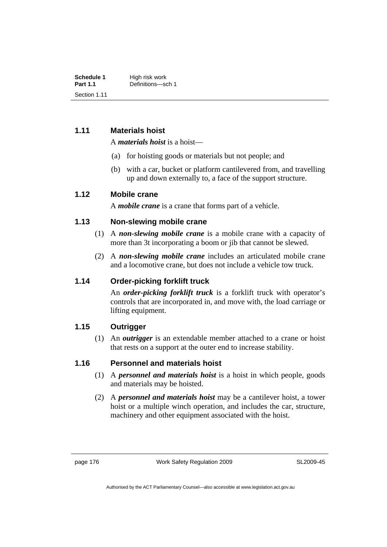| Schedule 1      | High risk work    |
|-----------------|-------------------|
| <b>Part 1.1</b> | Definitions-sch 1 |
| Section 1.11    |                   |

#### **1.11 Materials hoist**

A *materials hoist* is a hoist—

- (a) for hoisting goods or materials but not people; and
- (b) with a car, bucket or platform cantilevered from, and travelling up and down externally to, a face of the support structure.

#### **1.12 Mobile crane**

A *mobile crane* is a crane that forms part of a vehicle.

#### **1.13 Non-slewing mobile crane**

- (1) A *non-slewing mobile crane* is a mobile crane with a capacity of more than 3t incorporating a boom or jib that cannot be slewed.
- (2) A *non-slewing mobile crane* includes an articulated mobile crane and a locomotive crane, but does not include a vehicle tow truck.

### **1.14 Order-picking forklift truck**

An *order-picking forklift truck* is a forklift truck with operator's controls that are incorporated in, and move with, the load carriage or lifting equipment.

## **1.15 Outrigger**

 (1) An *outrigger* is an extendable member attached to a crane or hoist that rests on a support at the outer end to increase stability.

### **1.16 Personnel and materials hoist**

- (1) A *personnel and materials hoist* is a hoist in which people, goods and materials may be hoisted.
- (2) A *personnel and materials hoist* may be a cantilever hoist, a tower hoist or a multiple winch operation, and includes the car, structure, machinery and other equipment associated with the hoist.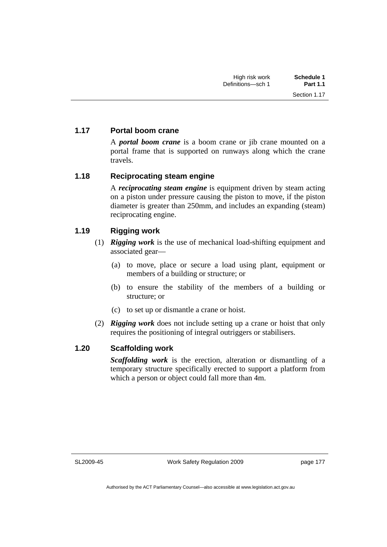## **1.17 Portal boom crane**

A *portal boom crane* is a boom crane or jib crane mounted on a portal frame that is supported on runways along which the crane travels.

### **1.18 Reciprocating steam engine**

A *reciprocating steam engine* is equipment driven by steam acting on a piston under pressure causing the piston to move, if the piston diameter is greater than 250mm, and includes an expanding (steam) reciprocating engine.

### **1.19 Rigging work**

- (1) *Rigging work* is the use of mechanical load-shifting equipment and associated gear—
	- (a) to move, place or secure a load using plant, equipment or members of a building or structure; or
	- (b) to ensure the stability of the members of a building or structure; or
	- (c) to set up or dismantle a crane or hoist.
- (2) *Rigging work* does not include setting up a crane or hoist that only requires the positioning of integral outriggers or stabilisers.

### **1.20 Scaffolding work**

*Scaffolding work* is the erection, alteration or dismantling of a temporary structure specifically erected to support a platform from which a person or object could fall more than 4m.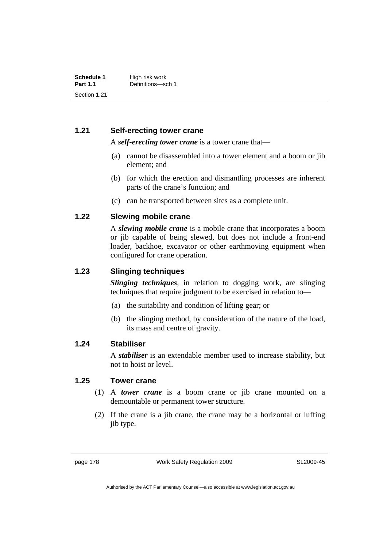## **1.21 Self-erecting tower crane**

A *self-erecting tower crane* is a tower crane that—

- (a) cannot be disassembled into a tower element and a boom or jib element; and
- (b) for which the erection and dismantling processes are inherent parts of the crane's function; and
- (c) can be transported between sites as a complete unit.

### **1.22 Slewing mobile crane**

A *slewing mobile crane* is a mobile crane that incorporates a boom or jib capable of being slewed, but does not include a front-end loader, backhoe, excavator or other earthmoving equipment when configured for crane operation.

#### **1.23 Slinging techniques**

*Slinging techniques*, in relation to dogging work, are slinging techniques that require judgment to be exercised in relation to—

- (a) the suitability and condition of lifting gear; or
- (b) the slinging method, by consideration of the nature of the load, its mass and centre of gravity.

#### **1.24 Stabiliser**

A *stabiliser* is an extendable member used to increase stability, but not to hoist or level.

### **1.25 Tower crane**

- (1) A *tower crane* is a boom crane or jib crane mounted on a demountable or permanent tower structure.
- (2) If the crane is a jib crane, the crane may be a horizontal or luffing jib type.

page 178 Work Safety Regulation 2009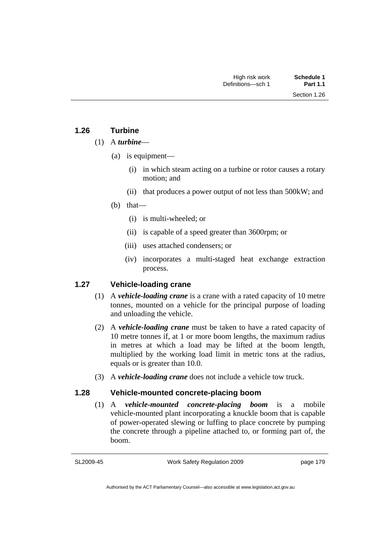## **1.26 Turbine**

#### (1) A *turbine*—

- (a) is equipment—
	- (i) in which steam acting on a turbine or rotor causes a rotary motion; and
	- (ii) that produces a power output of not less than 500kW; and
- (b) that—
	- (i) is multi-wheeled; or
	- (ii) is capable of a speed greater than 3600rpm; or
	- (iii) uses attached condensers; or
	- (iv) incorporates a multi-staged heat exchange extraction process.

## **1.27 Vehicle-loading crane**

- (1) A *vehicle-loading crane* is a crane with a rated capacity of 10 metre tonnes, mounted on a vehicle for the principal purpose of loading and unloading the vehicle.
- (2) A *vehicle-loading crane* must be taken to have a rated capacity of 10 metre tonnes if, at 1 or more boom lengths, the maximum radius in metres at which a load may be lifted at the boom length, multiplied by the working load limit in metric tons at the radius, equals or is greater than 10.0.
- (3) A *vehicle-loading crane* does not include a vehicle tow truck.

### **1.28 Vehicle-mounted concrete-placing boom**

 (1) A *vehicle-mounted concrete-placing boom* is a mobile vehicle-mounted plant incorporating a knuckle boom that is capable of power-operated slewing or luffing to place concrete by pumping the concrete through a pipeline attached to, or forming part of, the boom.

SL2009-45

Work Safety Regulation 2009

page 179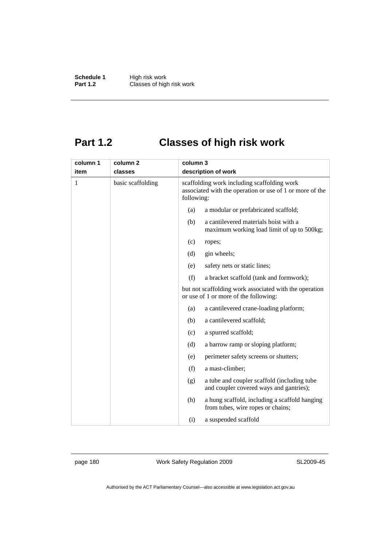**Schedule 1** High risk work **Part 1.2 Classes of high risk work** 

# **Part 1.2 Classes of high risk work**

| column 1 | column 2          | column 3   |                                                                                                         |
|----------|-------------------|------------|---------------------------------------------------------------------------------------------------------|
| item     | classes           |            | description of work                                                                                     |
| 1        | basic scaffolding | following: | scaffolding work including scaffolding work<br>associated with the operation or use of 1 or more of the |
|          |                   | (a)        | a modular or prefabricated scaffold;                                                                    |
|          |                   | (b)        | a cantilevered materials hoist with a<br>maximum working load limit of up to 500kg;                     |
|          |                   | (c)        | ropes;                                                                                                  |
|          |                   | (d)        | gin wheels;                                                                                             |
|          |                   | (e)        | safety nets or static lines;                                                                            |
|          |                   | (f)        | a bracket scaffold (tank and formwork);                                                                 |
|          |                   |            | but not scaffolding work associated with the operation<br>or use of 1 or more of the following:         |
|          |                   | (a)        | a cantilevered crane-loading platform;                                                                  |
|          |                   | (b)        | a cantilevered scaffold;                                                                                |
|          |                   | (c)        | a spurred scaffold;                                                                                     |
|          |                   | (d)        | a barrow ramp or sloping platform;                                                                      |
|          |                   | (e)        | perimeter safety screens or shutters;                                                                   |
|          |                   | (f)        | a mast-climber;                                                                                         |
|          |                   | (g)        | a tube and coupler scaffold (including tube<br>and coupler covered ways and gantries);                  |
|          |                   | (h)        | a hung scaffold, including a scaffold hanging<br>from tubes, wire ropes or chains;                      |
|          |                   | (i)        | a suspended scaffold                                                                                    |

page 180 Work Safety Regulation 2009

SL2009-45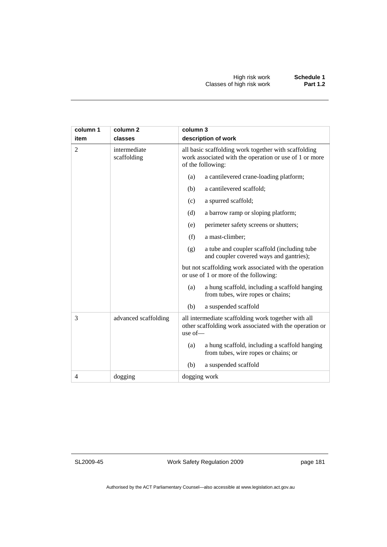| column 1       | column 2                    | column 3                                                                                                                                              |
|----------------|-----------------------------|-------------------------------------------------------------------------------------------------------------------------------------------------------|
| item           | classes                     | description of work                                                                                                                                   |
| $\overline{2}$ | intermediate<br>scaffolding | all basic scaffolding work together with scaffolding<br>work associated with the operation or use of 1 or more<br>of the following:                   |
|                |                             | a cantilevered crane-loading platform;<br>(a)                                                                                                         |
|                |                             | a cantilevered scaffold;<br>(b)                                                                                                                       |
|                |                             | a spurred scaffold;<br>(c)                                                                                                                            |
|                |                             | (d)<br>a barrow ramp or sloping platform;                                                                                                             |
|                |                             | perimeter safety screens or shutters;<br>(e)                                                                                                          |
|                |                             | (f)<br>a mast-climber;                                                                                                                                |
|                |                             | a tube and coupler scaffold (including tube<br>(g)<br>and coupler covered ways and gantries);                                                         |
|                |                             | but not scaffolding work associated with the operation<br>or use of 1 or more of the following:                                                       |
|                |                             | a hung scaffold, including a scaffold hanging<br>(a)<br>from tubes, wire ropes or chains;                                                             |
|                |                             | (b)<br>a suspended scaffold                                                                                                                           |
| 3              | advanced scaffolding        | all intermediate scaffolding work together with all<br>other scaffolding work associated with the operation or<br>use $of$ — $\overline{\phantom{a}}$ |
|                |                             | a hung scaffold, including a scaffold hanging<br>(a)<br>from tubes, wire ropes or chains; or                                                          |
|                |                             | (b)<br>a suspended scaffold                                                                                                                           |
| $\overline{4}$ | dogging                     | dogging work                                                                                                                                          |

SL2009-45

Work Safety Regulation 2009

page 181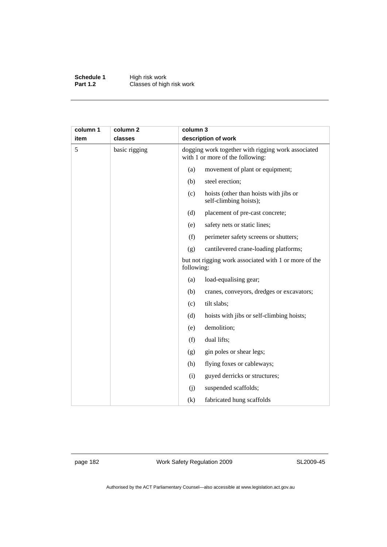**Schedule 1** High risk work **Part 1.2 Classes of high risk work** 

| column 1<br>item | column <sub>2</sub><br>classes | column 3   | description of work                                                                    |
|------------------|--------------------------------|------------|----------------------------------------------------------------------------------------|
| 5                | basic rigging                  |            | dogging work together with rigging work associated<br>with 1 or more of the following: |
|                  |                                | (a)        | movement of plant or equipment;                                                        |
|                  |                                | (b)        | steel erection;                                                                        |
|                  |                                | (c)        | hoists (other than hoists with jibs or<br>self-climbing hoists);                       |
|                  |                                | (d)        | placement of pre-cast concrete;                                                        |
|                  |                                | (e)        | safety nets or static lines;                                                           |
|                  |                                | (f)        | perimeter safety screens or shutters;                                                  |
|                  |                                | (g)        | cantilevered crane-loading platforms;                                                  |
|                  |                                | following: | but not rigging work associated with 1 or more of the                                  |
|                  |                                | (a)        | load-equalising gear;                                                                  |
|                  |                                | (b)        | cranes, conveyors, dredges or excavators;                                              |
|                  |                                | (c)        | tilt slabs;                                                                            |
|                  |                                | (d)        | hoists with jibs or self-climbing hoists;                                              |
|                  |                                | (e)        | demolition;                                                                            |
|                  |                                | (f)        | dual lifts;                                                                            |
|                  |                                | (g)        | gin poles or shear legs;                                                               |
|                  |                                | (h)        | flying foxes or cableways;                                                             |
|                  |                                | (i)        | guyed derricks or structures;                                                          |
|                  |                                | (j)        | suspended scaffolds;                                                                   |
|                  |                                | (k)        | fabricated hung scaffolds                                                              |

page 182 Work Safety Regulation 2009

SL2009-45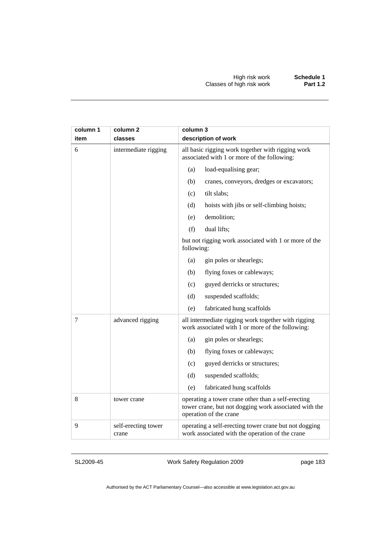| column 1<br>item | column 2<br>classes          | column 3<br>description of work                                                                                                       |
|------------------|------------------------------|---------------------------------------------------------------------------------------------------------------------------------------|
| 6                | intermediate rigging         | all basic rigging work together with rigging work<br>associated with 1 or more of the following:                                      |
|                  |                              | (a)<br>load-equalising gear;                                                                                                          |
|                  |                              | (b)<br>cranes, conveyors, dredges or excavators;                                                                                      |
|                  |                              | tilt slabs;<br>(c)                                                                                                                    |
|                  |                              | (d)<br>hoists with jibs or self-climbing hoists;                                                                                      |
|                  |                              | (e)<br>demolition;                                                                                                                    |
|                  |                              | dual lifts;<br>(f)                                                                                                                    |
|                  |                              | but not rigging work associated with 1 or more of the<br>following:                                                                   |
|                  |                              | gin poles or shearlegs;<br>(a)                                                                                                        |
|                  |                              | flying foxes or cableways;<br>(b)                                                                                                     |
|                  |                              | (c)<br>guyed derricks or structures;                                                                                                  |
|                  |                              | suspended scaffolds;<br>(d)                                                                                                           |
|                  |                              | (e)<br>fabricated hung scaffolds                                                                                                      |
| 7                | advanced rigging             | all intermediate rigging work together with rigging<br>work associated with 1 or more of the following:                               |
|                  |                              | gin poles or shearlegs;<br>(a)                                                                                                        |
|                  |                              | flying foxes or cableways;<br>(b)                                                                                                     |
|                  |                              | guyed derricks or structures;<br>(c)                                                                                                  |
|                  |                              | (d)<br>suspended scaffolds;                                                                                                           |
|                  |                              | fabricated hung scaffolds<br>(e)                                                                                                      |
| 8                | tower crane                  | operating a tower crane other than a self-erecting<br>tower crane, but not dogging work associated with the<br>operation of the crane |
| 9                | self-erecting tower<br>crane | operating a self-erecting tower crane but not dogging<br>work associated with the operation of the crane                              |

SL2009-45

Work Safety Regulation 2009

page 183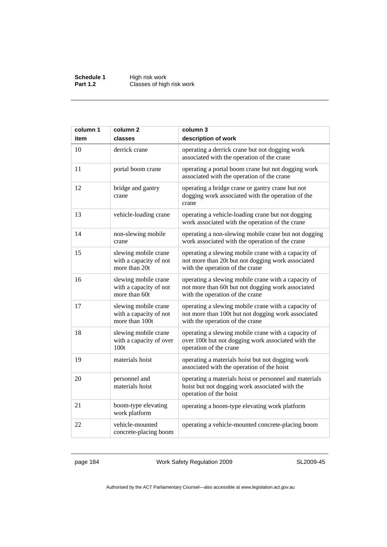**Schedule 1** High risk work **Part 1.2 Classes of high risk work** 

| column 1 | column <sub>2</sub>                                              | column 3                                                                                                                                     |
|----------|------------------------------------------------------------------|----------------------------------------------------------------------------------------------------------------------------------------------|
| item     | classes                                                          | description of work                                                                                                                          |
| 10       | derrick crane                                                    | operating a derrick crane but not dogging work<br>associated with the operation of the crane                                                 |
| 11       | portal boom crane                                                | operating a portal boom crane but not dogging work<br>associated with the operation of the crane                                             |
| 12       | bridge and gantry<br>crane                                       | operating a bridge crane or gantry crane but not<br>dogging work associated with the operation of the<br>crane                               |
| 13       | vehicle-loading crane                                            | operating a vehicle-loading crane but not dogging<br>work associated with the operation of the crane                                         |
| 14       | non-slewing mobile<br>crane                                      | operating a non-slewing mobile crane but not dogging<br>work associated with the operation of the crane                                      |
| 15       | slewing mobile crane<br>with a capacity of not<br>more than 20t  | operating a slewing mobile crane with a capacity of<br>not more than 20t but not dogging work associated<br>with the operation of the crane  |
| 16       | slewing mobile crane<br>with a capacity of not<br>more than 60t  | operating a slewing mobile crane with a capacity of<br>not more than 60t but not dogging work associated<br>with the operation of the crane  |
| 17       | slewing mobile crane<br>with a capacity of not<br>more than 100t | operating a slewing mobile crane with a capacity of<br>not more than 100t but not dogging work associated<br>with the operation of the crane |
| 18       | slewing mobile crane<br>with a capacity of over<br>100t          | operating a slewing mobile crane with a capacity of<br>over 100t but not dogging work associated with the<br>operation of the crane          |
| 19       | materials hoist                                                  | operating a materials hoist but not dogging work<br>associated with the operation of the hoist                                               |
| 20       | personnel and<br>materials hoist                                 | operating a materials hoist or personnel and materials<br>hoist but not dogging work associated with the<br>operation of the hoist           |
| 21       | boom-type elevating<br>work platform                             | operating a boom-type elevating work platform                                                                                                |
| 22       | vehicle-mounted<br>concrete-placing boom                         | operating a vehicle-mounted concrete-placing boom                                                                                            |

page 184 Work Safety Regulation 2009

SL2009-45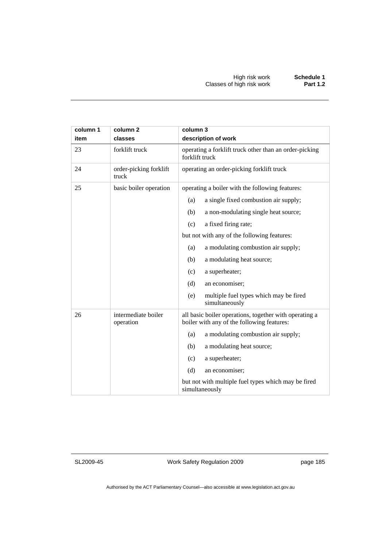| column 1<br>item | column <sub>2</sub><br>classes   | column 3<br>description of work                                                                      |  |
|------------------|----------------------------------|------------------------------------------------------------------------------------------------------|--|
| 23               | forklift truck                   | operating a forklift truck other than an order-picking<br>forklift truck                             |  |
| 24               | order-picking forklift<br>truck  | operating an order-picking forklift truck                                                            |  |
| 25               | basic boiler operation           | operating a boiler with the following features:                                                      |  |
|                  |                                  | a single fixed combustion air supply;<br>(a)                                                         |  |
|                  |                                  | a non-modulating single heat source;<br>(b)                                                          |  |
|                  |                                  | a fixed firing rate;<br>(c)                                                                          |  |
|                  |                                  | but not with any of the following features:                                                          |  |
|                  |                                  | a modulating combustion air supply;<br>(a)                                                           |  |
|                  |                                  | (b)<br>a modulating heat source;                                                                     |  |
|                  |                                  | (c)<br>a superheater;                                                                                |  |
|                  |                                  | (d)<br>an economiser;                                                                                |  |
|                  |                                  | (e)<br>multiple fuel types which may be fired<br>simultaneously                                      |  |
| 26               | intermediate boiler<br>operation | all basic boiler operations, together with operating a<br>boiler with any of the following features: |  |
|                  |                                  | a modulating combustion air supply;<br>(a)                                                           |  |
|                  |                                  | a modulating heat source;<br>(b)                                                                     |  |
|                  |                                  | (c)<br>a superheater;                                                                                |  |
|                  |                                  | (d)<br>an economiser;                                                                                |  |
|                  |                                  | but not with multiple fuel types which may be fired<br>simultaneously                                |  |

SL2009-45

Work Safety Regulation 2009

page 185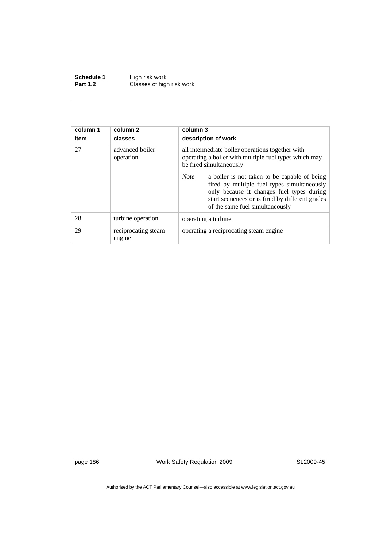**Schedule 1** High risk work **Part 1.2 Classes of high risk work** 

| column 1<br>item | column 2<br>classes           | column 3<br>description of work                                                                                                                                                                                                               |
|------------------|-------------------------------|-----------------------------------------------------------------------------------------------------------------------------------------------------------------------------------------------------------------------------------------------|
| 27               | advanced boiler<br>operation  | all intermediate boiler operations together with<br>operating a boiler with multiple fuel types which may<br>be fired simultaneously                                                                                                          |
|                  |                               | <b>Note</b><br>a boiler is not taken to be capable of being<br>fired by multiple fuel types simultaneously<br>only because it changes fuel types during<br>start sequences or is fired by different grades<br>of the same fuel simultaneously |
| 28               | turbine operation             | operating a turbine.                                                                                                                                                                                                                          |
| 29               | reciprocating steam<br>engine | operating a reciprocating steam engine.                                                                                                                                                                                                       |

page 186 Work Safety Regulation 2009

SL2009-45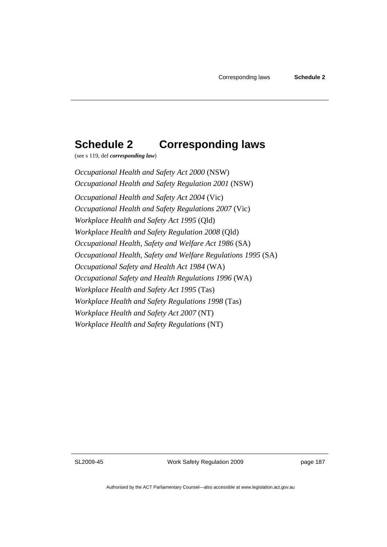## **Schedule 2 Corresponding laws**

(see s 119, def *corresponding law*)

*Occupational Health and Safety Act 2000* (NSW) *Occupational Health and Safety Regulation 2001* (NSW) *Occupational Health and Safety Act 2004* (Vic) *Occupational Health and Safety Regulations 2007* (Vic) *Workplace Health and Safety Act 1995* (Qld) *Workplace Health and Safety Regulation 2008* (Qld) *Occupational Health, Safety and Welfare Act 1986* (SA) *Occupational Health, Safety and Welfare Regulations 1995* (SA) *Occupational Safety and Health Act 1984* (WA) *Occupational Safety and Health Regulations 1996* (WA) *Workplace Health and Safety Act 1995* (Tas) *Workplace Health and Safety Regulations 1998* (Tas) *Workplace Health and Safety Act 2007* (NT) *Workplace Health and Safety Regulations* (NT)

SL2009-45

Work Safety Regulation 2009

page 187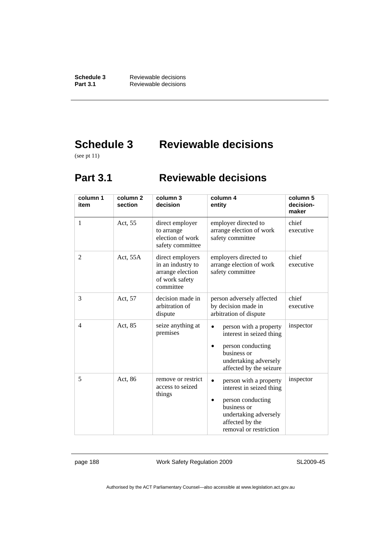**Schedule 3** Reviewable decisions<br>**Part 3.1** Reviewable decisions **Part 3.1** Reviewable decisions

# **Schedule 3 Reviewable decisions**

(see pt 11)

## **Part 3.1 Reviewable decisions**

| column 1<br>item | column <sub>2</sub><br>section | column 3<br>decision                                                                     | column 4<br>entity                                                                                                                                           | column 5<br>decision-<br>maker |
|------------------|--------------------------------|------------------------------------------------------------------------------------------|--------------------------------------------------------------------------------------------------------------------------------------------------------------|--------------------------------|
| 1                | Act, 55                        | direct employer<br>to arrange<br>election of work<br>safety committee                    | employer directed to<br>arrange election of work<br>safety committee                                                                                         | chief<br>executive             |
| $\overline{c}$   | Act, 55A                       | direct employers<br>in an industry to<br>arrange election<br>of work safety<br>committee | employers directed to<br>arrange election of work<br>safety committee                                                                                        | chief<br>executive             |
| 3                | Act, 57                        | decision made in<br>arbitration of<br>dispute                                            | person adversely affected<br>by decision made in<br>arbitration of dispute                                                                                   | chief<br>executive             |
| $\overline{4}$   | Act, 85                        | seize anything at<br>premises                                                            | person with a property<br>interest in seized thing<br>person conducting<br>business or<br>undertaking adversely<br>affected by the seizure                   | inspector                      |
| 5                | Act, 86                        | remove or restrict<br>access to seized<br>things                                         | person with a property<br>interest in seized thing<br>person conducting<br>business or<br>undertaking adversely<br>affected by the<br>removal or restriction | inspector                      |

page 188 Work Safety Regulation 2009

SL2009-45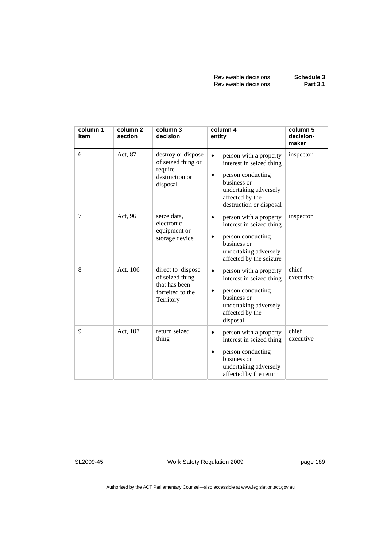Reviewable decisions **Schedule 3 Reviewable decisions** 

| column 1<br>item | column <sub>2</sub><br>section | column 3<br>decision                                                                   | column 4<br>entity                                                                                                                                            | column 5<br>decision-<br>maker |
|------------------|--------------------------------|----------------------------------------------------------------------------------------|---------------------------------------------------------------------------------------------------------------------------------------------------------------|--------------------------------|
| 6                | Act, 87                        | destroy or dispose<br>of seized thing or<br>require<br>destruction or<br>disposal      | person with a property<br>interest in seized thing<br>person conducting<br>business or<br>undertaking adversely<br>affected by the<br>destruction or disposal | inspector                      |
| 7                | Act, 96                        | seize data,<br>electronic<br>equipment or<br>storage device                            | person with a property<br>$\bullet$<br>interest in seized thing<br>person conducting<br>business or<br>undertaking adversely<br>affected by the seizure       | inspector                      |
| 8                | Act, 106                       | direct to dispose<br>of seized thing<br>that has been<br>forfeited to the<br>Territory | person with a property<br>interest in seized thing<br>person conducting<br>business or<br>undertaking adversely<br>affected by the<br>disposal                | chief<br>executive             |
| 9                | Act, 107                       | return seized<br>thing                                                                 | person with a property<br>interest in seized thing<br>person conducting<br>business or<br>undertaking adversely<br>affected by the return                     | chief<br>executive             |

SL2009-45

Work Safety Regulation 2009

page 189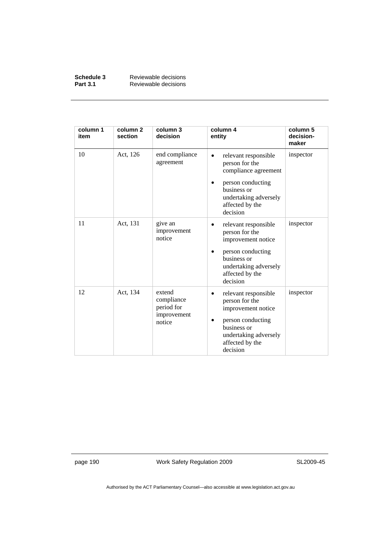| Schedule 3      | Reviewable decisions |
|-----------------|----------------------|
| <b>Part 3.1</b> | Reviewable decisions |

| column 1<br>item | column 2<br>section | column 3<br>decision                                        | column 4<br>entity                                                                                                                                         | column 5<br>decision-<br>maker |
|------------------|---------------------|-------------------------------------------------------------|------------------------------------------------------------------------------------------------------------------------------------------------------------|--------------------------------|
| 10               | Act, 126            | end compliance<br>agreement                                 | relevant responsible<br>person for the<br>compliance agreement<br>person conducting<br>business or<br>undertaking adversely<br>affected by the<br>decision | inspector                      |
| 11               | Act, 131            | give an<br>improvement<br>notice                            | relevant responsible<br>person for the<br>improvement notice<br>person conducting<br>business or<br>undertaking adversely<br>affected by the<br>decision   | inspector                      |
| 12               | Act, 134            | extend<br>compliance<br>period for<br>improvement<br>notice | relevant responsible<br>person for the<br>improvement notice<br>person conducting<br>business or<br>undertaking adversely<br>affected by the<br>decision   | inspector                      |

page 190 Work Safety Regulation 2009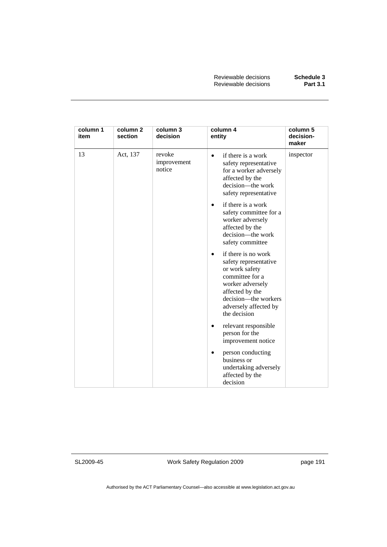| column 1<br>item | column <sub>2</sub><br>section | column 3<br>decision            | column 4<br>entity                                                                                                                                                                                     | column 5<br>decision-<br>maker |
|------------------|--------------------------------|---------------------------------|--------------------------------------------------------------------------------------------------------------------------------------------------------------------------------------------------------|--------------------------------|
| 13               | Act, 137                       | revoke<br>improvement<br>notice | if there is a work<br>$\bullet$<br>safety representative<br>for a worker adversely<br>affected by the<br>decision-the work<br>safety representative                                                    | inspector                      |
|                  |                                |                                 | if there is a work<br>$\bullet$<br>safety committee for a<br>worker adversely<br>affected by the<br>decision-the work<br>safety committee                                                              |                                |
|                  |                                |                                 | if there is no work<br>$\bullet$<br>safety representative<br>or work safety<br>committee for a<br>worker adversely<br>affected by the<br>decision—the workers<br>adversely affected by<br>the decision |                                |
|                  |                                |                                 | relevant responsible<br>$\bullet$<br>person for the<br>improvement notice                                                                                                                              |                                |
|                  |                                |                                 | person conducting<br>$\bullet$<br>business or<br>undertaking adversely<br>affected by the<br>decision                                                                                                  |                                |

SL2009-45

Work Safety Regulation 2009

page 191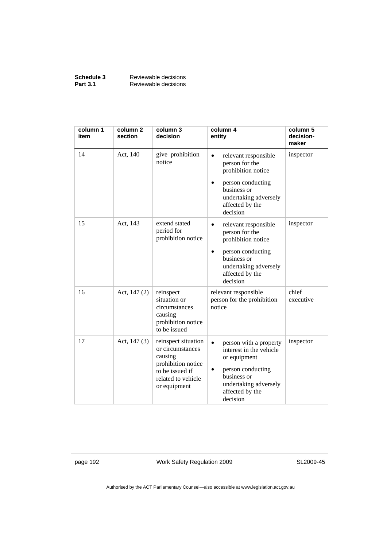| Schedule 3      | Reviewable decisions |
|-----------------|----------------------|
| <b>Part 3.1</b> | Reviewable decisions |

| column 1<br>item | column <sub>2</sub><br>section | column 3<br>decision                                                                                                              | column 4<br>entity                                                                                                                                                    | column 5<br>decision-<br>maker |
|------------------|--------------------------------|-----------------------------------------------------------------------------------------------------------------------------------|-----------------------------------------------------------------------------------------------------------------------------------------------------------------------|--------------------------------|
| 14               | Act, 140                       | give prohibition<br>notice                                                                                                        | relevant responsible<br>person for the<br>prohibition notice<br>person conducting<br>business or<br>undertaking adversely<br>affected by the<br>decision              | inspector                      |
| 15               | Act, 143                       | extend stated<br>period for<br>prohibition notice                                                                                 | relevant responsible<br>$\bullet$<br>person for the<br>prohibition notice<br>person conducting<br>business or<br>undertaking adversely<br>affected by the<br>decision | inspector                      |
| 16               | Act, $147(2)$                  | reinspect<br>situation or<br>circumstances<br>causing<br>prohibition notice<br>to be issued                                       | relevant responsible<br>person for the prohibition<br>notice                                                                                                          | chief<br>executive             |
| 17               | Act, $147(3)$                  | reinspect situation<br>or circumstances<br>causing<br>prohibition notice<br>to be issued if<br>related to vehicle<br>or equipment | person with a property<br>interest in the vehicle<br>or equipment<br>person conducting<br>business or<br>undertaking adversely<br>affected by the<br>decision         | inspector                      |

page 192 Work Safety Regulation 2009

SL2009-45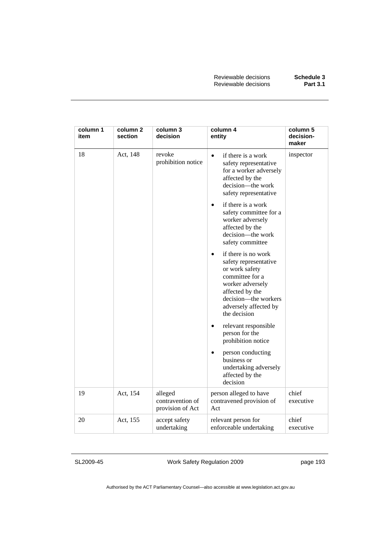| column 1<br>item | column 2<br>section | column 3<br>decision                            | column 4<br>entity                                                                                                                                                                                     | column 5<br>decision-<br>maker |
|------------------|---------------------|-------------------------------------------------|--------------------------------------------------------------------------------------------------------------------------------------------------------------------------------------------------------|--------------------------------|
| 18               | Act, 148            | revoke<br>prohibition notice                    | if there is a work<br>$\bullet$<br>safety representative<br>for a worker adversely<br>affected by the<br>decision-the work<br>safety representative                                                    | inspector                      |
|                  |                     |                                                 | if there is a work<br>$\bullet$<br>safety committee for a<br>worker adversely<br>affected by the<br>decision-the work<br>safety committee                                                              |                                |
|                  |                     |                                                 | if there is no work<br>$\bullet$<br>safety representative<br>or work safety<br>committee for a<br>worker adversely<br>affected by the<br>decision-the workers<br>adversely affected by<br>the decision |                                |
|                  |                     |                                                 | relevant responsible<br>٠<br>person for the<br>prohibition notice                                                                                                                                      |                                |
|                  |                     |                                                 | person conducting<br>business or<br>undertaking adversely<br>affected by the<br>decision                                                                                                               |                                |
| 19               | Act, 154            | alleged<br>contravention of<br>provision of Act | person alleged to have<br>contravened provision of<br>Act                                                                                                                                              | chief<br>executive             |
| 20               | Act, 155            | accept safety<br>undertaking                    | relevant person for<br>enforceable undertaking                                                                                                                                                         | chief<br>executive             |

SL2009-45

Work Safety Regulation 2009

page 193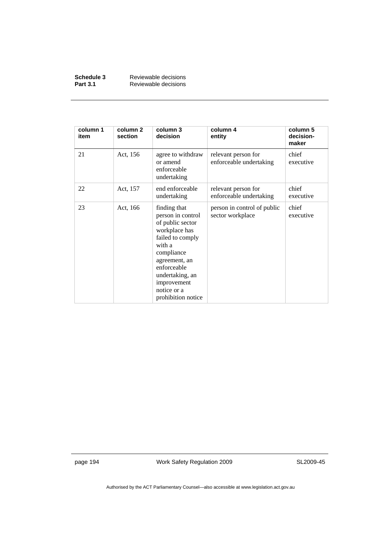| Schedule 3      | Reviewable decisions |
|-----------------|----------------------|
| <b>Part 3.1</b> | Reviewable decisions |

| column 1<br>item | column <sub>2</sub><br>section | column 3<br>decision                                                                                                                                                                                                      | column 4<br>entity                              | column 5<br>decision-<br>maker |
|------------------|--------------------------------|---------------------------------------------------------------------------------------------------------------------------------------------------------------------------------------------------------------------------|-------------------------------------------------|--------------------------------|
| 21               | Act, 156                       | agree to withdraw<br>or amend<br>enforceable<br>undertaking                                                                                                                                                               | relevant person for<br>enforceable undertaking  | chief<br>executive             |
| 22               | Act, 157                       | end enforceable<br>undertaking                                                                                                                                                                                            | relevant person for<br>enforceable undertaking  | chief<br>executive             |
| 23               | Act, 166                       | finding that<br>person in control<br>of public sector<br>workplace has<br>failed to comply<br>with a<br>compliance<br>agreement, an<br>enforceable<br>undertaking, an<br>improvement<br>notice or a<br>prohibition notice | person in control of public<br>sector workplace | chief<br>executive             |

page 194 Work Safety Regulation 2009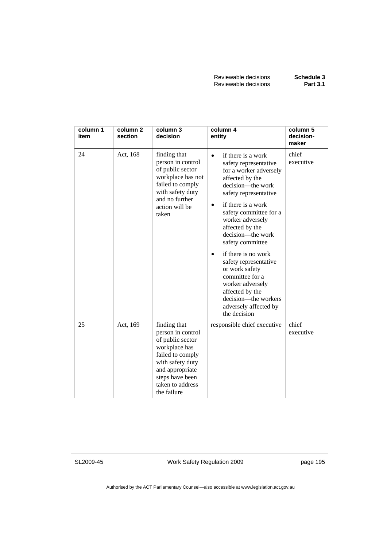Reviewable decisions **Schedule 3 Reviewable decisions** 

| column 1<br>item | column <sub>2</sub><br>section | column 3<br>decision                                                                                                                                                                    | column 4<br>entity                                                                                                                                                                                                                                                                                                                                                                                                                                                               | column 5<br>decision-<br>maker |
|------------------|--------------------------------|-----------------------------------------------------------------------------------------------------------------------------------------------------------------------------------------|----------------------------------------------------------------------------------------------------------------------------------------------------------------------------------------------------------------------------------------------------------------------------------------------------------------------------------------------------------------------------------------------------------------------------------------------------------------------------------|--------------------------------|
| 24               | Act, 168                       | finding that<br>person in control<br>of public sector<br>workplace has not<br>failed to comply<br>with safety duty<br>and no further<br>action will be<br>taken                         | if there is a work<br>$\bullet$<br>safety representative<br>for a worker adversely<br>affected by the<br>decision—the work<br>safety representative<br>if there is a work<br>safety committee for a<br>worker adversely<br>affected by the<br>decision—the work<br>safety committee<br>if there is no work<br>safety representative<br>or work safety<br>committee for a<br>worker adversely<br>affected by the<br>decision—the workers<br>adversely affected by<br>the decision | chief<br>executive             |
| 25               | Act, 169                       | finding that<br>person in control<br>of public sector<br>workplace has<br>failed to comply<br>with safety duty<br>and appropriate<br>steps have been<br>taken to address<br>the failure | responsible chief executive                                                                                                                                                                                                                                                                                                                                                                                                                                                      | chief<br>executive             |

SL2009-45

Work Safety Regulation 2009

page 195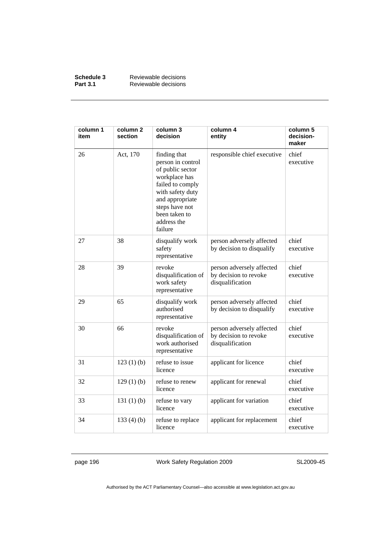| Schedule 3      | Reviewable decisions |
|-----------------|----------------------|
| <b>Part 3.1</b> | Reviewable decisions |

| column 1<br>item | column <sub>2</sub><br>section | column 3<br>decision                                                                                                                                                                           | column 4<br>entity                                                     | column 5<br>decision-<br>maker |
|------------------|--------------------------------|------------------------------------------------------------------------------------------------------------------------------------------------------------------------------------------------|------------------------------------------------------------------------|--------------------------------|
| 26               | Act, 170                       | finding that<br>person in control<br>of public sector<br>workplace has<br>failed to comply<br>with safety duty<br>and appropriate<br>steps have not<br>been taken to<br>address the<br>failure | responsible chief executive                                            | chief<br>executive             |
| 27               | 38                             | disqualify work<br>safety<br>representative                                                                                                                                                    | person adversely affected<br>by decision to disqualify                 | chief<br>executive             |
| 28               | 39                             | revoke<br>disqualification of<br>work safety<br>representative                                                                                                                                 | person adversely affected<br>by decision to revoke<br>disqualification | chief<br>executive             |
| 29               | 65                             | disqualify work<br>authorised<br>representative                                                                                                                                                | person adversely affected<br>by decision to disqualify                 | chief<br>executive             |
| 30               | 66                             | revoke<br>disqualification of<br>work authorised<br>representative                                                                                                                             | person adversely affected<br>by decision to revoke<br>disqualification | chief<br>executive             |
| 31               | $123(1)$ (b)                   | refuse to issue<br>licence                                                                                                                                                                     | applicant for licence                                                  | chief<br>executive             |
| 32               | $129(1)$ (b)                   | refuse to renew<br>licence                                                                                                                                                                     | applicant for renewal                                                  | chief<br>executive             |
| 33               | 131 $(1)$ $(b)$                | refuse to vary<br>licence                                                                                                                                                                      | applicant for variation                                                | chief<br>executive             |
| 34               | 133(4)(b)                      | refuse to replace<br>licence                                                                                                                                                                   | applicant for replacement                                              | chief<br>executive             |

page 196 Work Safety Regulation 2009

SL2009-45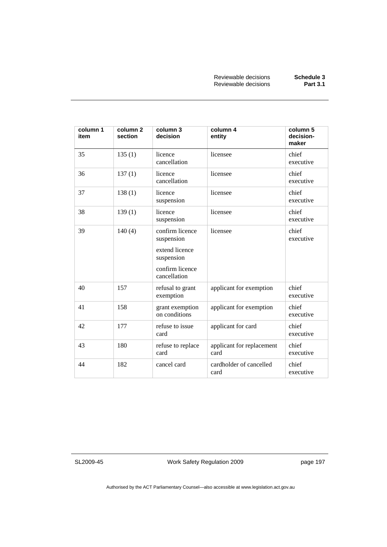| column 1<br>item | column <sub>2</sub><br>section | column 3<br>decision                                                                             | column 4<br>entity                | column 5<br>decision-<br>maker |
|------------------|--------------------------------|--------------------------------------------------------------------------------------------------|-----------------------------------|--------------------------------|
| 35               | 135(1)                         | licence<br>cancellation                                                                          | licensee                          | chief<br>executive             |
| 36               | 137(1)                         | licence<br>cancellation                                                                          | licensee                          | chief<br>executive             |
| 37               | 138(1)                         | licence<br>suspension                                                                            | licensee                          | chief<br>executive             |
| 38               | 139(1)                         | licence<br>suspension                                                                            | licensee                          | chief<br>executive             |
| 39               | 140(4)                         | confirm licence<br>suspension<br>extend licence<br>suspension<br>confirm licence<br>cancellation | licensee                          | chief<br>executive             |
| 40               | 157                            | refusal to grant<br>exemption                                                                    | applicant for exemption           | chief<br>executive             |
| 41               | 158                            | grant exemption<br>on conditions                                                                 | applicant for exemption           | chief<br>executive             |
| 42               | 177                            | refuse to issue<br>card                                                                          | applicant for card                | chief<br>executive             |
| 43               | 180                            | refuse to replace<br>card                                                                        | applicant for replacement<br>card | chief<br>executive             |
| 44               | 182                            | cancel card                                                                                      | cardholder of cancelled<br>card   | chief<br>executive             |

SL2009-45

Work Safety Regulation 2009

page 197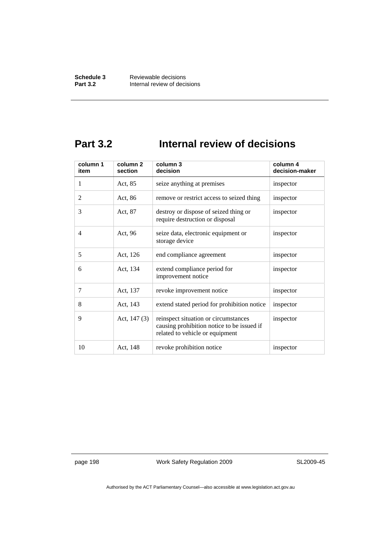## **Part 3.2 Internal review of decisions**

| column 1<br>item | column <sub>2</sub><br>section | column 3<br>decision                                                                                                  | column 4<br>decision-maker |
|------------------|--------------------------------|-----------------------------------------------------------------------------------------------------------------------|----------------------------|
| 1                | Act, 85                        | seize anything at premises                                                                                            | inspector                  |
| $\overline{2}$   | Act, 86                        | remove or restrict access to seized thing                                                                             | inspector                  |
| 3                | Act, 87                        | destroy or dispose of seized thing or<br>require destruction or disposal                                              | inspector                  |
| 4                | Act, 96                        | seize data, electronic equipment or<br>storage device                                                                 | inspector                  |
| 5                | Act, 126                       | end compliance agreement                                                                                              | inspector                  |
| 6                | Act, 134                       | extend compliance period for<br>improvement notice                                                                    | inspector                  |
| 7                | Act, 137                       | revoke improvement notice                                                                                             | inspector                  |
| 8                | Act, 143                       | extend stated period for prohibition notice                                                                           | inspector                  |
| 9                | Act, $147(3)$                  | reinspect situation or circumstances<br>causing prohibition notice to be issued if<br>related to vehicle or equipment | inspector                  |
| 10               | Act, 148                       | revoke prohibition notice                                                                                             | inspector                  |

page 198 Work Safety Regulation 2009

SL2009-45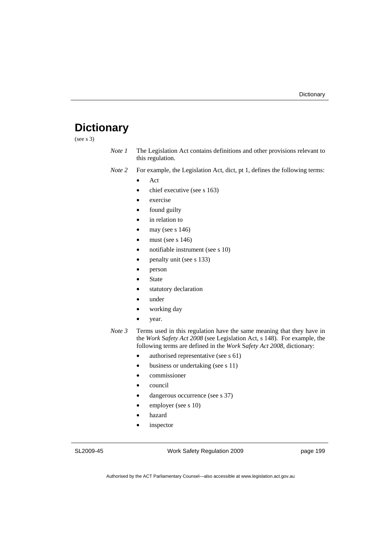# **Dictionary**

(see s 3)

| Note 1 | The Legislation Act contains definitions and other provisions relevant to |
|--------|---------------------------------------------------------------------------|
|        | this regulation.                                                          |

*Note 2* For example, the Legislation Act, dict, pt 1, defines the following terms:

• Act

- chief executive (see s 163)
- exercise
- found guilty
- in relation to
- may (see  $s$  146)
- must (see s  $146$ )
- notifiable instrument (see s 10)
- penalty unit (see s 133)
- person
- **State**
- statutory declaration
- under
- working day
- year.
- *Note 3* Terms used in this regulation have the same meaning that they have in the *Work* S*afety Act 2008* (see Legislation Act, s 148). For example, the following terms are defined in the *Work* S*afety Act 2008*, dictionary:
	- authorised representative (see s 61)
	- business or undertaking (see s 11)
	- commissioner
	- council
	- dangerous occurrence (see s 37)
	- employer (see s 10)
	- hazard
	- inspector

SL2009-45

Work Safety Regulation 2009

page 199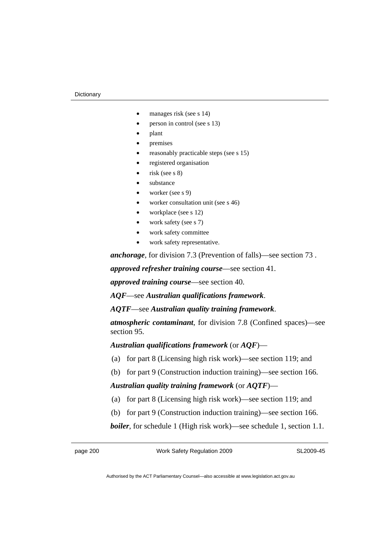#### **Dictionary**

- manages risk (see s 14)
- person in control (see s 13)
- plant
- premises
- reasonably practicable steps (see s 15)
- registered organisation
- risk (see s $8$ )
- substance
- worker (see s 9)
- worker consultation unit (see s 46)
- workplace (see s 12)
- work safety (see s 7)
- work safety committee
- work safety representative.

*anchorage*, for division 7.3 (Prevention of falls)—see section 73 .

*approved refresher training course*—see section 41.

*approved training course*—see section 40.

*AQF*—see *Australian qualifications framework*.

*AQTF*—see *Australian quality training framework*.

*atmospheric contaminant*, for division 7.8 (Confined spaces)—see section 95.

*Australian qualifications framework* (or *AQF*)—

- (a) for part 8 (Licensing high risk work)—see section 119; and
- (b) for part 9 (Construction induction training)—see section 166.

*Australian quality training framework* (or *AQTF*)—

- (a) for part 8 (Licensing high risk work)—see section 119; and
- (b) for part 9 (Construction induction training)—see section 166.

*boiler*, for schedule 1 (High risk work)—see schedule 1, section 1.1.

page 200 Work Safety Regulation 2009

SL2009-45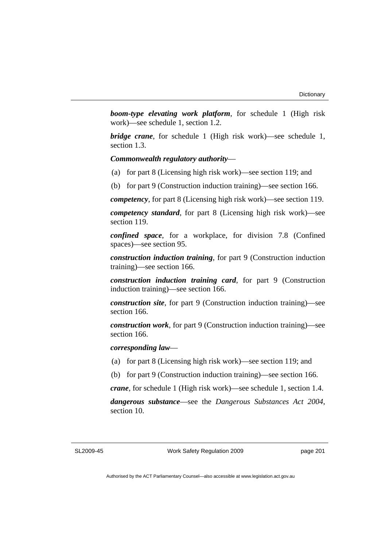*boom-type elevating work platform*, for schedule 1 (High risk work)—see schedule 1, section 1.2.

*bridge crane*, for schedule 1 (High risk work)—see schedule 1, section 1.3.

#### *Commonwealth regulatory authority*—

- (a) for part 8 (Licensing high risk work)—see section 119; and
- (b) for part 9 (Construction induction training)—see section 166.

*competency*, for part 8 (Licensing high risk work)—see section 119.

*competency standard*, for part 8 (Licensing high risk work)—see section 119.

*confined space*, for a workplace, for division 7.8 (Confined spaces)—see section 95.

*construction induction training*, for part 9 (Construction induction training)—see section 166.

*construction induction training card*, for part 9 (Construction induction training)—see section 166.

*construction site*, for part 9 (Construction induction training)—see section 166.

*construction work*, for part 9 (Construction induction training)—see section 166.

*corresponding law*—

- (a) for part 8 (Licensing high risk work)—see section 119; and
- (b) for part 9 (Construction induction training)—see section 166.

*crane*, for schedule 1 (High risk work)—see schedule 1, section 1.4.

*dangerous substance*—see the *Dangerous Substances Act 2004*, section 10.

SL2009-45

Work Safety Regulation 2009

page 201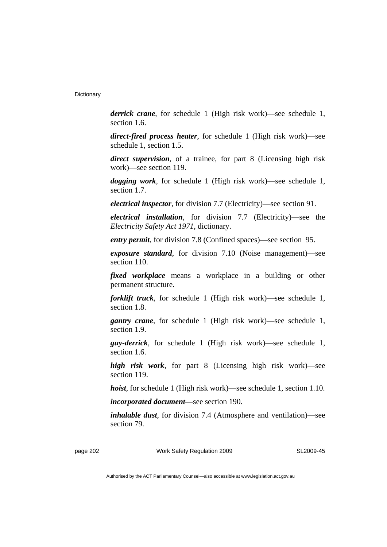*derrick crane*, for schedule 1 (High risk work)—see schedule 1, section 1.6.

*direct-fired process heater*, for schedule 1 (High risk work)—see schedule 1, section 1.5.

*direct supervision*, of a trainee, for part 8 (Licensing high risk work)—see section 119.

*dogging work*, for schedule 1 (High risk work)—see schedule 1, section 1.7.

*electrical inspector*, for division 7.7 (Electricity)—see section 91.

*electrical installation*, for division 7.7 (Electricity)—see the *Electricity Safety Act 1971*, dictionary.

*entry permit*, for division 7.8 (Confined spaces)—see section 95.

*exposure standard*, for division 7.10 (Noise management)—see section 110.

*fixed workplace* means a workplace in a building or other permanent structure.

*forklift truck*, for schedule 1 (High risk work)—see schedule 1, section 1.8.

*gantry crane*, for schedule 1 (High risk work)—see schedule 1, section 1.9.

*guy-derrick*, for schedule 1 (High risk work)—see schedule 1, section 1.6.

*high risk work*, for part 8 (Licensing high risk work)—see section 119.

*hoist*, for schedule 1 (High risk work)—see schedule 1, section 1.10.

*incorporated document*—see section 190.

*inhalable dust*, for division 7.4 (Atmosphere and ventilation)—see section 79.

page 202 Work Safety Regulation 2009

SL2009-45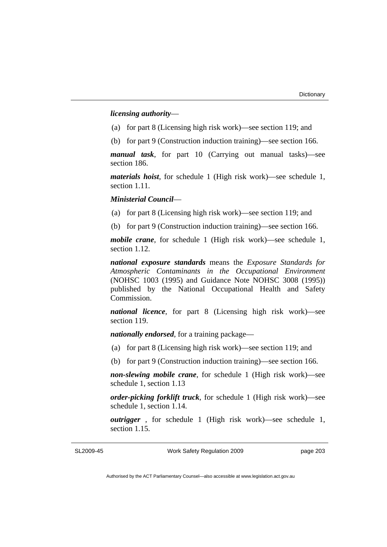# *licensing authority*—

- (a) for part 8 (Licensing high risk work)—see section 119; and
- (b) for part 9 (Construction induction training)—see section 166.

*manual task*, for part 10 (Carrying out manual tasks)—see section 186.

*materials hoist*, for schedule 1 (High risk work)—see schedule 1, section 1.11.

## *Ministerial Council*—

(a) for part 8 (Licensing high risk work)—see section 119; and

(b) for part 9 (Construction induction training)—see section 166.

*mobile crane*, for schedule 1 (High risk work)—see schedule 1, section 1.12.

*national exposure standards* means the *Exposure Standards for Atmospheric Contaminants in the Occupational Environment* (NOHSC 1003 (1995) and Guidance Note NOHSC 3008 (1995)) published by the National Occupational Health and Safety Commission.

*national licence*, for part 8 (Licensing high risk work)—see section 119.

*nationally endorsed*, for a training package—

- (a) for part 8 (Licensing high risk work)—see section 119; and
- (b) for part 9 (Construction induction training)—see section 166.

*non-slewing mobile crane*, for schedule 1 (High risk work)—see schedule 1, section 1.13

*order-picking forklift truck*, for schedule 1 (High risk work)—see schedule 1, section 1.14.

*outrigger* , for schedule 1 (High risk work)—see schedule 1, section 1.15.

## SL2009-45

Work Safety Regulation 2009

page 203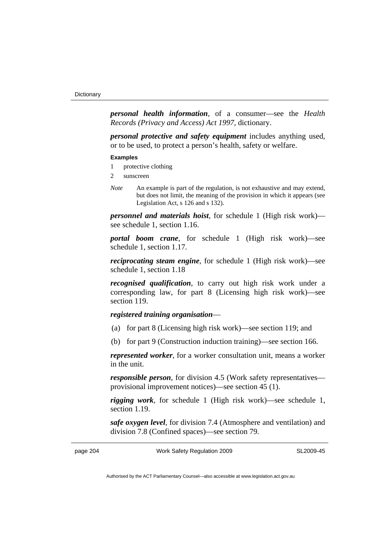*personal health information*, of a consumer—see the *Health Records (Privacy and Access) Act 1997*, dictionary.

*personal protective and safety equipment* includes anything used, or to be used, to protect a person's health, safety or welfare.

#### **Examples**

- 1 protective clothing
- 2 sunscreen
- *Note* An example is part of the regulation, is not exhaustive and may extend, but does not limit, the meaning of the provision in which it appears (see Legislation Act, s 126 and s 132).

*personnel and materials hoist*, for schedule 1 (High risk work) see schedule 1, section 1.16.

*portal boom crane*, for schedule 1 (High risk work)—see schedule 1, section 1.17.

*reciprocating steam engine*, for schedule 1 (High risk work)—see schedule 1, section 1.18

*recognised qualification*, to carry out high risk work under a corresponding law, for part 8 (Licensing high risk work)—see section 119.

# *registered training organisation*—

- (a) for part 8 (Licensing high risk work)—see section 119; and
- (b) for part 9 (Construction induction training)—see section 166.

*represented worker*, for a worker consultation unit, means a worker in the unit.

*responsible person*, for division 4.5 (Work safety representatives provisional improvement notices)—see section 45 (1).

*rigging work*, for schedule 1 (High risk work)—see schedule 1, section 1.19.

*safe oxygen level*, for division 7.4 (Atmosphere and ventilation) and division 7.8 (Confined spaces)—see section 79.

page 204 Work Safety Regulation 2009

SL2009-45

Authorised by the ACT Parliamentary Counsel—also accessible at www.legislation.act.gov.au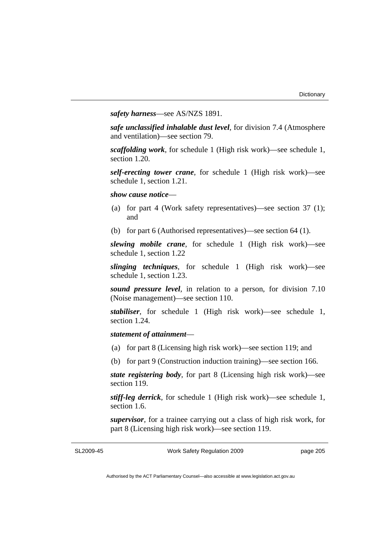*safety harness*—see AS/NZS 1891.

*safe unclassified inhalable dust level*, for division 7.4 (Atmosphere and ventilation)—see section 79.

*scaffolding work*, for schedule 1 (High risk work)—see schedule 1, section 1.20.

*self-erecting tower crane*, for schedule 1 (High risk work)—see schedule 1, section 1.21.

*show cause notice*—

- (a) for part 4 (Work safety representatives)—see section 37 (1); and
- (b) for part 6 (Authorised representatives)—see section 64 (1).

*slewing mobile crane*, for schedule 1 (High risk work)—see schedule 1, section 1.22

*slinging techniques*, for schedule 1 (High risk work)—see schedule 1, section 1.23.

*sound pressure level*, in relation to a person, for division 7.10 (Noise management)—see section 110.

*stabiliser*, for schedule 1 (High risk work)—see schedule 1, section 1.24.

# *statement of attainment*—

- (a) for part 8 (Licensing high risk work)—see section 119; and
- (b) for part 9 (Construction induction training)—see section 166.

*state registering body*, for part 8 (Licensing high risk work)—see section 119.

*stiff-leg derrick*, for schedule 1 (High risk work)—see schedule 1, section 1.6.

*supervisor*, for a trainee carrying out a class of high risk work, for part 8 (Licensing high risk work)—see section 119.

SL2009-45

Work Safety Regulation 2009

page 205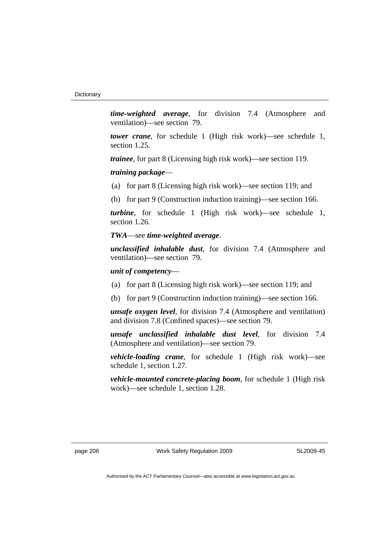*time-weighted average*, for division 7.4 (Atmosphere and ventilation)—see section 79.

*tower crane*, for schedule 1 (High risk work)—see schedule 1, section 1.25.

*trainee*, for part 8 (Licensing high risk work)—see section 119.

*training package*—

(a) for part 8 (Licensing high risk work)—see section 119; and

(b) for part 9 (Construction induction training)—see section 166.

*turbine*, for schedule 1 (High risk work)—see schedule 1, section 1.26.

#### *TWA*—see *time-weighted average*.

*unclassified inhalable dust*, for division 7.4 (Atmosphere and ventilation)—see section 79.

## *unit of competency*—

- (a) for part 8 (Licensing high risk work)—see section 119; and
- (b) for part 9 (Construction induction training)—see section 166.

*unsafe oxygen level*, for division 7.4 (Atmosphere and ventilation) and division 7.8 (Confined spaces)—see section 79.

*unsafe unclassified inhalable dust level*, for division 7.4 (Atmosphere and ventilation)—see section 79.

*vehicle-loading crane*, for schedule 1 (High risk work)—see schedule 1, section 1.27.

*vehicle-mounted concrete-placing boom*, for schedule 1 (High risk work)—see schedule 1, section 1.28.

SL2009-45